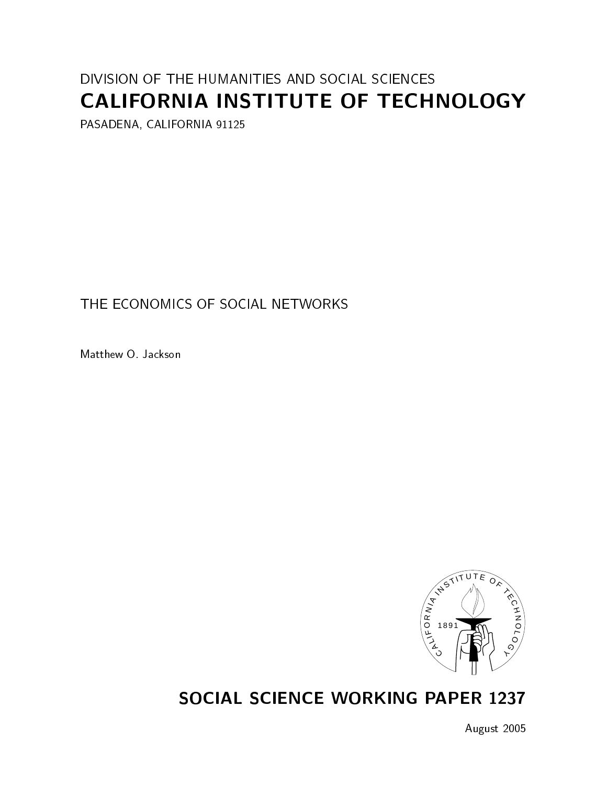# DIVISION OF THE HUMANITIES AND SOCIAL SCIENCES CALIFORNIA INSTITUTE OF TECHNOLOGY

PASADENA, CALIFORNIA 91125

# THE ECONOMICS OF SOCIAL NETWORKS

Matthew O. Jackson



# SOCIAL SCIENCE WORKING PAPER 1237

August 2005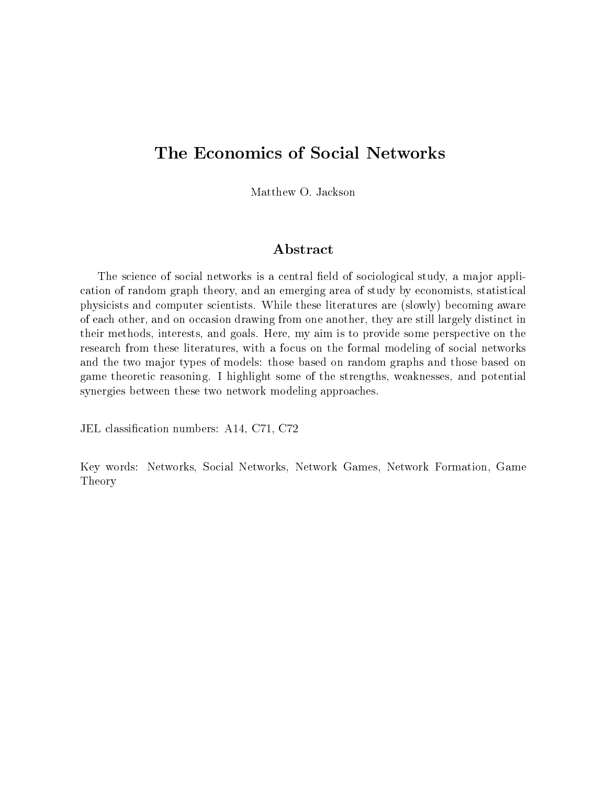# The Economics of Social Networks

Matthew O. Jackson

## Abstract

The science of social networks is a central field of sociological study, a major application of random graph theory, and an emerging area of study by economists, statistical physicists and computer scientists. While these literatures are (slowly) becoming aware of each other, and on occasion drawing from one another, they are still largely distinct in their methods, interests, and goals. Here, my aim is to provide some perspective on the research from these literatures, with a focus on the formal modeling of social networks and the two major types of models: those based on random graphs and those based on game theoretic reasoning. I highlight some of the strengths, weaknesses, and potential synergies between these two network modeling approaches.

JEL classication numbers: A14, C71, C72

Key words: Networks, Social Networks, Network Games, Network Formation, Game Theory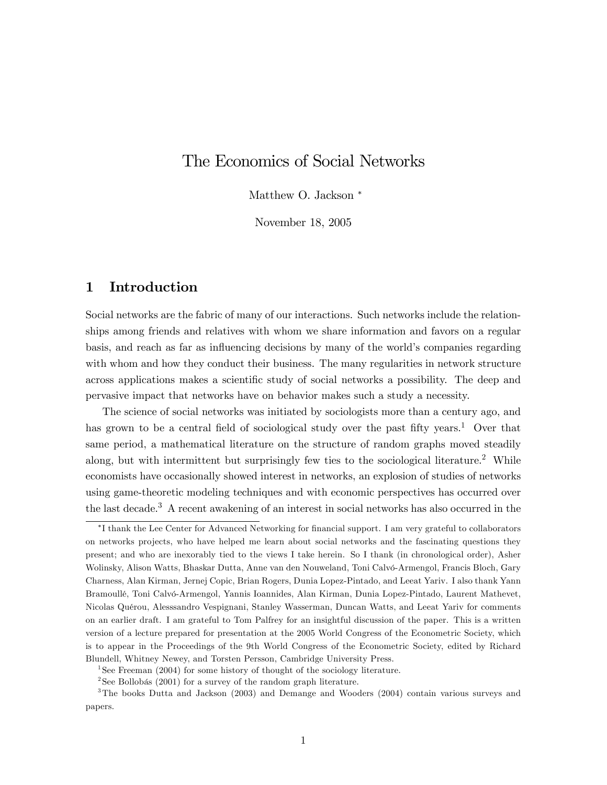## The Economics of Social Networks

Matthew O. Jackson<sup>\*</sup>

November 18, 2005

## 1 Introduction

Social networks are the fabric of many of our interactions. Such networks include the relationships among friends and relatives with whom we share information and favors on a regular basis, and reach as far as influencing decisions by many of the world's companies regarding with whom and how they conduct their business. The many regularities in network structure across applications makes a scientific study of social networks a possibility. The deep and pervasive impact that networks have on behavior makes such a study a necessity.

The science of social networks was initiated by sociologists more than a century ago, and has grown to be a central field of sociological study over the past fifty years.<sup>1</sup> Over that same period, a mathematical literature on the structure of random graphs moved steadily along, but with intermittent but surprisingly few ties to the sociological literature.<sup>2</sup> While economists have occasionally showed interest in networks, an explosion of studies of networks using game-theoretic modeling techniques and with economic perspectives has occurred over the last decade.<sup>3</sup> A recent awakening of an interest in social networks has also occurred in the

<sup>&</sup>lt;sup>\*</sup>I thank the Lee Center for Advanced Networking for financial support. I am very grateful to collaborators on networks projects, who have helped me learn about social networks and the fascinating questions they present; and who are inexorably tied to the views I take herein. So I thank (in chronological order), Asher Wolinsky, Alison Watts, Bhaskar Dutta, Anne van den Nouweland, Toni Calvó-Armengol, Francis Bloch, Gary Charness, Alan Kirman, Jernej Copic, Brian Rogers, Dunia Lopez-Pintado, and Leeat Yariv. I also thank Yann Bramoullé, Toni Calvó-Armengol, Yannis Ioannides, Alan Kirman, Dunia Lopez-Pintado, Laurent Mathevet, Nicolas QuÈrou, Alesssandro Vespignani, Stanley Wasserman, Duncan Watts, and Leeat Yariv for comments on an earlier draft. I am grateful to Tom Palfrey for an insightful discussion of the paper. This is a written version of a lecture prepared for presentation at the 2005 World Congress of the Econometric Society, which is to appear in the Proceedings of the 9th World Congress of the Econometric Society, edited by Richard Blundell, Whitney Newey, and Torsten Persson, Cambridge University Press.

<sup>&</sup>lt;sup>1</sup>See Freeman (2004) for some history of thought of the sociology literature.

<sup>&</sup>lt;sup>2</sup>See Bollobás (2001) for a survey of the random graph literature.

<sup>3</sup>The books Dutta and Jackson (2003) and Demange and Wooders (2004) contain various surveys and papers.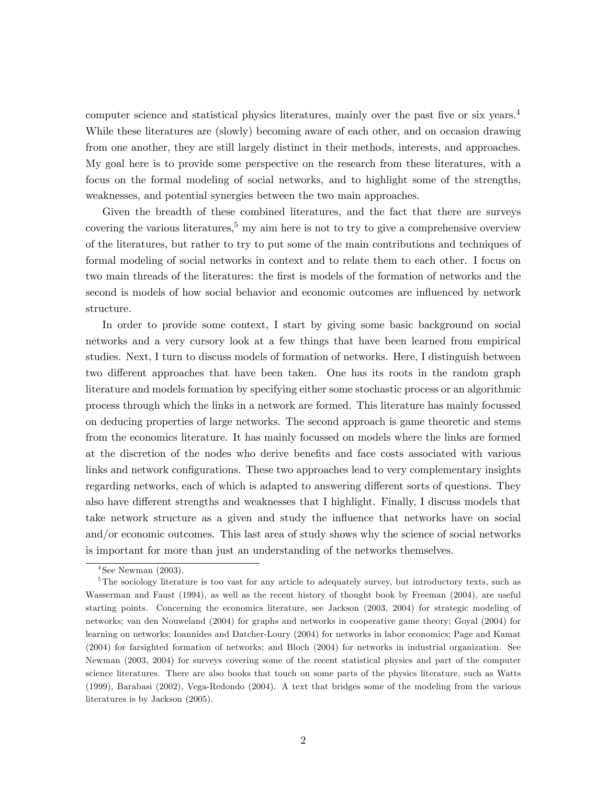computer science and statistical physics literatures, mainly over the past five or six years.<sup>4</sup> While these literatures are (slowly) becoming aware of each other, and on occasion drawing from one another, they are still largely distinct in their methods, interests, and approaches. My goal here is to provide some perspective on the research from these literatures, with a focus on the formal modeling of social networks, and to highlight some of the strengths, weaknesses, and potential synergies between the two main approaches.

Given the breadth of these combined literatures, and the fact that there are surveys covering the various literatures,<sup>5</sup> my aim here is not to try to give a comprehensive overview of the literatures, but rather to try to put some of the main contributions and techniques of formal modeling of social networks in context and to relate them to each other. I focus on two main threads of the literatures: the first is models of the formation of networks and the second is models of how social behavior and economic outcomes are influenced by network structure.

In order to provide some context, I start by giving some basic background on social networks and a very cursory look at a few things that have been learned from empirical studies. Next, I turn to discuss models of formation of networks. Here, I distinguish between two different approaches that have been taken. One has its roots in the random graph literature and models formation by specifying either some stochastic process or an algorithmic process through which the links in a network are formed. This literature has mainly focussed on deducing properties of large networks. The second approach is game theoretic and stems from the economics literature. It has mainly focussed on models where the links are formed at the discretion of the nodes who derive benefits and face costs associated with various links and network configurations. These two approaches lead to very complementary insights regarding networks, each of which is adapted to answering different sorts of questions. They also have different strengths and weaknesses that I highlight. Finally, I discuss models that take network structure as a given and study the influence that networks have on social and/or economic outcomes. This last area of study shows why the science of social networks is important for more than just an understanding of the networks themselves.

 $4$ See Newman (2003).

<sup>&</sup>lt;sup>5</sup>The sociology literature is too vast for any article to adequately survey, but introductory texts, such as Wasserman and Faust (1994), as well as the recent history of thought book by Freeman (2004), are useful starting points. Concerning the economics literature, see Jackson (2003, 2004) for strategic modeling of networks; van den Nouweland (2004) for graphs and networks in cooperative game theory; Goyal (2004) for learning on networks; Ioannides and Datcher-Loury (2004) for networks in labor economics; Page and Kamat (2004) for farsighted formation of networks; and Bloch (2004) for networks in industrial organization. See Newman (2003, 2004) for surveys covering some of the recent statistical physics and part of the computer science literatures. There are also books that touch on some parts of the physics literature, such as Watts (1999), Barabasi (2002), Vega-Redondo (2004). A text that bridges some of the modeling from the various literatures is by Jackson (2005).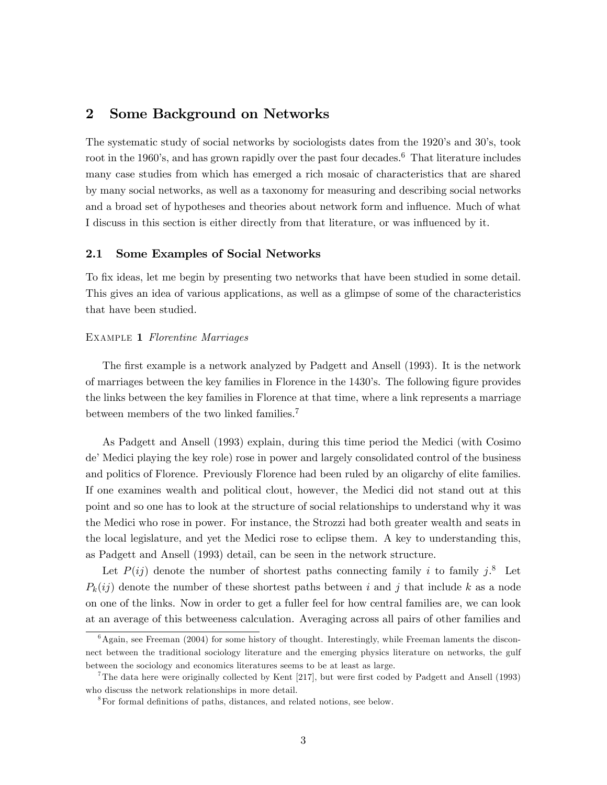## 2 Some Background on Networks

The systematic study of social networks by sociologists dates from the 1920's and 30's, took root in the 1960's, and has grown rapidly over the past four decades.<sup>6</sup> That literature includes many case studies from which has emerged a rich mosaic of characteristics that are shared by many social networks, as well as a taxonomy for measuring and describing social networks and a broad set of hypotheses and theories about network form and ináuence. Much of what I discuss in this section is either directly from that literature, or was ináuenced by it.

#### 2.1 Some Examples of Social Networks

To fix ideas, let me begin by presenting two networks that have been studied in some detail. This gives an idea of various applications, as well as a glimpse of some of the characteristics that have been studied.

#### EXAMPLE 1 Florentine Marriages

The first example is a network analyzed by Padgett and Ansell (1993). It is the network of marriages between the key families in Florence in the 1430's. The following figure provides the links between the key families in Florence at that time, where a link represents a marriage between members of the two linked families.<sup>7</sup>

As Padgett and Ansell (1993) explain, during this time period the Medici (with Cosimo de' Medici playing the key role) rose in power and largely consolidated control of the business and politics of Florence. Previously Florence had been ruled by an oligarchy of elite families. If one examines wealth and political clout, however, the Medici did not stand out at this point and so one has to look at the structure of social relationships to understand why it was the Medici who rose in power. For instance, the Strozzi had both greater wealth and seats in the local legislature, and yet the Medici rose to eclipse them. A key to understanding this, as Padgett and Ansell (1993) detail, can be seen in the network structure.

Let  $P(ij)$  denote the number of shortest paths connecting family i to family j.<sup>8</sup> Let  $P_k(ij)$  denote the number of these shortest paths between i and j that include k as a node on one of the links. Now in order to get a fuller feel for how central families are, we can look at an average of this betweeness calculation. Averaging across all pairs of other families and

 $6A$ gain, see Freeman (2004) for some history of thought. Interestingly, while Freeman laments the disconnect between the traditional sociology literature and the emerging physics literature on networks, the gulf between the sociology and economics literatures seems to be at least as large.

<sup>&</sup>lt;sup>7</sup>The data here were originally collected by Kent [217], but were first coded by Padgett and Ansell (1993) who discuss the network relationships in more detail.

<sup>&</sup>lt;sup>8</sup>For formal definitions of paths, distances, and related notions, see below.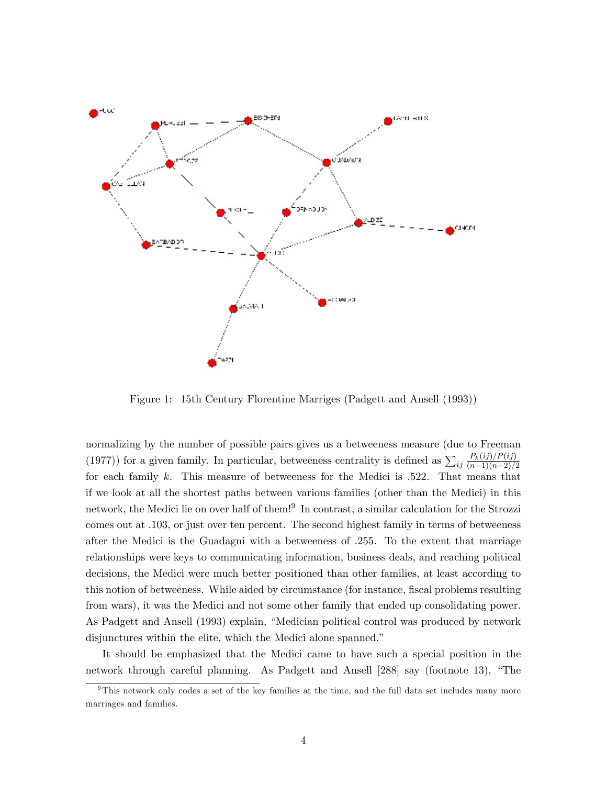

Figure 1: 15th Century Florentine Marriges (Padgett and Ansell (1993))

normalizing by the number of possible pairs gives us a betweeness measure (due to Freeman (1977)) for a given family. In particular, betweeness centrality is defined as  $\sum_{ij} \frac{P_k(ij)/P(ij)}{(n-1)(n-2)/i}$  $(n-1)(n-2)/2$ for each family k. This measure of betweeness for the Medici is .522. That means that if we look at all the shortest paths between various families (other than the Medici) in this network, the Medici lie on over half of them!<sup>9</sup> In contrast, a similar calculation for the Strozzi comes out at .103, or just over ten percent. The second highest family in terms of betweeness after the Medici is the Guadagni with a betweeness of .255. To the extent that marriage relationships were keys to communicating information, business deals, and reaching political decisions, the Medici were much better positioned than other families, at least according to this notion of betweeness. While aided by circumstance (for instance, fiscal problems resulting from wars), it was the Medici and not some other family that ended up consolidating power. As Padgett and Ansell (1993) explain, "Medician political control was produced by network disjunctures within the elite, which the Medici alone spanned."

It should be emphasized that the Medici came to have such a special position in the network through careful planning. As Padgett and Ansell  $[288]$  say (footnote 13), "The

<sup>9</sup>This network only codes a set of the key families at the time, and the full data set includes many more marriages and families.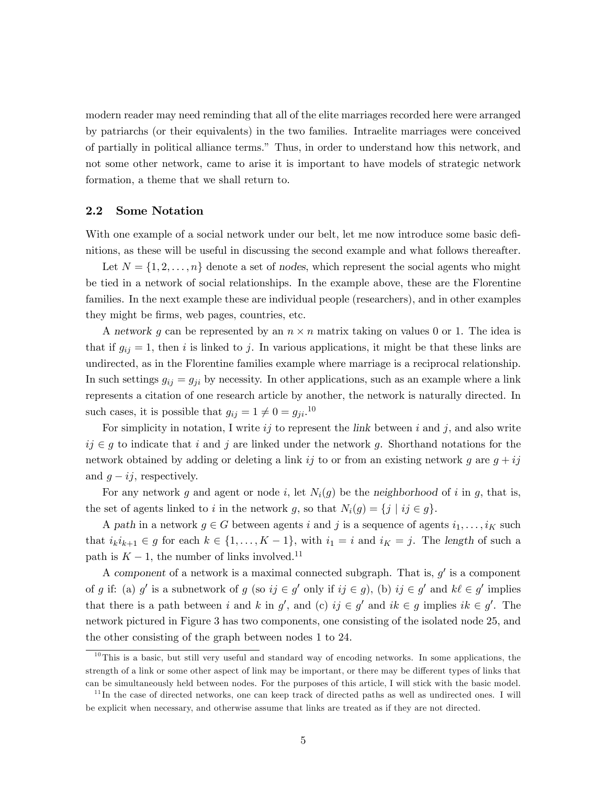modern reader may need reminding that all of the elite marriages recorded here were arranged by patriarchs (or their equivalents) in the two families. Intraelite marriages were conceived of partially in political alliance terms.î Thus, in order to understand how this network, and not some other network, came to arise it is important to have models of strategic network formation, a theme that we shall return to.

#### 2.2 Some Notation

With one example of a social network under our belt, let me now introduce some basic definitions, as these will be useful in discussing the second example and what follows thereafter.

Let  $N = \{1, 2, ..., n\}$  denote a set of nodes, which represent the social agents who might be tied in a network of social relationships. In the example above, these are the Florentine families. In the next example these are individual people (researchers), and in other examples they might be Örms, web pages, countries, etc.

A network g can be represented by an  $n \times n$  matrix taking on values 0 or 1. The idea is that if  $g_{ij} = 1$ , then i is linked to j. In various applications, it might be that these links are undirected, as in the Florentine families example where marriage is a reciprocal relationship. In such settings  $g_{ij} = g_{ji}$  by necessity. In other applications, such as an example where a link represents a citation of one research article by another, the network is naturally directed. In such cases, it is possible that  $g_{ij} = 1 \neq 0 = g_{ji}$ .<sup>10</sup>

For simplicity in notation, I write  $ij$  to represent the link between i and j, and also write  $ij \in g$  to indicate that i and j are linked under the network g. Shorthand notations for the network obtained by adding or deleting a link ij to or from an existing network g are  $g + ij$ and  $q - ij$ , respectively.

For any network g and agent or node i, let  $N_i(g)$  be the neighborhood of i in g, that is, the set of agents linked to i in the network g, so that  $N_i(g) = \{j \mid ij \in g\}.$ 

A path in a network  $g \in G$  between agents i and j is a sequence of agents  $i_1, \ldots, i_K$  such that  $i_k i_{k+1} \in g$  for each  $k \in \{1, ..., K-1\}$ , with  $i_1 = i$  and  $i_K = j$ . The length of such a path is  $K - 1$ , the number of links involved.<sup>11</sup>

A component of a network is a maximal connected subgraph. That is,  $g'$  is a component of g if: (a) g' is a subnetwork of g (so  $ij \in g'$  only if  $ij \in g$ ), (b)  $ij \in g'$  and  $k\ell \in g'$  implies that there is a path between i and k in  $g'$ , and (c)  $ij \in g'$  and  $ik \in g$  implies  $ik \in g'$ . The network pictured in Figure 3 has two components, one consisting of the isolated node 25, and the other consisting of the graph between nodes 1 to 24.

 $10$ This is a basic, but still very useful and standard way of encoding networks. In some applications, the strength of a link or some other aspect of link may be important, or there may be different types of links that can be simultaneously held between nodes. For the purposes of this article, I will stick with the basic model.

 $11$ In the case of directed networks, one can keep track of directed paths as well as undirected ones. I will be explicit when necessary, and otherwise assume that links are treated as if they are not directed.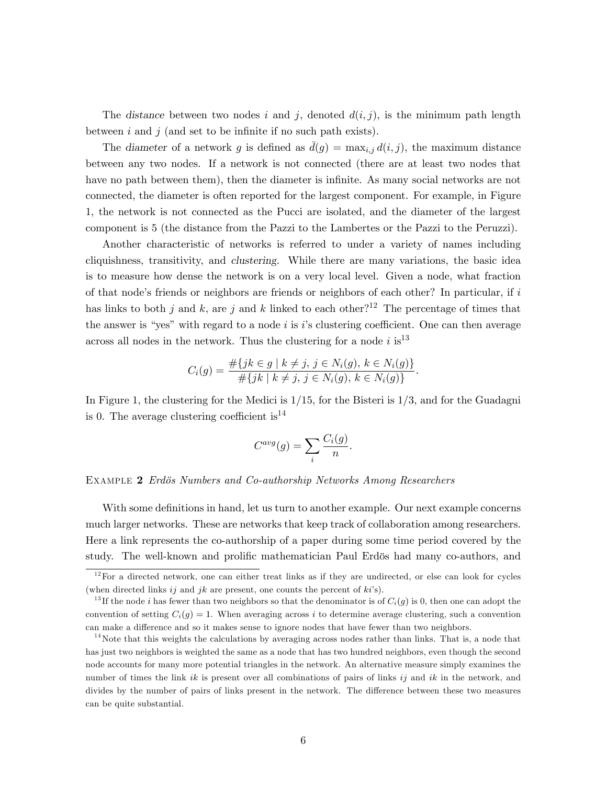The distance between two nodes i and j, denoted  $d(i, j)$ , is the minimum path length between  $i$  and  $j$  (and set to be infinite if no such path exists).

The diameter of a network g is defined as  $\bar{d}(g) = \max_{i,j} d(i,j)$ , the maximum distance between any two nodes. If a network is not connected (there are at least two nodes that have no path between them), then the diameter is infinite. As many social networks are not connected, the diameter is often reported for the largest component. For example, in Figure 1, the network is not connected as the Pucci are isolated, and the diameter of the largest component is 5 (the distance from the Pazzi to the Lambertes or the Pazzi to the Peruzzi).

Another characteristic of networks is referred to under a variety of names including cliquishness, transitivity, and clustering. While there are many variations, the basic idea is to measure how dense the network is on a very local level. Given a node, what fraction of that node's friends or neighbors are friends or neighbors of each other? In particular, if  $i$ has links to both j and k, are j and k linked to each other?<sup>12</sup> The percentage of times that the answer is "yes" with regard to a node  $i$  is  $i$ 's clustering coefficient. One can then average across all nodes in the network. Thus the clustering for a node  $i$  is<sup>13</sup>

$$
C_i(g) = \frac{\#\{jk \in g \mid k \neq j, j \in N_i(g), k \in N_i(g)\}}{\#\{jk \mid k \neq j, j \in N_i(g), k \in N_i(g)\}}.
$$

In Figure 1, the clustering for the Medici is  $1/15$ , for the Bisteri is  $1/3$ , and for the Guadagni is 0. The average clustering coefficient is  $14$ 

$$
C^{avg}(g) = \sum_{i} \frac{C_i(g)}{n}.
$$

EXAMPLE 2 Erdös Numbers and Co-authorship Networks Among Researchers

With some definitions in hand, let us turn to another example. Our next example concerns much larger networks. These are networks that keep track of collaboration among researchers. Here a link represents the co-authorship of a paper during some time period covered by the study. The well-known and prolific mathematician Paul Erdös had many co-authors, and

 $12$  For a directed network, one can either treat links as if they are undirected, or else can look for cycles (when directed links ij and jk are present, one counts the percent of  $ki$ 's).

<sup>&</sup>lt;sup>13</sup>If the node i has fewer than two neighbors so that the denominator is of  $C_i(q)$  is 0, then one can adopt the convention of setting  $C_i(g) = 1$ . When averaging across i to determine average clustering, such a convention can make a difference and so it makes sense to ignore nodes that have fewer than two neighbors.

 $14$ Note that this weights the calculations by averaging across nodes rather than links. That is, a node that has just two neighbors is weighted the same as a node that has two hundred neighbors, even though the second node accounts for many more potential triangles in the network. An alternative measure simply examines the number of times the link ik is present over all combinations of pairs of links ij and ik in the network, and divides by the number of pairs of links present in the network. The difference between these two measures can be quite substantial.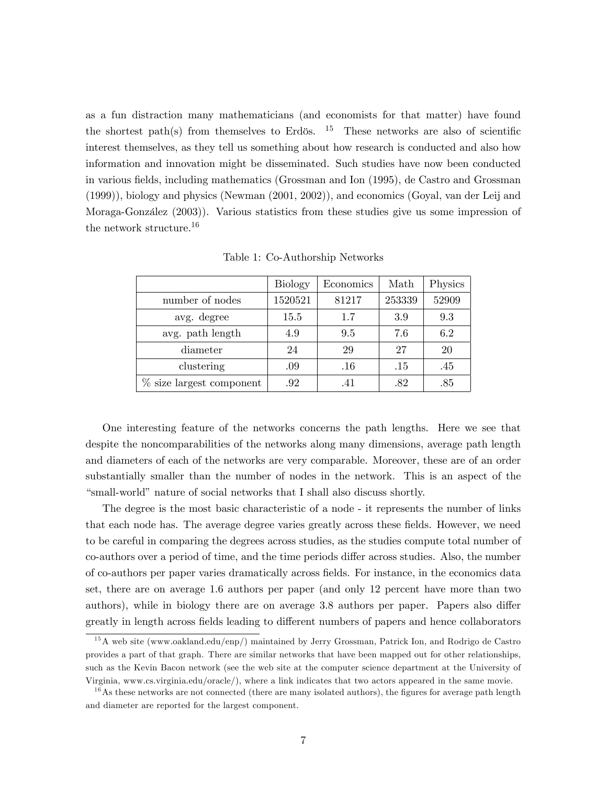as a fun distraction many mathematicians (and economists for that matter) have found the shortest path(s) from themselves to Erdös.  $15$  These networks are also of scientific interest themselves, as they tell us something about how research is conducted and also how information and innovation might be disseminated. Such studies have now been conducted in various Öelds, including mathematics (Grossman and Ion (1995), de Castro and Grossman (1999)), biology and physics (Newman (2001, 2002)), and economics (Goyal, van der Leij and Moraga-González (2003)). Various statistics from these studies give us some impression of the network structure.<sup>16</sup>

|                            | <b>Biology</b> | Economics | Math   | Physics |
|----------------------------|----------------|-----------|--------|---------|
| number of nodes            | 1520521        | 81217     | 253339 | 52909   |
| avg. degree                | 15.5           | 1.7       | 3.9    | 9.3     |
| avg. path length           | 4.9            | 9.5       | 7.6    | 6.2     |
| diameter                   | 24             | 29        | 27     | 20      |
| clustering                 | .09            | .16       | .15    | .45     |
| $%$ size largest component | .92            |           | .82    | .85     |

Table 1: Co-Authorship Networks

One interesting feature of the networks concerns the path lengths. Here we see that despite the noncomparabilities of the networks along many dimensions, average path length and diameters of each of the networks are very comparable. Moreover, these are of an order substantially smaller than the number of nodes in the network. This is an aspect of the ìsmall-worldî nature of social networks that I shall also discuss shortly.

The degree is the most basic characteristic of a node - it represents the number of links that each node has. The average degree varies greatly across these fields. However, we need to be careful in comparing the degrees across studies, as the studies compute total number of co-authors over a period of time, and the time periods differ across studies. Also, the number of co-authors per paper varies dramatically across Öelds. For instance, in the economics data set, there are on average 1.6 authors per paper (and only 12 percent have more than two authors), while in biology there are on average 3.8 authors per paper. Papers also differ greatly in length across fields leading to different numbers of papers and hence collaborators

<sup>&</sup>lt;sup>15</sup>A web site (www.oakland.edu/enp/) maintained by Jerry Grossman, Patrick Ion, and Rodrigo de Castro provides a part of that graph. There are similar networks that have been mapped out for other relationships, such as the Kevin Bacon network (see the web site at the computer science department at the University of Virginia, www.cs.virginia.edu/oracle/), where a link indicates that two actors appeared in the same movie.

 $16$ As these networks are not connected (there are many isolated authors), the figures for average path length and diameter are reported for the largest component.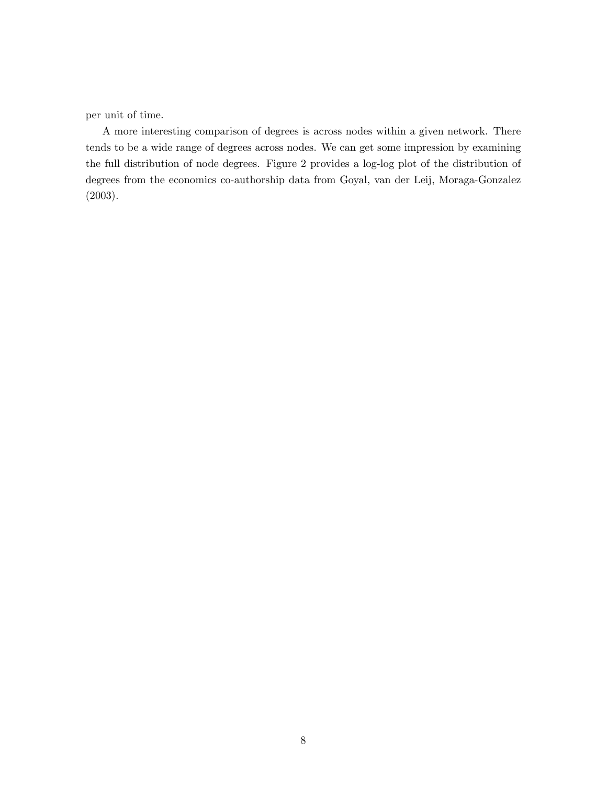per unit of time.

A more interesting comparison of degrees is across nodes within a given network. There tends to be a wide range of degrees across nodes. We can get some impression by examining the full distribution of node degrees. Figure 2 provides a log-log plot of the distribution of degrees from the economics co-authorship data from Goyal, van der Leij, Moraga-Gonzalez (2003).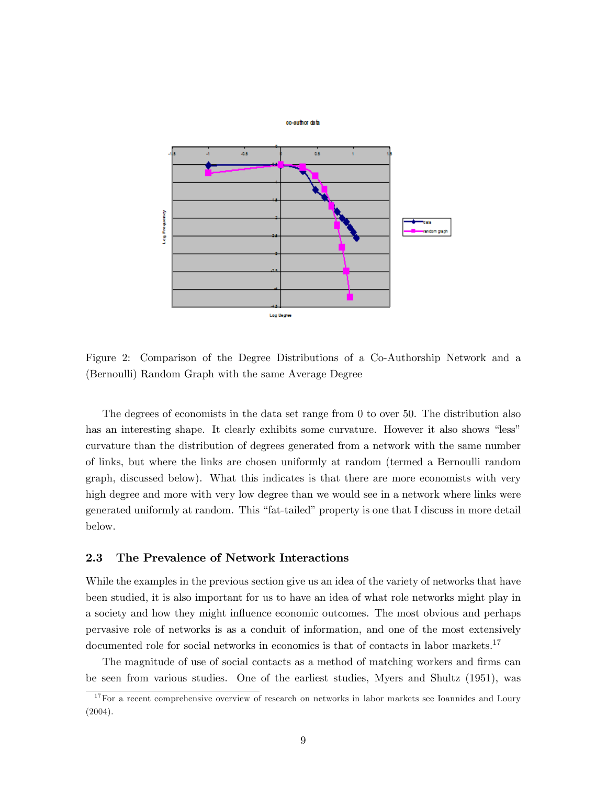

Figure 2: Comparison of the Degree Distributions of a Co-Authorship Network and a (Bernoulli) Random Graph with the same Average Degree

The degrees of economists in the data set range from 0 to over 50. The distribution also has an interesting shape. It clearly exhibits some curvature. However it also shows "less" curvature than the distribution of degrees generated from a network with the same number of links, but where the links are chosen uniformly at random (termed a Bernoulli random graph, discussed below). What this indicates is that there are more economists with very high degree and more with very low degree than we would see in a network where links were generated uniformly at random. This "fat-tailed" property is one that I discuss in more detail below.

#### 2.3 The Prevalence of Network Interactions

While the examples in the previous section give us an idea of the variety of networks that have been studied, it is also important for us to have an idea of what role networks might play in a society and how they might ináuence economic outcomes. The most obvious and perhaps pervasive role of networks is as a conduit of information, and one of the most extensively documented role for social networks in economics is that of contacts in labor markets.<sup>17</sup>

The magnitude of use of social contacts as a method of matching workers and firms can be seen from various studies. One of the earliest studies, Myers and Shultz (1951), was

<sup>&</sup>lt;sup>17</sup> For a recent comprehensive overview of research on networks in labor markets see Ioannides and Loury (2004).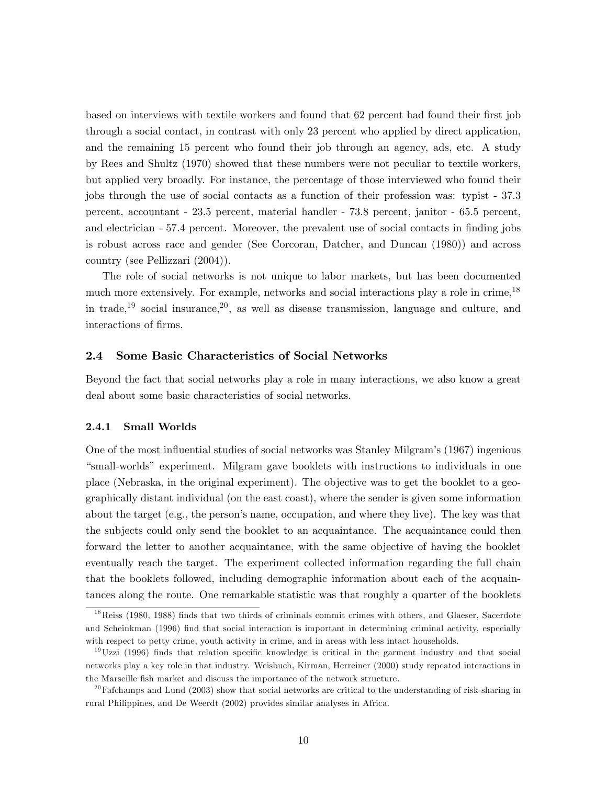based on interviews with textile workers and found that 62 percent had found their first job through a social contact, in contrast with only 23 percent who applied by direct application, and the remaining 15 percent who found their job through an agency, ads, etc. A study by Rees and Shultz (1970) showed that these numbers were not peculiar to textile workers, but applied very broadly. For instance, the percentage of those interviewed who found their jobs through the use of social contacts as a function of their profession was: typist - 37.3 percent, accountant - 23.5 percent, material handler - 73.8 percent, janitor - 65.5 percent, and electrician - 57.4 percent. Moreover, the prevalent use of social contacts in finding jobs is robust across race and gender (See Corcoran, Datcher, and Duncan (1980)) and across country (see Pellizzari (2004)).

The role of social networks is not unique to labor markets, but has been documented much more extensively. For example, networks and social interactions play a role in crime, <sup>18</sup> in trade,<sup>19</sup> social insurance,<sup>20</sup>, as well as disease transmission, language and culture, and interactions of firms.

#### 2.4 Some Basic Characteristics of Social Networks

Beyond the fact that social networks play a role in many interactions, we also know a great deal about some basic characteristics of social networks.

#### 2.4.1 Small Worlds

One of the most influential studies of social networks was Stanley Milgram's (1967) ingenious ìsmall-worldsî experiment. Milgram gave booklets with instructions to individuals in one place (Nebraska, in the original experiment). The objective was to get the booklet to a geographically distant individual (on the east coast), where the sender is given some information about the target  $(e.g., the person's name, occupation, and where they live)$ . The key was that the subjects could only send the booklet to an acquaintance. The acquaintance could then forward the letter to another acquaintance, with the same objective of having the booklet eventually reach the target. The experiment collected information regarding the full chain that the booklets followed, including demographic information about each of the acquaintances along the route. One remarkable statistic was that roughly a quarter of the booklets

<sup>&</sup>lt;sup>18</sup>Reiss (1980, 1988) finds that two thirds of criminals commit crimes with others, and Glaeser, Sacerdote and Scheinkman (1996) find that social interaction is important in determining criminal activity, especially with respect to petty crime, youth activity in crime, and in areas with less intact households.

 $19$ Uzzi (1996) finds that relation specific knowledge is critical in the garment industry and that social networks play a key role in that industry. Weisbuch, Kirman, Herreiner (2000) study repeated interactions in the Marseille fish market and discuss the importance of the network structure.

 $^{20}$ Fafchamps and Lund (2003) show that social networks are critical to the understanding of risk-sharing in rural Philippines, and De Weerdt (2002) provides similar analyses in Africa.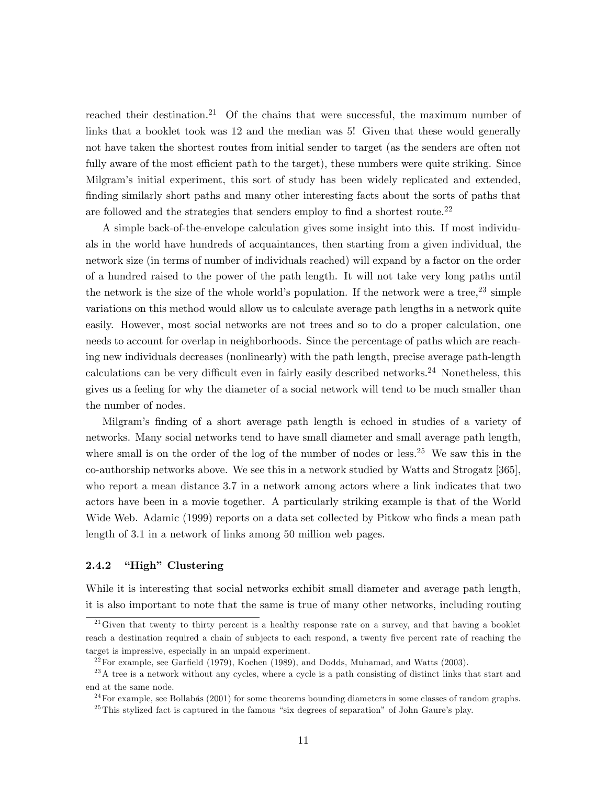reached their destination.<sup>21</sup> Of the chains that were successful, the maximum number of links that a booklet took was 12 and the median was 5! Given that these would generally not have taken the shortest routes from initial sender to target (as the senders are often not fully aware of the most efficient path to the target), these numbers were quite striking. Since Milgramís initial experiment, this sort of study has been widely replicated and extended, finding similarly short paths and many other interesting facts about the sorts of paths that are followed and the strategies that senders employ to find a shortest route.<sup>22</sup>

A simple back-of-the-envelope calculation gives some insight into this. If most individuals in the world have hundreds of acquaintances, then starting from a given individual, the network size (in terms of number of individuals reached) will expand by a factor on the order of a hundred raised to the power of the path length. It will not take very long paths until the network is the size of the whole world's population. If the network were a tree,<sup>23</sup> simple variations on this method would allow us to calculate average path lengths in a network quite easily. However, most social networks are not trees and so to do a proper calculation, one needs to account for overlap in neighborhoods. Since the percentage of paths which are reaching new individuals decreases (nonlinearly) with the path length, precise average path-length calculations can be very difficult even in fairly easily described networks.<sup>24</sup> Nonetheless, this gives us a feeling for why the diameter of a social network will tend to be much smaller than the number of nodes.

Milgram's finding of a short average path length is echoed in studies of a variety of networks. Many social networks tend to have small diameter and small average path length, where small is on the order of the log of the number of nodes or less.<sup>25</sup> We saw this in the co-authorship networks above. We see this in a network studied by Watts and Strogatz [365], who report a mean distance 3.7 in a network among actors where a link indicates that two actors have been in a movie together. A particularly striking example is that of the World Wide Web. Adamic (1999) reports on a data set collected by Pitkow who finds a mean path length of 3.1 in a network of links among 50 million web pages.

#### $2.4.2$  "High" Clustering

While it is interesting that social networks exhibit small diameter and average path length, it is also important to note that the same is true of many other networks, including routing

 $21$  Given that twenty to thirty percent is a healthy response rate on a survey, and that having a booklet reach a destination required a chain of subjects to each respond, a twenty five percent rate of reaching the target is impressive, especially in an unpaid experiment.

 $^{22}$  For example, see Garfield (1979), Kochen (1989), and Dodds, Muhamad, and Watts (2003).

<sup>&</sup>lt;sup>23</sup>A tree is a network without any cycles, where a cycle is a path consisting of distinct links that start and end at the same node.

 $^{24}$  For example, see Bollabás (2001) for some theorems bounding diameters in some classes of random graphs.

 $25$ This stylized fact is captured in the famous "six degrees of separation" of John Gaure's play.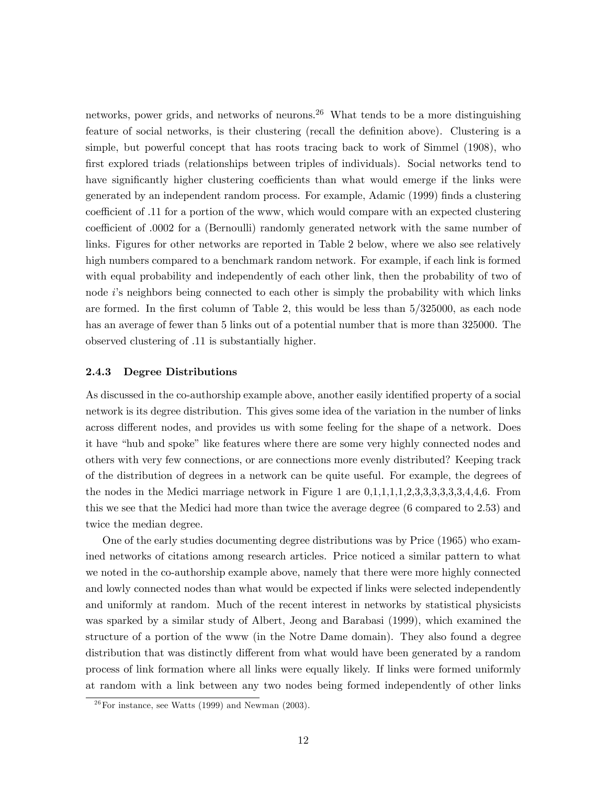networks, power grids, and networks of neurons.<sup>26</sup> What tends to be a more distinguishing feature of social networks, is their clustering (recall the definition above). Clustering is a simple, but powerful concept that has roots tracing back to work of Simmel (1908), who first explored triads (relationships between triples of individuals). Social networks tend to have significantly higher clustering coefficients than what would emerge if the links were generated by an independent random process. For example, Adamic (1999) Önds a clustering coefficient of .11 for a portion of the www, which would compare with an expected clustering coefficient of .0002 for a (Bernoulli) randomly generated network with the same number of links. Figures for other networks are reported in Table 2 below, where we also see relatively high numbers compared to a benchmark random network. For example, if each link is formed with equal probability and independently of each other link, then the probability of two of node iís neighbors being connected to each other is simply the probability with which links are formed. In the first column of Table 2, this would be less than  $5/325000$ , as each node has an average of fewer than 5 links out of a potential number that is more than 325000. The observed clustering of .11 is substantially higher.

#### 2.4.3 Degree Distributions

As discussed in the co-authorship example above, another easily identified property of a social network is its degree distribution. This gives some idea of the variation in the number of links across different nodes, and provides us with some feeling for the shape of a network. Does it have "hub and spoke" like features where there are some very highly connected nodes and others with very few connections, or are connections more evenly distributed? Keeping track of the distribution of degrees in a network can be quite useful. For example, the degrees of the nodes in the Medici marriage network in Figure 1 are 0,1,1,1,1,2,3,3,3,3,3,3,4,4,6. From this we see that the Medici had more than twice the average degree (6 compared to 2.53) and twice the median degree.

One of the early studies documenting degree distributions was by Price (1965) who examined networks of citations among research articles. Price noticed a similar pattern to what we noted in the co-authorship example above, namely that there were more highly connected and lowly connected nodes than what would be expected if links were selected independently and uniformly at random. Much of the recent interest in networks by statistical physicists was sparked by a similar study of Albert, Jeong and Barabasi (1999), which examined the structure of a portion of the www (in the Notre Dame domain). They also found a degree distribution that was distinctly different from what would have been generated by a random process of link formation where all links were equally likely. If links were formed uniformly at random with a link between any two nodes being formed independently of other links

 $26$  For instance, see Watts (1999) and Newman (2003).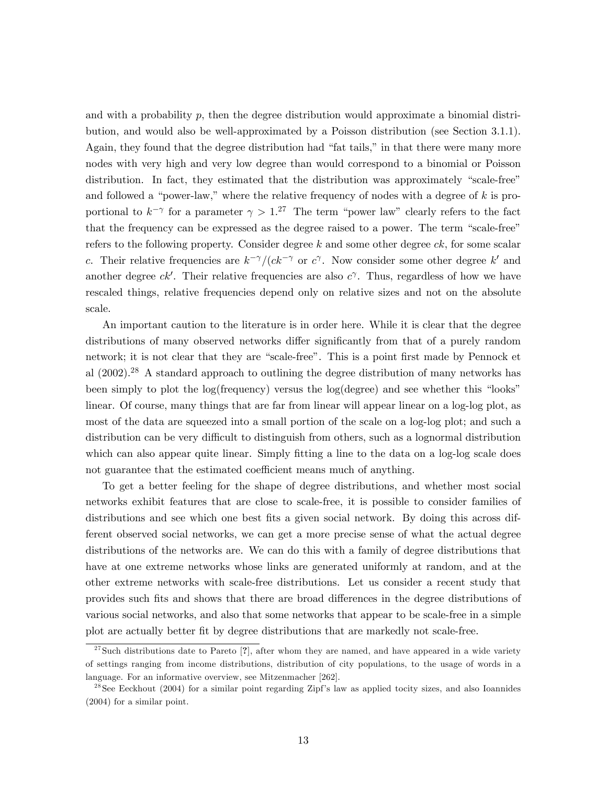and with a probability  $p$ , then the degree distribution would approximate a binomial distribution, and would also be well-approximated by a Poisson distribution (see Section 3.1.1). Again, they found that the degree distribution had "fat tails," in that there were many more nodes with very high and very low degree than would correspond to a binomial or Poisson distribution. In fact, they estimated that the distribution was approximately "scale-free" and followed a "power-law," where the relative frequency of nodes with a degree of  $k$  is proportional to  $k^{-\gamma}$  for a parameter  $\gamma > 1.^{27}$  The term "power law" clearly refers to the fact that the frequency can be expressed as the degree raised to a power. The term "scale-free" refers to the following property. Consider degree  $k$  and some other degree  $ck$ , for some scalar c. Their relative frequencies are  $k^{-\gamma}/(ck^{-\gamma}$  or  $c^{\gamma}$ . Now consider some other degree k' and another degree  $ck'$ . Their relative frequencies are also  $c^{\gamma}$ . Thus, regardless of how we have rescaled things, relative frequencies depend only on relative sizes and not on the absolute scale.

An important caution to the literature is in order here. While it is clear that the degree distributions of many observed networks differ significantly from that of a purely random network; it is not clear that they are "scale-free". This is a point first made by Pennock et al (2002).<sup>28</sup> A standard approach to outlining the degree distribution of many networks has been simply to plot the log(frequency) versus the  $log(degree)$  and see whether this "looks" linear. Of course, many things that are far from linear will appear linear on a log-log plot, as most of the data are squeezed into a small portion of the scale on a log-log plot; and such a distribution can be very difficult to distinguish from others, such as a lognormal distribution which can also appear quite linear. Simply fitting a line to the data on a log-log scale does not guarantee that the estimated coefficient means much of anything.

To get a better feeling for the shape of degree distributions, and whether most social networks exhibit features that are close to scale-free, it is possible to consider families of distributions and see which one best fits a given social network. By doing this across different observed social networks, we can get a more precise sense of what the actual degree distributions of the networks are. We can do this with a family of degree distributions that have at one extreme networks whose links are generated uniformly at random, and at the other extreme networks with scale-free distributions. Let us consider a recent study that provides such fits and shows that there are broad differences in the degree distributions of various social networks, and also that some networks that appear to be scale-free in a simple plot are actually better Öt by degree distributions that are markedly not scale-free.

 $27$  Such distributions date to Pareto [?], after whom they are named, and have appeared in a wide variety of settings ranging from income distributions, distribution of city populations, to the usage of words in a language. For an informative overview, see Mitzenmacher [262].

 $^{28}$ See Eeckhout (2004) for a similar point regarding Zipf's law as applied tocity sizes, and also Ioannides (2004) for a similar point.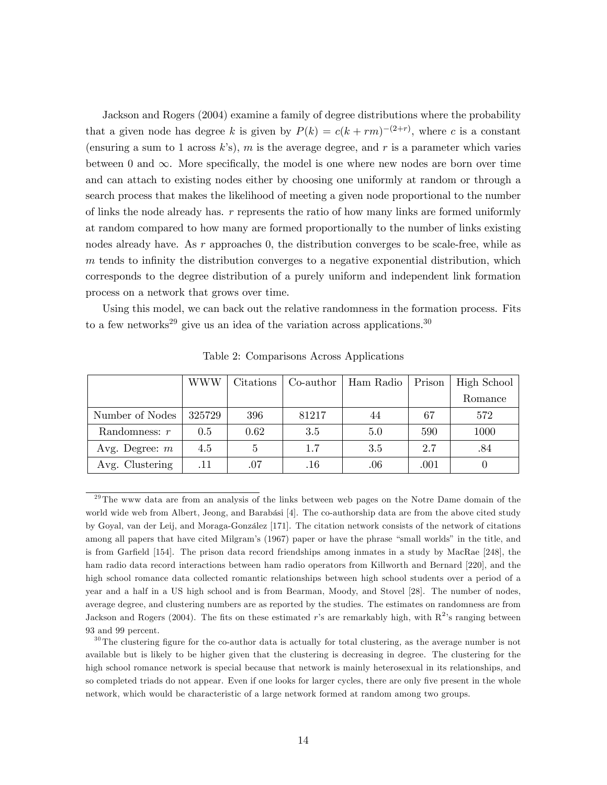Jackson and Rogers (2004) examine a family of degree distributions where the probability that a given node has degree k is given by  $P(k) = c(k + rm)^{-(2+r)}$ , where c is a constant (ensuring a sum to 1 across  $k$ 's), m is the average degree, and r is a parameter which varies between 0 and  $\infty$ . More specifically, the model is one where new nodes are born over time and can attach to existing nodes either by choosing one uniformly at random or through a search process that makes the likelihood of meeting a given node proportional to the number of links the node already has.  $r$  represents the ratio of how many links are formed uniformly at random compared to how many are formed proportionally to the number of links existing nodes already have. As r approaches 0, the distribution converges to be scale-free, while as  $m$  tends to infinity the distribution converges to a negative exponential distribution, which corresponds to the degree distribution of a purely uniform and independent link formation process on a network that grows over time.

Using this model, we can back out the relative randomness in the formation process. Fits to a few networks<sup>29</sup> give us an idea of the variation across applications.<sup>30</sup>

|                  | <b>WWW</b> | Citations | $Co$ -author | Ham Radio | Prison | High School |
|------------------|------------|-----------|--------------|-----------|--------|-------------|
|                  |            |           |              |           |        | Romance     |
| Number of Nodes  | 325729     | 396       | 81217        | 44        | 67     | 572         |
| Randomness: $r$  | 0.5        | 0.62      | 3.5          | 5.0       | 590    | 1000        |
| Avg. Degree: $m$ | 4.5        | 5         | 1.7          | $3.5\,$   | 2.7    | .84         |
| Avg. Clustering  | .11        | .07       | .16          | $.06\,$   | .001   |             |

Table 2: Comparisons Across Applications

 $29$ The www data are from an analysis of the links between web pages on the Notre Dame domain of the world wide web from Albert, Jeong, and Barabási [4]. The co-authorship data are from the above cited study by Goyal, van der Leij, and Moraga-González [171]. The citation network consists of the network of citations among all papers that have cited Milgram's (1967) paper or have the phrase "small worlds" in the title, and is from Garfield [154]. The prison data record friendships among inmates in a study by MacRae [248], the ham radio data record interactions between ham radio operators from Killworth and Bernard [220], and the high school romance data collected romantic relationships between high school students over a period of a year and a half in a US high school and is from Bearman, Moody, and Stovel [28]. The number of nodes, average degree, and clustering numbers are as reported by the studies. The estimates on randomness are from Jackson and Rogers (2004). The fits on these estimated r's are remarkably high, with  $R^2$ 's ranging between 93 and 99 percent.

 $30$ The clustering figure for the co-author data is actually for total clustering, as the average number is not available but is likely to be higher given that the clustering is decreasing in degree. The clustering for the high school romance network is special because that network is mainly heterosexual in its relationships, and so completed triads do not appear. Even if one looks for larger cycles, there are only five present in the whole network, which would be characteristic of a large network formed at random among two groups.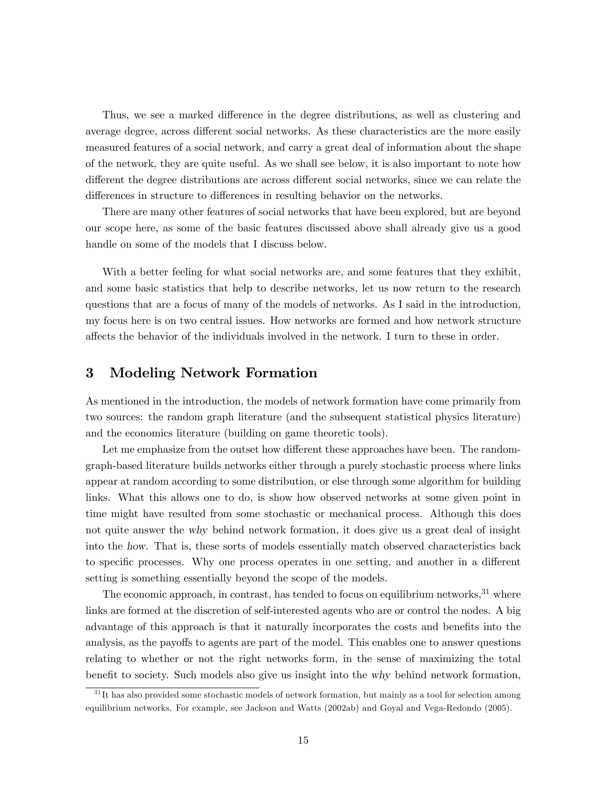Thus, we see a marked difference in the degree distributions, as well as clustering and average degree, across different social networks. As these characteristics are the more easily measured features of a social network, and carry a great deal of information about the shape of the network, they are quite useful. As we shall see below, it is also important to note how different the degree distributions are across different social networks, since we can relate the differences in structure to differences in resulting behavior on the networks.

There are many other features of social networks that have been explored, but are beyond our scope here, as some of the basic features discussed above shall already give us a good handle on some of the models that I discuss below.

With a better feeling for what social networks are, and some features that they exhibit, and some basic statistics that help to describe networks, let us now return to the research questions that are a focus of many of the models of networks. As I said in the introduction, my focus here is on two central issues. How networks are formed and how network structure a§ects the behavior of the individuals involved in the network. I turn to these in order.

## 3 Modeling Network Formation

As mentioned in the introduction, the models of network formation have come primarily from two sources: the random graph literature (and the subsequent statistical physics literature) and the economics literature (building on game theoretic tools).

Let me emphasize from the outset how different these approaches have been. The randomgraph-based literature builds networks either through a purely stochastic process where links appear at random according to some distribution, or else through some algorithm for building links. What this allows one to do, is show how observed networks at some given point in time might have resulted from some stochastic or mechanical process. Although this does not quite answer the why behind network formation, it does give us a great deal of insight into the how. That is, these sorts of models essentially match observed characteristics back to specific processes. Why one process operates in one setting, and another in a different setting is something essentially beyond the scope of the models.

The economic approach, in contrast, has tended to focus on equilibrium networks,  $31$  where links are formed at the discretion of self-interested agents who are or control the nodes. A big advantage of this approach is that it naturally incorporates the costs and benefits into the analysis, as the payoffs to agents are part of the model. This enables one to answer questions relating to whether or not the right networks form, in the sense of maximizing the total benefit to society. Such models also give us insight into the why behind network formation,

<sup>&</sup>lt;sup>31</sup>It has also provided some stochastic models of network formation, but mainly as a tool for selection among equilibrium networks. For example, see Jackson and Watts (2002ab) and Goyal and Vega-Redondo (2005).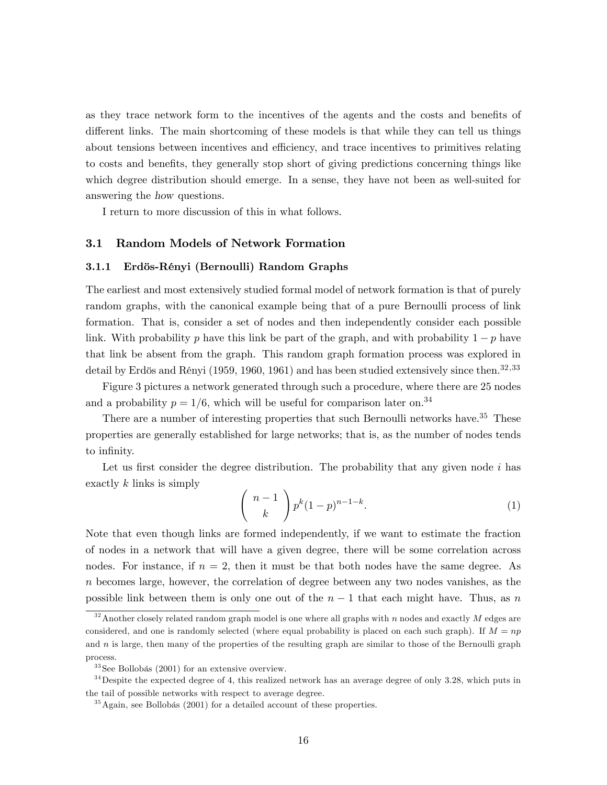as they trace network form to the incentives of the agents and the costs and benefits of different links. The main shortcoming of these models is that while they can tell us things about tensions between incentives and efficiency, and trace incentives to primitives relating to costs and benefits, they generally stop short of giving predictions concerning things like which degree distribution should emerge. In a sense, they have not been as well-suited for answering the how questions.

I return to more discussion of this in what follows.

#### 3.1 Random Models of Network Formation

#### 3.1.1 Erdös-Rényi (Bernoulli) Random Graphs

The earliest and most extensively studied formal model of network formation is that of purely random graphs, with the canonical example being that of a pure Bernoulli process of link formation. That is, consider a set of nodes and then independently consider each possible link. With probability p have this link be part of the graph, and with probability  $1-p$  have that link be absent from the graph. This random graph formation process was explored in detail by Erdös and Rényi (1959, 1960, 1961) and has been studied extensively since then.<sup>32,33</sup>

Figure 3 pictures a network generated through such a procedure, where there are 25 nodes and a probability  $p = 1/6$ , which will be useful for comparison later on.<sup>34</sup>

There are a number of interesting properties that such Bernoulli networks have.<sup>35</sup> These properties are generally established for large networks; that is, as the number of nodes tends to infinity.

Let us first consider the degree distribution. The probability that any given node  $i$  has exactly k links is simply

$$
\binom{n-1}{k} p^k (1-p)^{n-1-k}.\tag{1}
$$

Note that even though links are formed independently, if we want to estimate the fraction of nodes in a network that will have a given degree, there will be some correlation across nodes. For instance, if  $n = 2$ , then it must be that both nodes have the same degree. As n becomes large, however, the correlation of degree between any two nodes vanishes, as the possible link between them is only one out of the  $n-1$  that each might have. Thus, as n

 $3<sup>32</sup>$  Another closely related random graph model is one where all graphs with n nodes and exactly M edges are considered, and one is randomly selected (where equal probability is placed on each such graph). If  $M = np$ and  $n$  is large, then many of the properties of the resulting graph are similar to those of the Bernoulli graph process.

 $33$ See Bollobás (2001) for an extensive overview.

 $34$  Despite the expected degree of 4, this realized network has an average degree of only 3.28, which puts in the tail of possible networks with respect to average degree.

 $35$ Again, see Bollobás (2001) for a detailed account of these properties.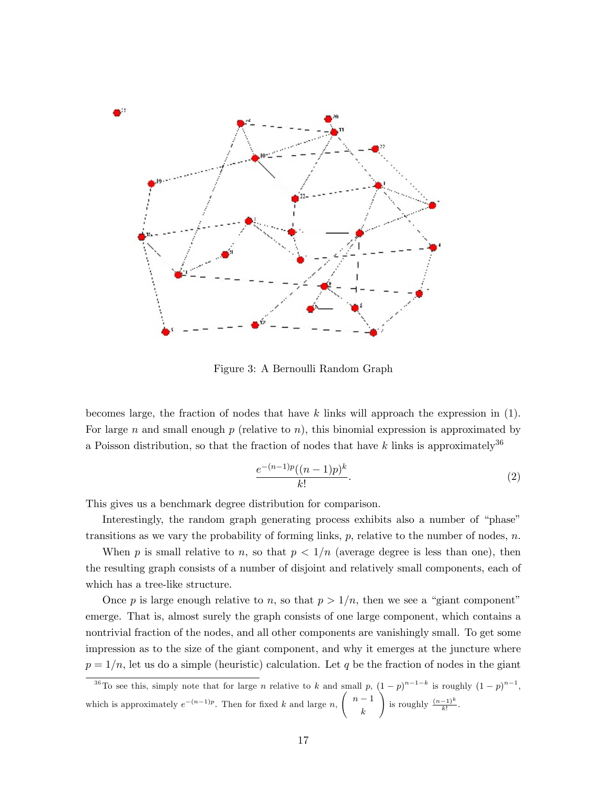

Figure 3: A Bernoulli Random Graph

becomes large, the fraction of nodes that have  $k$  links will approach the expression in  $(1)$ . For large n and small enough  $p$  (relative to  $n$ ), this binomial expression is approximated by a Poisson distribution, so that the fraction of nodes that have  $k$  links is approximately<sup>36</sup>

$$
\frac{e^{-(n-1)p}((n-1)p)^k}{k!}.
$$
 (2)

This gives us a benchmark degree distribution for comparison.

Interestingly, the random graph generating process exhibits also a number of "phase" transitions as we vary the probability of forming links,  $p$ , relative to the number of nodes,  $n$ .

When p is small relative to n, so that  $p < 1/n$  (average degree is less than one), then the resulting graph consists of a number of disjoint and relatively small components, each of which has a tree-like structure.

Once p is large enough relative to n, so that  $p > 1/n$ , then we see a "giant component" emerge. That is, almost surely the graph consists of one large component, which contains a nontrivial fraction of the nodes, and all other components are vanishingly small. To get some impression as to the size of the giant component, and why it emerges at the juncture where  $p = 1/n$ , let us do a simple (heuristic) calculation. Let q be the fraction of nodes in the giant

<sup>&</sup>lt;sup>36</sup>To see this, simply note that for large *n* relative to *k* and small *p*,  $(1-p)^{n-1-k}$  is roughly  $(1-p)^{n-1}$ , which is approximately  $e^{-(n-1)p}$ . Then for fixed k and large n,  $\left( n-1\right)$ k is roughly  $\frac{(n-1)^k}{k!}$ .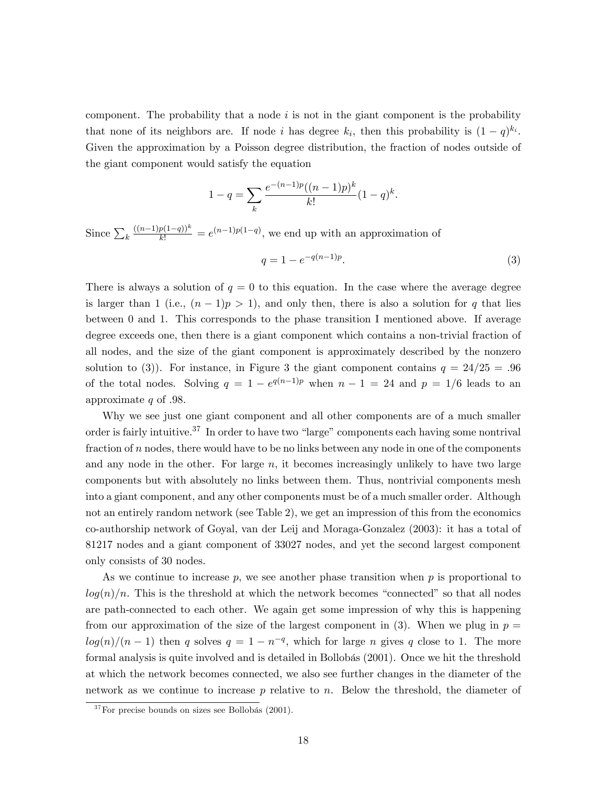component. The probability that a node  $i$  is not in the giant component is the probability that none of its neighbors are. If node i has degree  $k_i$ , then this probability is  $(1-q)^{k_i}$ . Given the approximation by a Poisson degree distribution, the fraction of nodes outside of the giant component would satisfy the equation

$$
1 - q = \sum_{k} \frac{e^{-(n-1)p}((n-1)p)^k}{k!} (1 - q)^k.
$$

Since  $\sum_{k} \frac{((n-1)p(1-q))^{k}}{k!} = e^{(n-1)p(1-q)}$ , we end up with an approximation of

$$
q = 1 - e^{-q(n-1)p}.
$$
\n(3)

There is always a solution of  $q = 0$  to this equation. In the case where the average degree is larger than 1 (i.e.,  $(n-1)p > 1$ ), and only then, there is also a solution for q that lies between 0 and 1. This corresponds to the phase transition I mentioned above. If average degree exceeds one, then there is a giant component which contains a non-trivial fraction of all nodes, and the size of the giant component is approximately described by the nonzero solution to (3)). For instance, in Figure 3 the giant component contains  $q = 24/25 = .96$ of the total nodes. Solving  $q = 1 - e^{q(n-1)p}$  when  $n - 1 = 24$  and  $p = 1/6$  leads to an approximate  $q$  of .98.

Why we see just one giant component and all other components are of a much smaller order is fairly intuitive.<sup>37</sup> In order to have two "large" components each having some nontrival fraction of  $n$  nodes, there would have to be no links between any node in one of the components and any node in the other. For large  $n$ , it becomes increasingly unlikely to have two large components but with absolutely no links between them. Thus, nontrivial components mesh into a giant component, and any other components must be of a much smaller order. Although not an entirely random network (see Table 2), we get an impression of this from the economics co-authorship network of Goyal, van der Leij and Moraga-Gonzalez (2003): it has a total of 81217 nodes and a giant component of 33027 nodes, and yet the second largest component only consists of 30 nodes.

As we continue to increase  $p$ , we see another phase transition when  $p$  is proportional to  $log(n)/n$ . This is the threshold at which the network becomes "connected" so that all nodes are path-connected to each other. We again get some impression of why this is happening from our approximation of the size of the largest component in  $(3)$ . When we plug in  $p =$  $log(n)/(n-1)$  then q solves  $q = 1 - n^{-q}$ , which for large n gives q close to 1. The more formal analysis is quite involved and is detailed in Bollobás  $(2001)$ . Once we hit the threshold at which the network becomes connected, we also see further changes in the diameter of the network as we continue to increase  $p$  relative to  $n$ . Below the threshold, the diameter of

 $37$  For precise bounds on sizes see Bollobás (2001).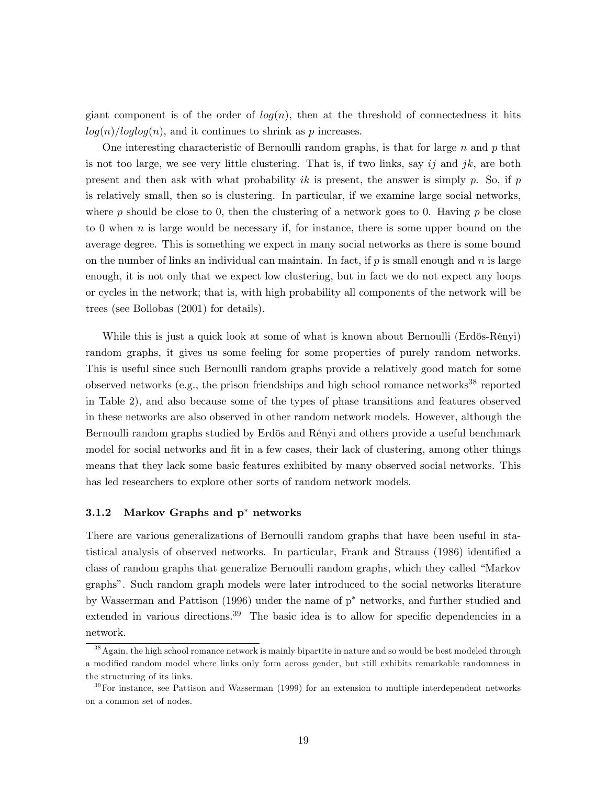giant component is of the order of  $log(n)$ , then at the threshold of connectedness it hits  $log(n)/loglog(n)$ , and it continues to shrink as p increases.

One interesting characteristic of Bernoulli random graphs, is that for large  $n$  and  $p$  that is not too large, we see very little clustering. That is, if two links, say  $ij$  and  $jk$ , are both present and then ask with what probability ik is present, the answer is simply p. So, if p is relatively small, then so is clustering. In particular, if we examine large social networks, where  $p$  should be close to 0, then the clustering of a network goes to 0. Having  $p$  be close to 0 when  $n$  is large would be necessary if, for instance, there is some upper bound on the average degree. This is something we expect in many social networks as there is some bound on the number of links an individual can maintain. In fact, if  $p$  is small enough and  $n$  is large enough, it is not only that we expect low clustering, but in fact we do not expect any loops or cycles in the network; that is, with high probability all components of the network will be trees (see Bollobas (2001) for details).

While this is just a quick look at some of what is known about Bernoulli (Erdös-Rényi) random graphs, it gives us some feeling for some properties of purely random networks. This is useful since such Bernoulli random graphs provide a relatively good match for some observed networks (e.g., the prison friendships and high school romance networks $38$  reported in Table 2), and also because some of the types of phase transitions and features observed in these networks are also observed in other random network models. However, although the Bernoulli random graphs studied by Erdös and Rényi and others provide a useful benchmark model for social networks and fit in a few cases, their lack of clustering, among other things means that they lack some basic features exhibited by many observed social networks. This has led researchers to explore other sorts of random network models.

#### 3.1.2 Markov Graphs and  $p^*$  networks

There are various generalizations of Bernoulli random graphs that have been useful in statistical analysis of observed networks. In particular, Frank and Strauss (1986) identified a class of random graphs that generalize Bernoulli random graphs, which they called "Markov" graphsî. Such random graph models were later introduced to the social networks literature by Wasserman and Pattison (1996) under the name of  $p^*$  networks, and further studied and extended in various directions.<sup>39</sup> The basic idea is to allow for specific dependencies in a network.

<sup>&</sup>lt;sup>38</sup> Again, the high school romance network is mainly bipartite in nature and so would be best modeled through a modiÖed random model where links only form across gender, but still exhibits remarkable randomness in the structuring of its links.

 $39$ For instance, see Pattison and Wasserman (1999) for an extension to multiple interdependent networks on a common set of nodes.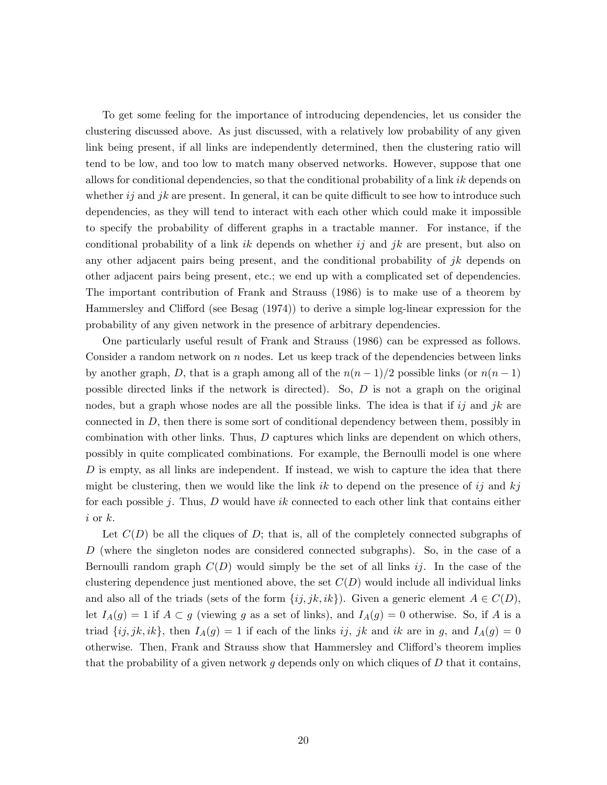To get some feeling for the importance of introducing dependencies, let us consider the clustering discussed above. As just discussed, with a relatively low probability of any given link being present, if all links are independently determined, then the clustering ratio will tend to be low, and too low to match many observed networks. However, suppose that one allows for conditional dependencies, so that the conditional probability of a link  $ik$  depends on whether ij and jk are present. In general, it can be quite difficult to see how to introduce such dependencies, as they will tend to interact with each other which could make it impossible to specify the probability of different graphs in a tractable manner. For instance, if the conditional probability of a link ik depends on whether ij and jk are present, but also on any other adjacent pairs being present, and the conditional probability of  $jk$  depends on other adjacent pairs being present, etc.; we end up with a complicated set of dependencies. The important contribution of Frank and Strauss (1986) is to make use of a theorem by Hammersley and Clifford (see Besag  $(1974)$ ) to derive a simple log-linear expression for the probability of any given network in the presence of arbitrary dependencies.

One particularly useful result of Frank and Strauss (1986) can be expressed as follows. Consider a random network on  $n$  nodes. Let us keep track of the dependencies between links by another graph, D, that is a graph among all of the  $n(n-1)/2$  possible links (or  $n(n-1)$ ) possible directed links if the network is directed). So, D is not a graph on the original nodes, but a graph whose nodes are all the possible links. The idea is that if ij and jk are connected in D, then there is some sort of conditional dependency between them, possibly in combination with other links. Thus,  $D$  captures which links are dependent on which others, possibly in quite complicated combinations. For example, the Bernoulli model is one where D is empty, as all links are independent. If instead, we wish to capture the idea that there might be clustering, then we would like the link ik to depend on the presence of ij and  $kj$ for each possible j. Thus,  $D$  would have ik connected to each other link that contains either  $i$  or  $k$ .

Let  $C(D)$  be all the cliques of D; that is, all of the completely connected subgraphs of D (where the singleton nodes are considered connected subgraphs). So, in the case of a Bernoulli random graph  $C(D)$  would simply be the set of all links ij. In the case of the clustering dependence just mentioned above, the set  $C(D)$  would include all individual links and also all of the triads (sets of the form  $\{ij, jk, ik\}$ ). Given a generic element  $A \in C(D)$ , let  $I_A(g) = 1$  if  $A \subset g$  (viewing g as a set of links), and  $I_A(g) = 0$  otherwise. So, if A is a triad  $\{ij, jk, ik\}$ , then  $I_A(g) = 1$  if each of the links ij, jk and ik are in g, and  $I_A(g) = 0$ otherwise. Then, Frank and Strauss show that Hammersley and Clifford's theorem implies that the probability of a given network g depends only on which cliques of  $D$  that it contains,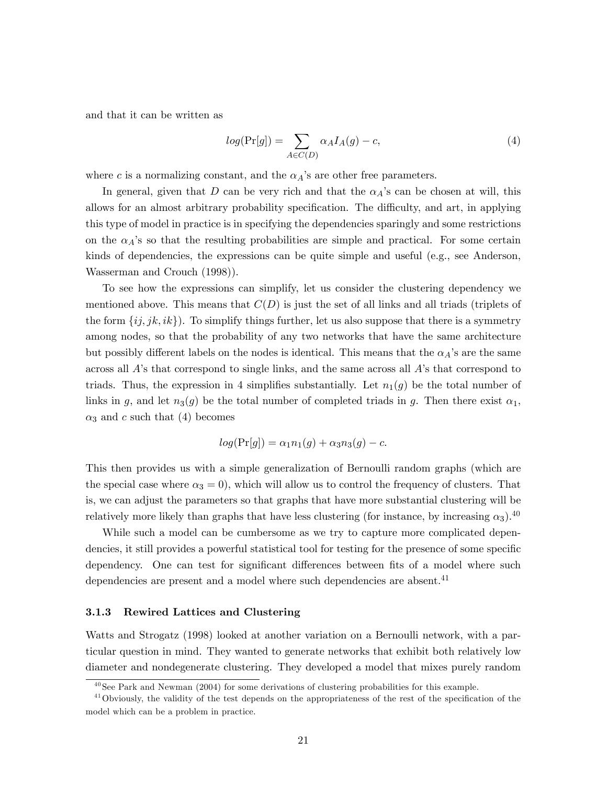and that it can be written as

$$
log(\Pr[g]) = \sum_{A \in C(D)} \alpha_A I_A(g) - c,\tag{4}
$$

where c is a normalizing constant, and the  $\alpha_A$ 's are other free parameters.

In general, given that D can be very rich and that the  $\alpha_A$ 's can be chosen at will, this allows for an almost arbitrary probability specification. The difficulty, and art, in applying this type of model in practice is in specifying the dependencies sparingly and some restrictions on the  $\alpha_A$ 's so that the resulting probabilities are simple and practical. For some certain kinds of dependencies, the expressions can be quite simple and useful (e.g., see Anderson, Wasserman and Crouch (1998)).

To see how the expressions can simplify, let us consider the clustering dependency we mentioned above. This means that  $C(D)$  is just the set of all links and all triads (triplets of the form  $\{ij, jk, ik\}$ . To simplify things further, let us also suppose that there is a symmetry among nodes, so that the probability of any two networks that have the same architecture but possibly different labels on the nodes is identical. This means that the  $\alpha_A$ 's are the same across all  $A$ 's that correspond to single links, and the same across all  $A$ 's that correspond to triads. Thus, the expression in 4 simplifies substantially. Let  $n_1(g)$  be the total number of links in g, and let  $n_3(g)$  be the total number of completed triads in g. Then there exist  $\alpha_1$ ,  $\alpha_3$  and c such that (4) becomes

$$
log(\Pr[g]) = \alpha_1 n_1(g) + \alpha_3 n_3(g) - c.
$$

This then provides us with a simple generalization of Bernoulli random graphs (which are the special case where  $\alpha_3 = 0$ , which will allow us to control the frequency of clusters. That is, we can adjust the parameters so that graphs that have more substantial clustering will be relatively more likely than graphs that have less clustering (for instance, by increasing  $\alpha_3$ ).<sup>40</sup>

While such a model can be cumbersome as we try to capture more complicated dependencies, it still provides a powerful statistical tool for testing for the presence of some specific dependency. One can test for significant differences between fits of a model where such dependencies are present and a model where such dependencies are absent.<sup>41</sup>

#### 3.1.3 Rewired Lattices and Clustering

Watts and Strogatz (1998) looked at another variation on a Bernoulli network, with a particular question in mind. They wanted to generate networks that exhibit both relatively low diameter and nondegenerate clustering. They developed a model that mixes purely random

 $40$  See Park and Newman (2004) for some derivations of clustering probabilities for this example.

 $^{41}$ Obviously, the validity of the test depends on the appropriateness of the rest of the specification of the model which can be a problem in practice.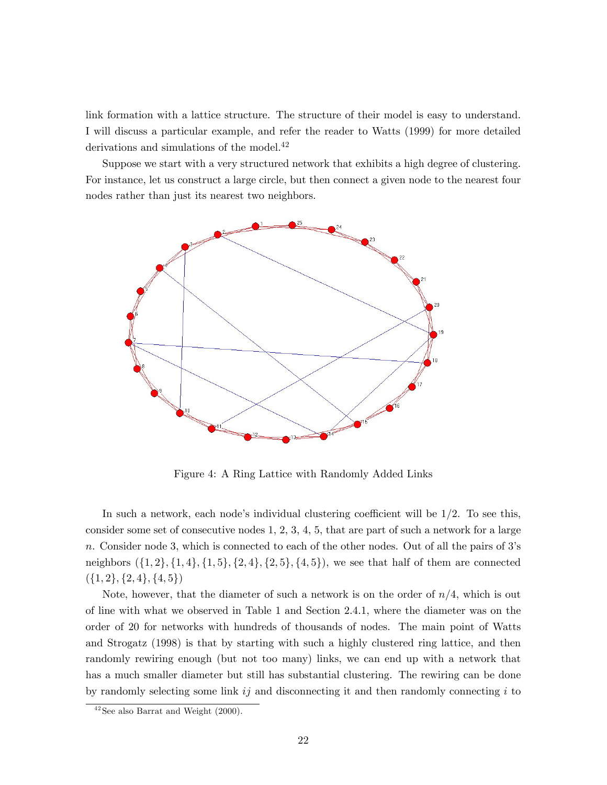link formation with a lattice structure. The structure of their model is easy to understand. I will discuss a particular example, and refer the reader to Watts (1999) for more detailed derivations and simulations of the model.<sup>42</sup>

Suppose we start with a very structured network that exhibits a high degree of clustering. For instance, let us construct a large circle, but then connect a given node to the nearest four nodes rather than just its nearest two neighbors.



Figure 4: A Ring Lattice with Randomly Added Links

In such a network, each node's individual clustering coefficient will be  $1/2$ . To see this, consider some set of consecutive nodes 1, 2, 3, 4, 5, that are part of such a network for a large n. Consider node 3, which is connected to each of the other nodes. Out of all the pairs of  $3$ 's neighbors  $({1, 2}, {1, 4}, {1, 5}, {2, 4}, {2, 5}, {4, 5})$ , we see that half of them are connected  $({1, 2}, {2, 4}, {4, 5})$ 

Note, however, that the diameter of such a network is on the order of  $n/4$ , which is out of line with what we observed in Table 1 and Section 2.4.1, where the diameter was on the order of 20 for networks with hundreds of thousands of nodes. The main point of Watts and Strogatz (1998) is that by starting with such a highly clustered ring lattice, and then randomly rewiring enough (but not too many) links, we can end up with a network that has a much smaller diameter but still has substantial clustering. The rewiring can be done by randomly selecting some link  $ij$  and disconnecting it and then randomly connecting  $i$  to

 $42$  See also Barrat and Weight (2000).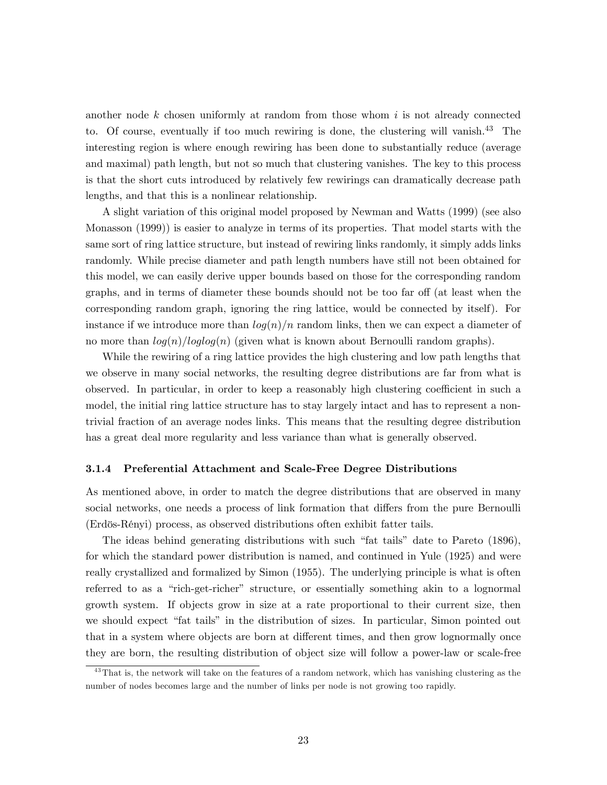another node  $k$  chosen uniformly at random from those whom  $i$  is not already connected to. Of course, eventually if too much rewiring is done, the clustering will vanish.<sup>43</sup> The interesting region is where enough rewiring has been done to substantially reduce (average and maximal) path length, but not so much that clustering vanishes. The key to this process is that the short cuts introduced by relatively few rewirings can dramatically decrease path lengths, and that this is a nonlinear relationship.

A slight variation of this original model proposed by Newman and Watts (1999) (see also Monasson (1999)) is easier to analyze in terms of its properties. That model starts with the same sort of ring lattice structure, but instead of rewiring links randomly, it simply adds links randomly. While precise diameter and path length numbers have still not been obtained for this model, we can easily derive upper bounds based on those for the corresponding random graphs, and in terms of diameter these bounds should not be too far off (at least when the corresponding random graph, ignoring the ring lattice, would be connected by itself). For instance if we introduce more than  $log(n)/n$  random links, then we can expect a diameter of no more than  $log(n)/loglog(n)$  (given what is known about Bernoulli random graphs).

While the rewiring of a ring lattice provides the high clustering and low path lengths that we observe in many social networks, the resulting degree distributions are far from what is observed. In particular, in order to keep a reasonably high clustering coefficient in such a model, the initial ring lattice structure has to stay largely intact and has to represent a nontrivial fraction of an average nodes links. This means that the resulting degree distribution has a great deal more regularity and less variance than what is generally observed.

#### 3.1.4 Preferential Attachment and Scale-Free Degree Distributions

As mentioned above, in order to match the degree distributions that are observed in many social networks, one needs a process of link formation that differs from the pure Bernoulli (Erdˆs-RÈnyi) process, as observed distributions often exhibit fatter tails.

The ideas behind generating distributions with such "fat tails" date to Pareto  $(1896)$ , for which the standard power distribution is named, and continued in Yule (1925) and were really crystallized and formalized by Simon (1955). The underlying principle is what is often referred to as a "rich-get-richer" structure, or essentially something akin to a lognormal growth system. If objects grow in size at a rate proportional to their current size, then we should expect "fat tails" in the distribution of sizes. In particular, Simon pointed out that in a system where objects are born at different times, and then grow lognormally once they are born, the resulting distribution of object size will follow a power-law or scale-free

<sup>&</sup>lt;sup>43</sup>That is, the network will take on the features of a random network, which has vanishing clustering as the number of nodes becomes large and the number of links per node is not growing too rapidly.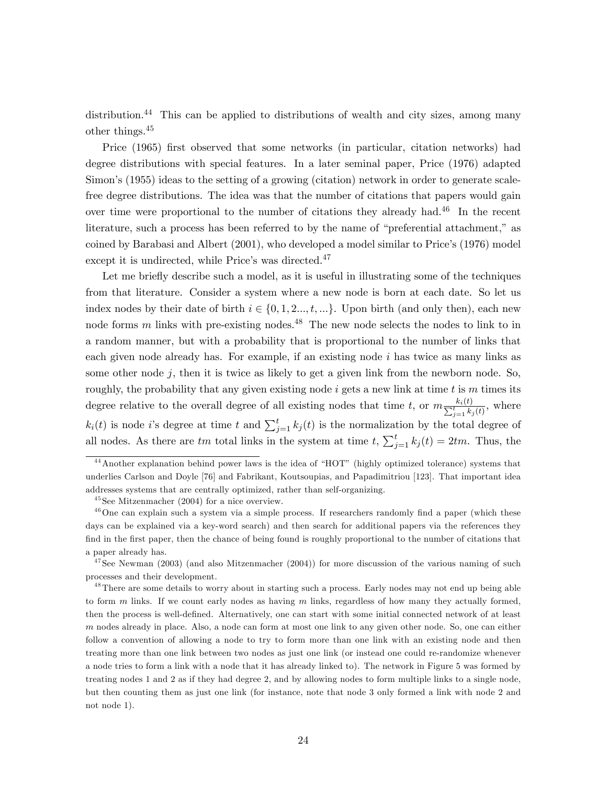distribution.<sup>44</sup> This can be applied to distributions of wealth and city sizes, among many other things.<sup>45</sup>

Price (1965) first observed that some networks (in particular, citation networks) had degree distributions with special features. In a later seminal paper, Price (1976) adapted Simon's (1955) ideas to the setting of a growing (citation) network in order to generate scalefree degree distributions. The idea was that the number of citations that papers would gain over time were proportional to the number of citations they already had. $^{46}$  In the recent literature, such a process has been referred to by the name of "preferential attachment," as coined by Barabasi and Albert (2001), who developed a model similar to Price's (1976) model except it is undirected, while Price's was directed. $47$ 

Let me briefly describe such a model, as it is useful in illustrating some of the techniques from that literature. Consider a system where a new node is born at each date. So let us index nodes by their date of birth  $i \in \{0, 1, 2..., t, ...\}$ . Upon birth (and only then), each new node forms m links with pre-existing nodes.<sup>48</sup> The new node selects the nodes to link to in a random manner, but with a probability that is proportional to the number of links that each given node already has. For example, if an existing node i has twice as many links as some other node j, then it is twice as likely to get a given link from the newborn node. So, roughly, the probability that any given existing node  $i$  gets a new link at time  $t$  is m times its degree relative to the overall degree of all existing nodes that time t, or  $m \frac{k_i(t)}{\sum_{i=1}^{t} k_i(t)}$  $\frac{\kappa_i(t)}{\sum_{j=1}^t k_j(t)},$  where  $k_i(t)$  is node *i*'s degree at time t and  $\sum_{j=1}^t k_j(t)$  is the normalization by the total degree of all nodes. As there are tm total links in the system at time t,  $\sum_{j=1}^{t} k_j(t) = 2tm$ . Thus, the

 $^{44}$ Another explanation behind power laws is the idea of "HOT" (highly optimized tolerance) systems that underlies Carlson and Doyle [76] and Fabrikant, Koutsoupias, and Papadimitriou [123]. That important idea addresses systems that are centrally optimized, rather than self-organizing.

 $^{45}$ See Mitzenmacher (2004) for a nice overview.

 $46$  One can explain such a system via a simple process. If researchers randomly find a paper (which these days can be explained via a key-word search) and then search for additional papers via the references they find in the first paper, then the chance of being found is roughly proportional to the number of citations that a paper already has.

<sup>&</sup>lt;sup>47</sup>See Newman (2003) (and also Mitzenmacher (2004)) for more discussion of the various naming of such processes and their development.

<sup>&</sup>lt;sup>48</sup>There are some details to worry about in starting such a process. Early nodes may not end up being able to form  $m$  links. If we count early nodes as having  $m$  links, regardless of how many they actually formed, then the process is well-defined. Alternatively, one can start with some initial connected network of at least m nodes already in place. Also, a node can form at most one link to any given other node. So, one can either follow a convention of allowing a node to try to form more than one link with an existing node and then treating more than one link between two nodes as just one link (or instead one could re-randomize whenever a node tries to form a link with a node that it has already linked to). The network in Figure 5 was formed by treating nodes 1 and 2 as if they had degree 2, and by allowing nodes to form multiple links to a single node, but then counting them as just one link (for instance, note that node 3 only formed a link with node 2 and not node 1).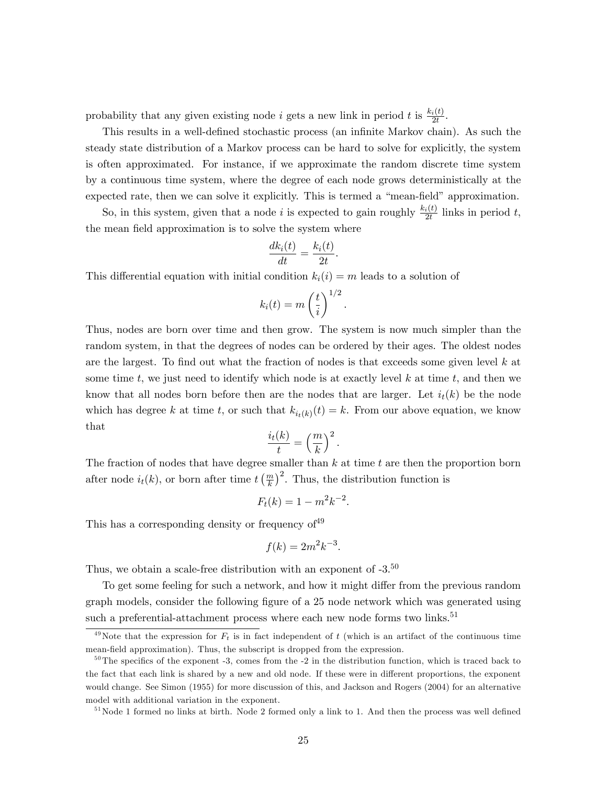probability that any given existing node *i* gets a new link in period *t* is  $\frac{k_i(t)}{2t}$ .

This results in a well-defined stochastic process (an infinite Markov chain). As such the steady state distribution of a Markov process can be hard to solve for explicitly, the system is often approximated. For instance, if we approximate the random discrete time system by a continuous time system, where the degree of each node grows deterministically at the expected rate, then we can solve it explicitly. This is termed a "mean-field" approximation.

So, in this system, given that a node i is expected to gain roughly  $\frac{k_i(t)}{2t}$  links in period t, the mean field approximation is to solve the system where

$$
\frac{dk_i(t)}{dt} = \frac{k_i(t)}{2t}.
$$

This differential equation with initial condition  $k_i(i) = m$  leads to a solution of

$$
k_i(t) = m\left(\frac{t}{i}\right)^{1/2}.
$$

Thus, nodes are born over time and then grow. The system is now much simpler than the random system, in that the degrees of nodes can be ordered by their ages. The oldest nodes are the largest. To find out what the fraction of nodes is that exceeds some given level  $k$  at some time  $t$ , we just need to identify which node is at exactly level  $k$  at time  $t$ , and then we know that all nodes born before then are the nodes that are larger. Let  $i_t(k)$  be the node which has degree k at time t, or such that  $k_{i(t)}(t) = k$ . From our above equation, we know that

$$
\frac{i_t(k)}{t} = \left(\frac{m}{k}\right)^2.
$$

The fraction of nodes that have degree smaller than  $k$  at time  $t$  are then the proportion born after node  $i_t(k)$ , or born after time  $t\left(\frac{m}{k}\right)^2$ . Thus, the distribution function is

$$
F_t(k) = 1 - m^2 k^{-2}.
$$

This has a corresponding density or frequency of  $49$ 

$$
f(k) = 2m^2k^{-3}.
$$

Thus, we obtain a scale-free distribution with an exponent of  $-3$ .<sup>50</sup>

To get some feeling for such a network, and how it might differ from the previous random graph models, consider the following figure of a 25 node network which was generated using such a preferential-attachment process where each new node forms two links.<sup>51</sup>

<sup>&</sup>lt;sup>49</sup>Note that the expression for  $F_t$  is in fact independent of t (which is an artifact of the continuous time mean-field approximation). Thus, the subscript is dropped from the expression.

 $50$ The specifics of the exponent -3, comes from the -2 in the distribution function, which is traced back to the fact that each link is shared by a new and old node. If these were in different proportions, the exponent would change. See Simon (1955) for more discussion of this, and Jackson and Rogers (2004) for an alternative model with additional variation in the exponent.

 $51$ Node 1 formed no links at birth. Node 2 formed only a link to 1. And then the process was well defined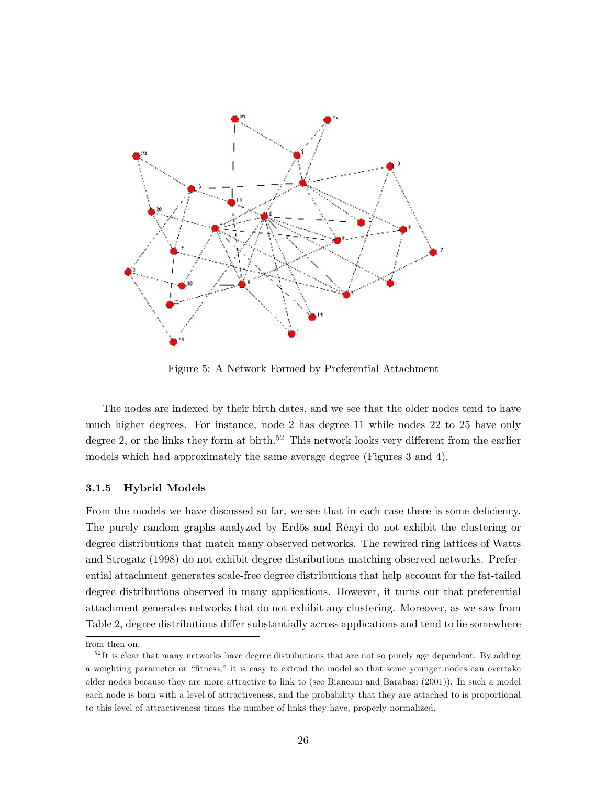

Figure 5: A Network Formed by Preferential Attachment

The nodes are indexed by their birth dates, and we see that the older nodes tend to have much higher degrees. For instance, node 2 has degree 11 while nodes 22 to 25 have only degree 2, or the links they form at birth.<sup>52</sup> This network looks very different from the earlier models which had approximately the same average degree (Figures 3 and 4).

#### 3.1.5 Hybrid Models

From the models we have discussed so far, we see that in each case there is some deficiency. The purely random graphs analyzed by Erdös and Rényi do not exhibit the clustering or degree distributions that match many observed networks. The rewired ring lattices of Watts and Strogatz (1998) do not exhibit degree distributions matching observed networks. Preferential attachment generates scale-free degree distributions that help account for the fat-tailed degree distributions observed in many applications. However, it turns out that preferential attachment generates networks that do not exhibit any clustering. Moreover, as we saw from Table 2, degree distributions differ substantially across applications and tend to lie somewhere

from then on.

 $52$ It is clear that many networks have degree distributions that are not so purely age dependent. By adding a weighting parameter or "fitness," it is easy to extend the model so that some younger nodes can overtake older nodes because they are more attractive to link to (see Bianconi and Barabasi (2001)). In such a model each node is born with a level of attractiveness, and the probability that they are attached to is proportional to this level of attractiveness times the number of links they have, properly normalized.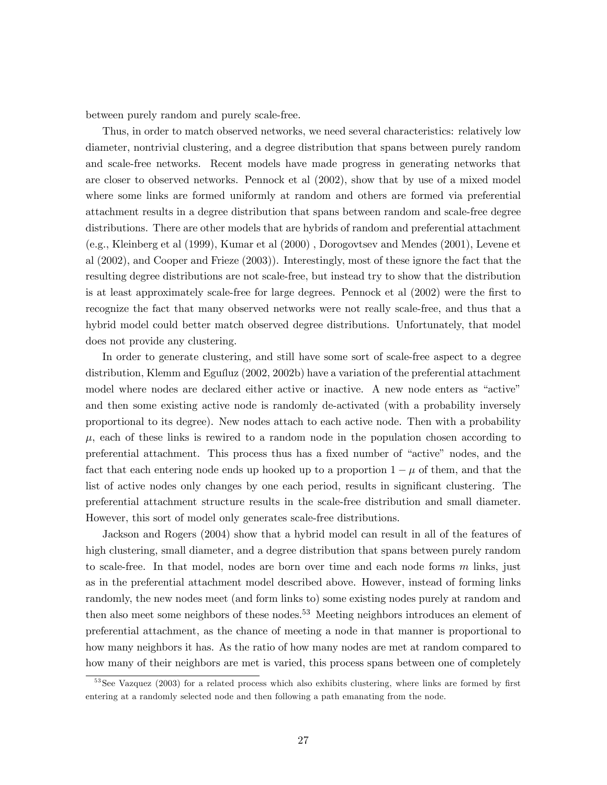between purely random and purely scale-free.

Thus, in order to match observed networks, we need several characteristics: relatively low diameter, nontrivial clustering, and a degree distribution that spans between purely random and scale-free networks. Recent models have made progress in generating networks that are closer to observed networks. Pennock et al (2002), show that by use of a mixed model where some links are formed uniformly at random and others are formed via preferential attachment results in a degree distribution that spans between random and scale-free degree distributions. There are other models that are hybrids of random and preferential attachment (e.g., Kleinberg et al (1999), Kumar et al (2000) , Dorogovtsev and Mendes (2001), Levene et al (2002), and Cooper and Frieze (2003)). Interestingly, most of these ignore the fact that the resulting degree distributions are not scale-free, but instead try to show that the distribution is at least approximately scale-free for large degrees. Pennock et al  $(2002)$  were the first to recognize the fact that many observed networks were not really scale-free, and thus that a hybrid model could better match observed degree distributions. Unfortunately, that model does not provide any clustering.

In order to generate clustering, and still have some sort of scale-free aspect to a degree distribution, Klemm and Eguíluz (2002, 2002b) have a variation of the preferential attachment model where nodes are declared either active or inactive. A new node enters as "active" and then some existing active node is randomly de-activated (with a probability inversely proportional to its degree). New nodes attach to each active node. Then with a probability  $\mu$ , each of these links is rewired to a random node in the population chosen according to preferential attachment. This process thus has a fixed number of "active" nodes, and the fact that each entering node ends up hooked up to a proportion  $1 - \mu$  of them, and that the list of active nodes only changes by one each period, results in significant clustering. The preferential attachment structure results in the scale-free distribution and small diameter. However, this sort of model only generates scale-free distributions.

Jackson and Rogers (2004) show that a hybrid model can result in all of the features of high clustering, small diameter, and a degree distribution that spans between purely random to scale-free. In that model, nodes are born over time and each node forms  $m$  links, just as in the preferential attachment model described above. However, instead of forming links randomly, the new nodes meet (and form links to) some existing nodes purely at random and then also meet some neighbors of these nodes.<sup>53</sup> Meeting neighbors introduces an element of preferential attachment, as the chance of meeting a node in that manner is proportional to how many neighbors it has. As the ratio of how many nodes are met at random compared to how many of their neighbors are met is varied, this process spans between one of completely

 $53$  See Vazquez (2003) for a related process which also exhibits clustering, where links are formed by first entering at a randomly selected node and then following a path emanating from the node.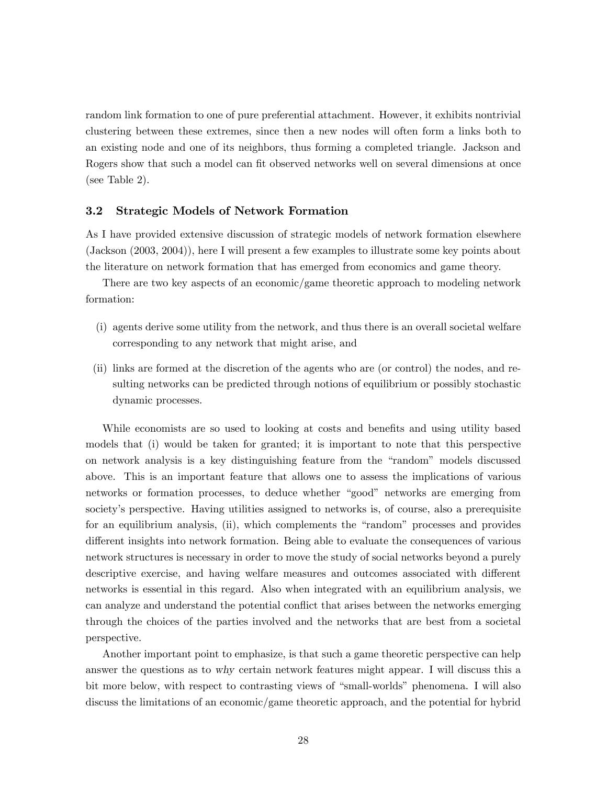random link formation to one of pure preferential attachment. However, it exhibits nontrivial clustering between these extremes, since then a new nodes will often form a links both to an existing node and one of its neighbors, thus forming a completed triangle. Jackson and Rogers show that such a model can fit observed networks well on several dimensions at once (see Table 2).

#### 3.2 Strategic Models of Network Formation

As I have provided extensive discussion of strategic models of network formation elsewhere (Jackson (2003, 2004)), here I will present a few examples to illustrate some key points about the literature on network formation that has emerged from economics and game theory.

There are two key aspects of an economic/game theoretic approach to modeling network formation:

- (i) agents derive some utility from the network, and thus there is an overall societal welfare corresponding to any network that might arise, and
- (ii) links are formed at the discretion of the agents who are (or control) the nodes, and resulting networks can be predicted through notions of equilibrium or possibly stochastic dynamic processes.

While economists are so used to looking at costs and benefits and using utility based models that (i) would be taken for granted; it is important to note that this perspective on network analysis is a key distinguishing feature from the "random" models discussed above. This is an important feature that allows one to assess the implications of various networks or formation processes, to deduce whether "good" networks are emerging from society's perspective. Having utilities assigned to networks is, of course, also a prerequisite for an equilibrium analysis, (ii), which complements the "random" processes and provides different insights into network formation. Being able to evaluate the consequences of various network structures is necessary in order to move the study of social networks beyond a purely descriptive exercise, and having welfare measures and outcomes associated with different networks is essential in this regard. Also when integrated with an equilibrium analysis, we can analyze and understand the potential conflict that arises between the networks emerging through the choices of the parties involved and the networks that are best from a societal perspective.

Another important point to emphasize, is that such a game theoretic perspective can help answer the questions as to why certain network features might appear. I will discuss this a bit more below, with respect to contrasting views of "small-worlds" phenomena. I will also discuss the limitations of an economic/game theoretic approach, and the potential for hybrid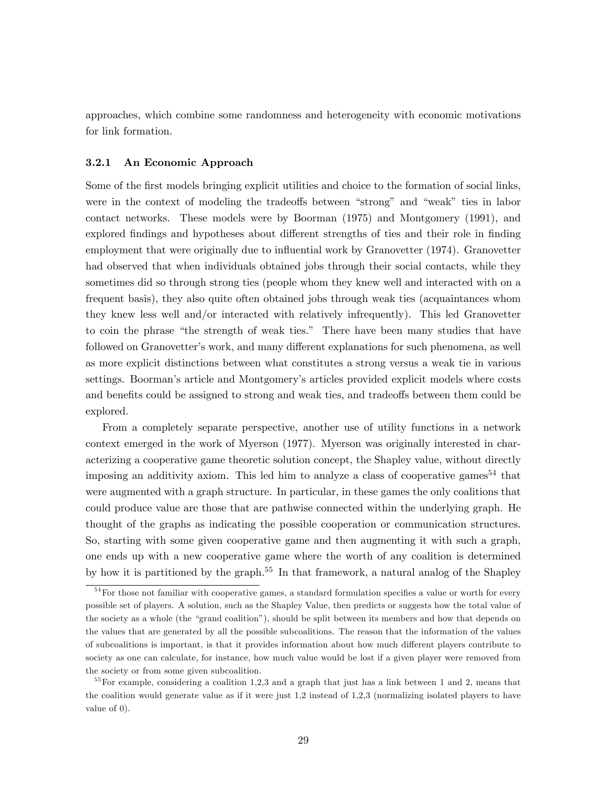approaches, which combine some randomness and heterogeneity with economic motivations for link formation.

#### 3.2.1 An Economic Approach

Some of the first models bringing explicit utilities and choice to the formation of social links, were in the context of modeling the tradeoffs between "strong" and "weak" ties in labor contact networks. These models were by Boorman (1975) and Montgomery (1991), and explored findings and hypotheses about different strengths of ties and their role in finding employment that were originally due to influential work by Granovetter (1974). Granovetter had observed that when individuals obtained jobs through their social contacts, while they sometimes did so through strong ties (people whom they knew well and interacted with on a frequent basis), they also quite often obtained jobs through weak ties (acquaintances whom they knew less well and/or interacted with relatively infrequently). This led Granovetter to coin the phrase "the strength of weak ties." There have been many studies that have followed on Granovetter's work, and many different explanations for such phenomena, as well as more explicit distinctions between what constitutes a strong versus a weak tie in various settings. Boorman's article and Montgomery's articles provided explicit models where costs and benefits could be assigned to strong and weak ties, and tradeoffs between them could be explored.

From a completely separate perspective, another use of utility functions in a network context emerged in the work of Myerson (1977). Myerson was originally interested in characterizing a cooperative game theoretic solution concept, the Shapley value, without directly imposing an additivity axiom. This led him to analyze a class of cooperative games<sup> $54$ </sup> that were augmented with a graph structure. In particular, in these games the only coalitions that could produce value are those that are pathwise connected within the underlying graph. He thought of the graphs as indicating the possible cooperation or communication structures. So, starting with some given cooperative game and then augmenting it with such a graph, one ends up with a new cooperative game where the worth of any coalition is determined by how it is partitioned by the graph.<sup>55</sup> In that framework, a natural analog of the Shapley

 $54$  For those not familiar with cooperative games, a standard formulation specifies a value or worth for every possible set of players. A solution, such as the Shapley Value, then predicts or suggests how the total value of the society as a whole (the "grand coalition"), should be split between its members and how that depends on the values that are generated by all the possible subcoalitions. The reason that the information of the values of subcoalitions is important, is that it provides information about how much different players contribute to society as one can calculate, for instance, how much value would be lost if a given player were removed from the society or from some given subcoalition.

 $55$  For example, considering a coalition 1,2,3 and a graph that just has a link between 1 and 2, means that the coalition would generate value as if it were just 1,2 instead of 1,2,3 (normalizing isolated players to have value of 0).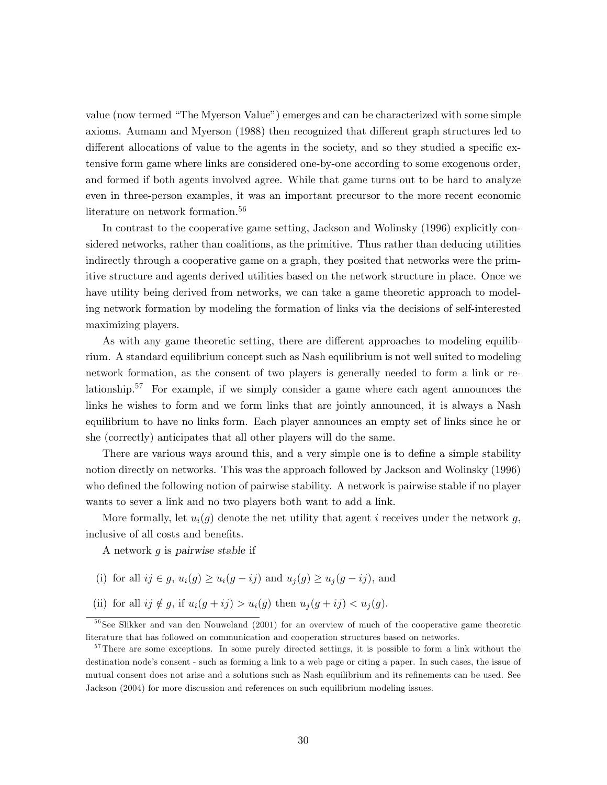value (now termed "The Myerson Value") emerges and can be characterized with some simple axioms. Aumann and Myerson (1988) then recognized that different graph structures led to different allocations of value to the agents in the society, and so they studied a specific extensive form game where links are considered one-by-one according to some exogenous order, and formed if both agents involved agree. While that game turns out to be hard to analyze even in three-person examples, it was an important precursor to the more recent economic literature on network formation.<sup>56</sup>

In contrast to the cooperative game setting, Jackson and Wolinsky (1996) explicitly considered networks, rather than coalitions, as the primitive. Thus rather than deducing utilities indirectly through a cooperative game on a graph, they posited that networks were the primitive structure and agents derived utilities based on the network structure in place. Once we have utility being derived from networks, we can take a game theoretic approach to modeling network formation by modeling the formation of links via the decisions of self-interested maximizing players.

As with any game theoretic setting, there are different approaches to modeling equilibrium. A standard equilibrium concept such as Nash equilibrium is not well suited to modeling network formation, as the consent of two players is generally needed to form a link or relationship.<sup>57</sup> For example, if we simply consider a game where each agent announces the links he wishes to form and we form links that are jointly announced, it is always a Nash equilibrium to have no links form. Each player announces an empty set of links since he or she (correctly) anticipates that all other players will do the same.

There are various ways around this, and a very simple one is to define a simple stability notion directly on networks. This was the approach followed by Jackson and Wolinsky (1996) who defined the following notion of pairwise stability. A network is pairwise stable if no player wants to sever a link and no two players both want to add a link.

More formally, let  $u_i(g)$  denote the net utility that agent i receives under the network g, inclusive of all costs and benefits.

A network g is pairwise stable if

- (i) for all  $ij \in g$ ,  $u_i(g) \ge u_i(g ij)$  and  $u_i(g) \ge u_i(g ij)$ , and
- (ii) for all  $ij \notin g$ , if  $u_i(g + ij) > u_i(g)$  then  $u_j(g + ij) < u_j(g)$ .

 $56$ See Slikker and van den Nouweland (2001) for an overview of much of the cooperative game theoretic literature that has followed on communication and cooperation structures based on networks.

<sup>&</sup>lt;sup>57</sup>There are some exceptions. In some purely directed settings, it is possible to form a link without the destination node's consent - such as forming a link to a web page or citing a paper. In such cases, the issue of mutual consent does not arise and a solutions such as Nash equilibrium and its refinements can be used. See Jackson (2004) for more discussion and references on such equilibrium modeling issues.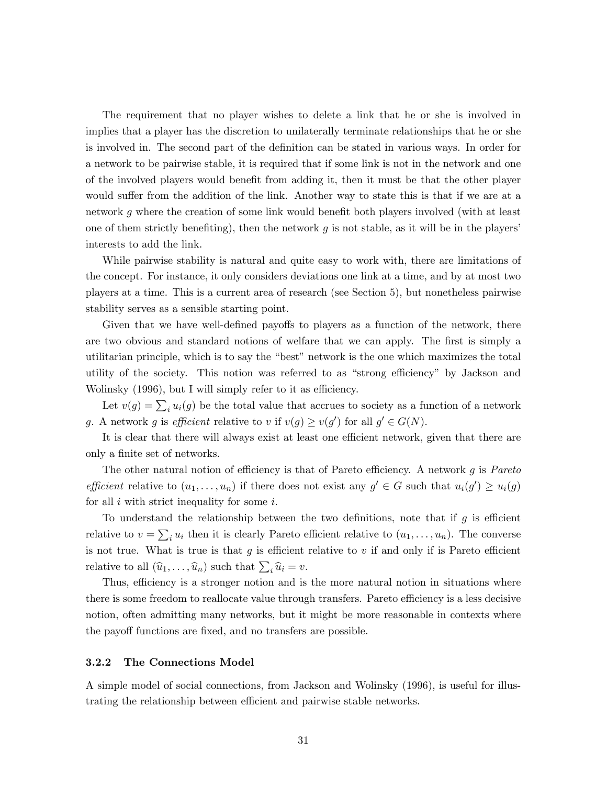The requirement that no player wishes to delete a link that he or she is involved in implies that a player has the discretion to unilaterally terminate relationships that he or she is involved in. The second part of the definition can be stated in various ways. In order for a network to be pairwise stable, it is required that if some link is not in the network and one of the involved players would beneÖt from adding it, then it must be that the other player would suffer from the addition of the link. Another way to state this is that if we are at a network  $g$  where the creation of some link would benefit both players involved (with at least one of them strictly benefiting), then the network  $g$  is not stable, as it will be in the players' interests to add the link.

While pairwise stability is natural and quite easy to work with, there are limitations of the concept. For instance, it only considers deviations one link at a time, and by at most two players at a time. This is a current area of research (see Section 5), but nonetheless pairwise stability serves as a sensible starting point.

Given that we have well-defined payoffs to players as a function of the network, there are two obvious and standard notions of welfare that we can apply. The first is simply a utilitarian principle, which is to say the "best" network is the one which maximizes the total utility of the society. This notion was referred to as "strong efficiency" by Jackson and Wolinsky  $(1996)$ , but I will simply refer to it as efficiency.

Let  $v(g) = \sum_i u_i(g)$  be the total value that accrues to society as a function of a network g. A network g is efficient relative to v if  $v(g) \ge v(g')$  for all  $g' \in G(N)$ .

It is clear that there will always exist at least one efficient network, given that there are only a finite set of networks.

The other natural notion of efficiency is that of Pareto efficiency. A network g is Pareto *efficient* relative to  $(u_1, \ldots, u_n)$  if there does not exist any  $g' \in G$  such that  $u_i(g') \ge u_i(g)$ for all  $i$  with strict inequality for some  $i$ .

To understand the relationship between the two definitions, note that if  $g$  is efficient relative to  $v = \sum_i u_i$  then it is clearly Pareto efficient relative to  $(u_1, \ldots, u_n)$ . The converse is not true. What is true is that  $g$  is efficient relative to  $v$  if and only if is Pareto efficient relative to all  $(\widehat{u}_1, \ldots, \widehat{u}_n)$  such that  $\sum_i \widehat{u}_i = v$ .

Thus, efficiency is a stronger notion and is the more natural notion in situations where there is some freedom to reallocate value through transfers. Pareto efficiency is a less decisive notion, often admitting many networks, but it might be more reasonable in contexts where the payoff functions are fixed, and no transfers are possible.

#### 3.2.2 The Connections Model

A simple model of social connections, from Jackson and Wolinsky (1996), is useful for illustrating the relationship between efficient and pairwise stable networks.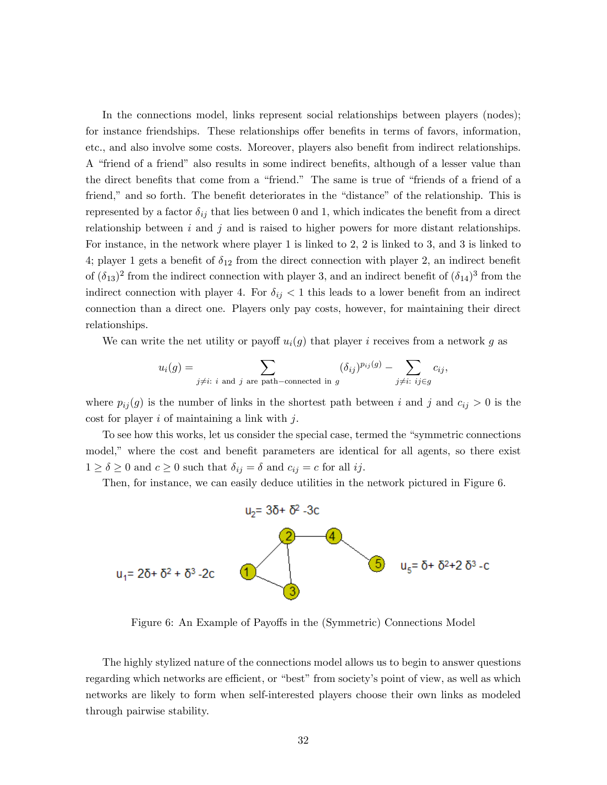In the connections model, links represent social relationships between players (nodes); for instance friendships. These relationships offer benefits in terms of favors, information, etc., and also involve some costs. Moreover, players also benefit from indirect relationships. A "friend of a friend" also results in some indirect benefits, although of a lesser value than the direct benefits that come from a "friend." The same is true of "friends of a friend of a friend," and so forth. The benefit deteriorates in the "distance" of the relationship. This is represented by a factor  $\delta_{ij}$  that lies between 0 and 1, which indicates the benefit from a direct relationship between i and j and is raised to higher powers for more distant relationships. For instance, in the network where player 1 is linked to 2, 2 is linked to 3, and 3 is linked to 4; player 1 gets a benefit of  $\delta_{12}$  from the direct connection with player 2, an indirect benefit of  $(\delta_{13})^2$  from the indirect connection with player 3, and an indirect benefit of  $(\delta_{14})^3$  from the indirect connection with player 4. For  $\delta_{ij}$  < 1 this leads to a lower benefit from an indirect connection than a direct one. Players only pay costs, however, for maintaining their direct relationships.

We can write the net utility or payoff  $u_i(g)$  that player i receives from a network g as

$$
u_i(g) = \sum_{j \neq i: i \text{ and } j \text{ are path-connected in } g} (\delta_{ij})^{p_{ij}(g)} - \sum_{j \neq i: \; ij \in g} c_{ij},
$$

where  $p_{ij}(g)$  is the number of links in the shortest path between i and j and  $c_{ij} > 0$  is the cost for player  $i$  of maintaining a link with  $j$ .

To see how this works, let us consider the special case, termed the "symmetric connections" model," where the cost and benefit parameters are identical for all agents, so there exist  $1 \ge \delta \ge 0$  and  $c \ge 0$  such that  $\delta_{ij} = \delta$  and  $c_{ij} = c$  for all ij.

Then, for instance, we can easily deduce utilities in the network pictured in Figure 6.



Figure 6: An Example of Payoffs in the (Symmetric) Connections Model

The highly stylized nature of the connections model allows us to begin to answer questions regarding which networks are efficient, or "best" from society's point of view, as well as which networks are likely to form when self-interested players choose their own links as modeled through pairwise stability.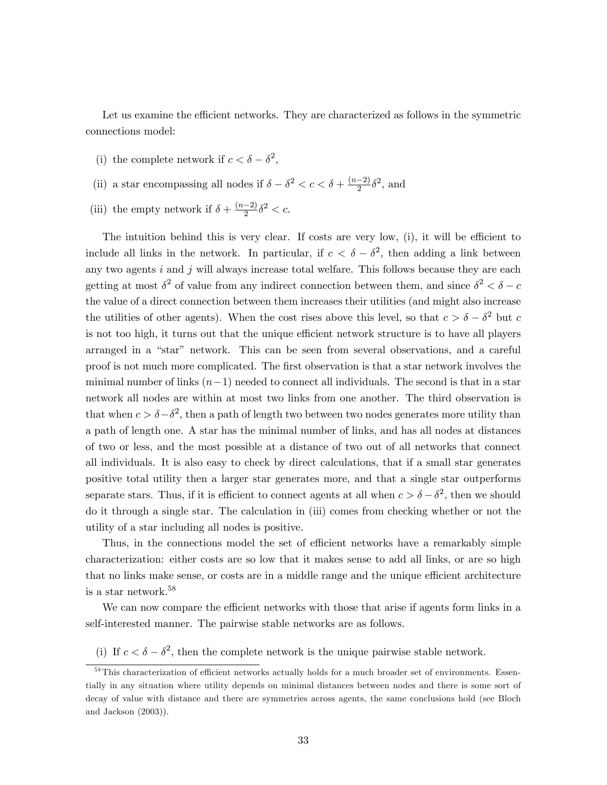Let us examine the efficient networks. They are characterized as follows in the symmetric connections model:

- (i) the complete network if  $c < \delta \delta^2$ ,
- (ii) a star encompassing all nodes if  $\delta \delta^2 < c < \delta + \frac{(n-2)}{2} \delta^2$ , and
- (iii) the empty network if  $\delta + \frac{(n-2)}{2} \delta^2 < c$ .

The intuition behind this is very clear. If costs are very low,  $(i)$ , it will be efficient to include all links in the network. In particular, if  $c < \delta - \delta^2$ , then adding a link between any two agents  $i$  and  $j$  will always increase total welfare. This follows because they are each getting at most  $\delta^2$  of value from any indirect connection between them, and since  $\delta^2 < \delta - c$ the value of a direct connection between them increases their utilities (and might also increase the utilities of other agents). When the cost rises above this level, so that  $c > \delta - \delta^2$  but c is not too high, it turns out that the unique efficient network structure is to have all players arranged in a "star" network. This can be seen from several observations, and a careful proof is not much more complicated. The Örst observation is that a star network involves the minimal number of links  $(n-1)$  needed to connect all individuals. The second is that in a star network all nodes are within at most two links from one another. The third observation is that when  $c > \delta - \delta^2$ , then a path of length two between two nodes generates more utility than a path of length one. A star has the minimal number of links, and has all nodes at distances of two or less, and the most possible at a distance of two out of all networks that connect all individuals. It is also easy to check by direct calculations, that if a small star generates positive total utility then a larger star generates more, and that a single star outperforms separate stars. Thus, if it is efficient to connect agents at all when  $c > \delta - \delta^2$ , then we should do it through a single star. The calculation in (iii) comes from checking whether or not the utility of a star including all nodes is positive.

Thus, in the connections model the set of efficient networks have a remarkably simple characterization: either costs are so low that it makes sense to add all links, or are so high that no links make sense, or costs are in a middle range and the unique efficient architecture is a star network.<sup>58</sup>

We can now compare the efficient networks with those that arise if agents form links in a self-interested manner. The pairwise stable networks are as follows.

(i) If  $c < \delta - \delta^2$ , then the complete network is the unique pairwise stable network.

 $58$ This characterization of efficient networks actually holds for a much broader set of environments. Essentially in any situation where utility depends on minimal distances between nodes and there is some sort of decay of value with distance and there are symmetries across agents, the same conclusions hold (see Bloch and Jackson (2003)).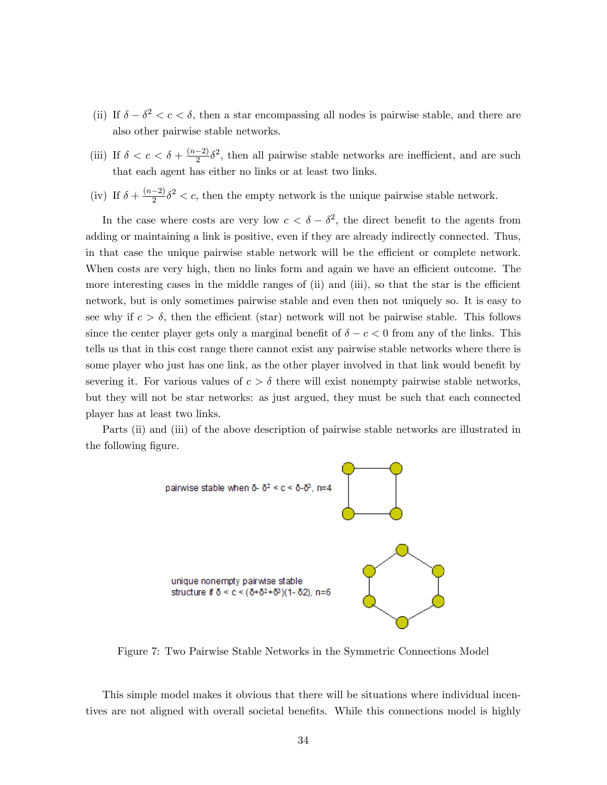- (ii) If  $\delta \delta^2 < c < \delta$ , then a star encompassing all nodes is pairwise stable, and there are also other pairwise stable networks.
- (iii) If  $\delta < c < \delta + \frac{(n-2)}{2} \delta^2$ , then all pairwise stable networks are inefficient, and are such that each agent has either no links or at least two links.
- (iv) If  $\delta + \frac{(n-2)}{2} \delta^2 < c$ , then the empty network is the unique pairwise stable network.

In the case where costs are very low  $c < \delta - \delta^2$ , the direct benefit to the agents from adding or maintaining a link is positive, even if they are already indirectly connected. Thus, in that case the unique pairwise stable network will be the efficient or complete network. When costs are very high, then no links form and again we have an efficient outcome. The more interesting cases in the middle ranges of  $(ii)$  and  $(iii)$ , so that the star is the efficient network, but is only sometimes pairwise stable and even then not uniquely so. It is easy to see why if  $c > \delta$ , then the efficient (star) network will not be pairwise stable. This follows since the center player gets only a marginal benefit of  $\delta - c < 0$  from any of the links. This tells us that in this cost range there cannot exist any pairwise stable networks where there is some player who just has one link, as the other player involved in that link would benefit by severing it. For various values of  $c > \delta$  there will exist nonempty pairwise stable networks, but they will not be star networks: as just argued, they must be such that each connected player has at least two links.

Parts (ii) and (iii) of the above description of pairwise stable networks are illustrated in the following figure.



Figure 7: Two Pairwise Stable Networks in the Symmetric Connections Model

This simple model makes it obvious that there will be situations where individual incentives are not aligned with overall societal benefits. While this connections model is highly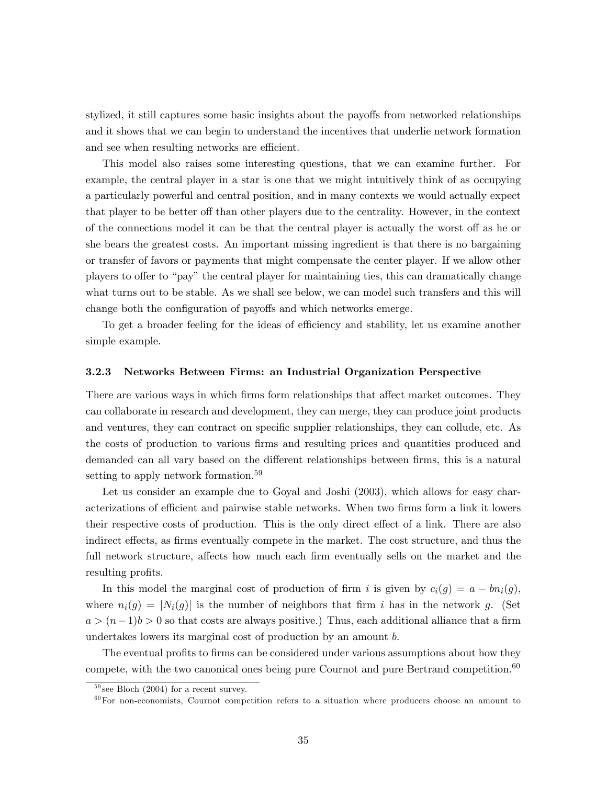stylized, it still captures some basic insights about the payoffs from networked relationships and it shows that we can begin to understand the incentives that underlie network formation and see when resulting networks are efficient.

This model also raises some interesting questions, that we can examine further. For example, the central player in a star is one that we might intuitively think of as occupying a particularly powerful and central position, and in many contexts we would actually expect that player to be better off than other players due to the centrality. However, in the context of the connections model it can be that the central player is actually the worst off as he or she bears the greatest costs. An important missing ingredient is that there is no bargaining or transfer of favors or payments that might compensate the center player. If we allow other players to offer to "pay" the central player for maintaining ties, this can dramatically change what turns out to be stable. As we shall see below, we can model such transfers and this will change both the configuration of payoffs and which networks emerge.

To get a broader feeling for the ideas of efficiency and stability, let us examine another simple example.

#### 3.2.3 Networks Between Firms: an Industrial Organization Perspective

There are various ways in which firms form relationships that affect market outcomes. They can collaborate in research and development, they can merge, they can produce joint products and ventures, they can contract on specific supplier relationships, they can collude, etc. As the costs of production to various firms and resulting prices and quantities produced and demanded can all vary based on the different relationships between firms, this is a natural setting to apply network formation.<sup>59</sup>

Let us consider an example due to Goyal and Joshi (2003), which allows for easy characterizations of efficient and pairwise stable networks. When two firms form a link it lowers their respective costs of production. This is the only direct effect of a link. There are also indirect effects, as firms eventually compete in the market. The cost structure, and thus the full network structure, affects how much each firm eventually sells on the market and the resulting profits.

In this model the marginal cost of production of firm i is given by  $c_i(g) = a - bn_i(g)$ , where  $n_i(g) = |N_i(g)|$  is the number of neighbors that firm i has in the network g. (Set  $a > (n-1)b > 0$  so that costs are always positive.) Thus, each additional alliance that a firm undertakes lowers its marginal cost of production by an amount b.

The eventual profits to firms can be considered under various assumptions about how they compete, with the two canonical ones being pure Cournot and pure Bertrand competition. $60$ 

 $59$  see Bloch (2004) for a recent survey.

 $60$  For non-economists, Cournot competition refers to a situation where producers choose an amount to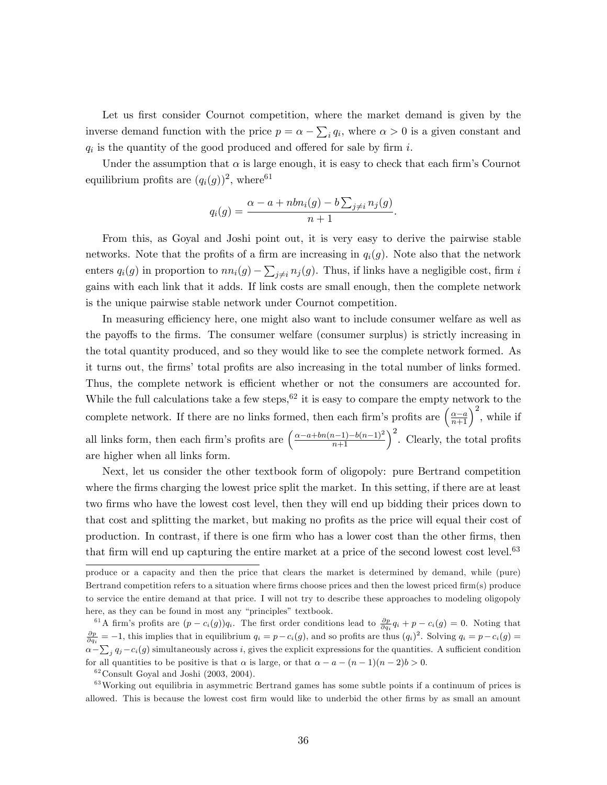Let us first consider Cournot competition, where the market demand is given by the inverse demand function with the price  $p = \alpha - \sum_i q_i$ , where  $\alpha > 0$  is a given constant and  $q_i$  is the quantity of the good produced and offered for sale by firm i.

Under the assumption that  $\alpha$  is large enough, it is easy to check that each firm's Cournot equilibrium profits are  $(q_i(g))^2$ , where<sup>61</sup>

$$
q_i(g) = \frac{\alpha - a + nbn_i(g) - b\sum_{j \neq i} n_j(g)}{n+1}.
$$

From this, as Goyal and Joshi point out, it is very easy to derive the pairwise stable networks. Note that the profits of a firm are increasing in  $q_i(g)$ . Note also that the network enters  $q_i(g)$  in proportion to  $nn_i(g) - \sum_{j \neq i} n_j(g)$ . Thus, if links have a negligible cost, firm i gains with each link that it adds. If link costs are small enough, then the complete network is the unique pairwise stable network under Cournot competition.

In measuring efficiency here, one might also want to include consumer welfare as well as the payoffs to the firms. The consumer welfare (consumer surplus) is strictly increasing in the total quantity produced, and so they would like to see the complete network formed. As it turns out, the firms' total profits are also increasing in the total number of links formed. Thus, the complete network is efficient whether or not the consumers are accounted for. While the full calculations take a few steps,  $62$  it is easy to compare the empty network to the complete network. If there are no links formed, then each firm's profits are  $\left(\frac{\alpha-a}{n+1}\right)^2$ , while if all links form, then each firm's profits are  $\left(\frac{\alpha-a+bn(n-1)-b(n-1)^2}{n+1}\right)^2$ . Clearly, the total profits are higher when all links form.

Next, let us consider the other textbook form of oligopoly: pure Bertrand competition where the firms charging the lowest price split the market. In this setting, if there are at least two firms who have the lowest cost level, then they will end up bidding their prices down to that cost and splitting the market, but making no profits as the price will equal their cost of production. In contrast, if there is one firm who has a lower cost than the other firms, then that firm will end up capturing the entire market at a price of the second lowest cost level. $^{63}$ 

 $62$  Consult Goyal and Joshi (2003, 2004).

<sup>63</sup> Working out equilibria in asymmetric Bertrand games has some subtle points if a continuum of prices is allowed. This is because the lowest cost Örm would like to underbid the other Örms by as small an amount

produce or a capacity and then the price that clears the market is determined by demand, while (pure) Bertrand competition refers to a situation where firms choose prices and then the lowest priced firm(s) produce to service the entire demand at that price. I will not try to describe these approaches to modeling oligopoly here, as they can be found in most any "principles" textbook.

<sup>&</sup>lt;sup>61</sup>A firm's profits are  $(p - c_i(g))q_i$ . The first order conditions lead to  $\frac{\partial p}{\partial q_i}q_i + p - c_i(g) = 0$ . Noting that  $\frac{\partial p}{\partial q_i} = -1$ , this implies that in equilibrium  $q_i = p - c_i(q)$ , and so profits are thus  $(q_i)^2$ . Solving  $q_i = p - c_i(q)$  $\alpha-\sum_j q_j-c_i(g)$  simultaneously across i, gives the explicit expressions for the quantities. A sufficient condition for all quantities to be positive is that  $\alpha$  is large, or that  $\alpha - a - (n - 1)(n - 2)b > 0$ .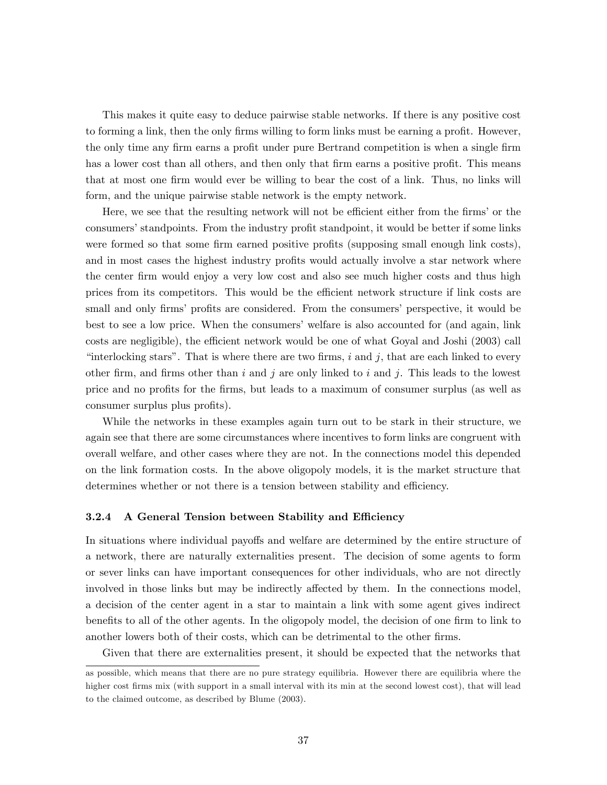This makes it quite easy to deduce pairwise stable networks. If there is any positive cost to forming a link, then the only firms willing to form links must be earning a profit. However, the only time any firm earns a profit under pure Bertrand competition is when a single firm has a lower cost than all others, and then only that firm earns a positive profit. This means that at most one firm would ever be willing to bear the cost of a link. Thus, no links will form, and the unique pairwise stable network is the empty network.

Here, we see that the resulting network will not be efficient either from the firms' or the consumers' standpoints. From the industry profit standpoint, it would be better if some links were formed so that some firm earned positive profits (supposing small enough link costs), and in most cases the highest industry profits would actually involve a star network where the center firm would enjoy a very low cost and also see much higher costs and thus high prices from its competitors. This would be the efficient network structure if link costs are small and only firms' profits are considered. From the consumers' perspective, it would be best to see a low price. When the consumers' welfare is also accounted for (and again, link costs are negligible), the efficient network would be one of what Goyal and Joshi (2003) call "interlocking stars". That is where there are two firms, i and j, that are each linked to every other firm, and firms other than i and j are only linked to i and j. This leads to the lowest price and no profits for the firms, but leads to a maximum of consumer surplus (as well as consumer surplus plus profits).

While the networks in these examples again turn out to be stark in their structure, we again see that there are some circumstances where incentives to form links are congruent with overall welfare, and other cases where they are not. In the connections model this depended on the link formation costs. In the above oligopoly models, it is the market structure that determines whether or not there is a tension between stability and efficiency.

#### 3.2.4 A General Tension between Stability and Efficiency

In situations where individual payoffs and welfare are determined by the entire structure of a network, there are naturally externalities present. The decision of some agents to form or sever links can have important consequences for other individuals, who are not directly involved in those links but may be indirectly affected by them. In the connections model, a decision of the center agent in a star to maintain a link with some agent gives indirect benefits to all of the other agents. In the oligopoly model, the decision of one firm to link to another lowers both of their costs, which can be detrimental to the other firms.

Given that there are externalities present, it should be expected that the networks that

as possible, which means that there are no pure strategy equilibria. However there are equilibria where the higher cost firms mix (with support in a small interval with its min at the second lowest cost), that will lead to the claimed outcome, as described by Blume (2003).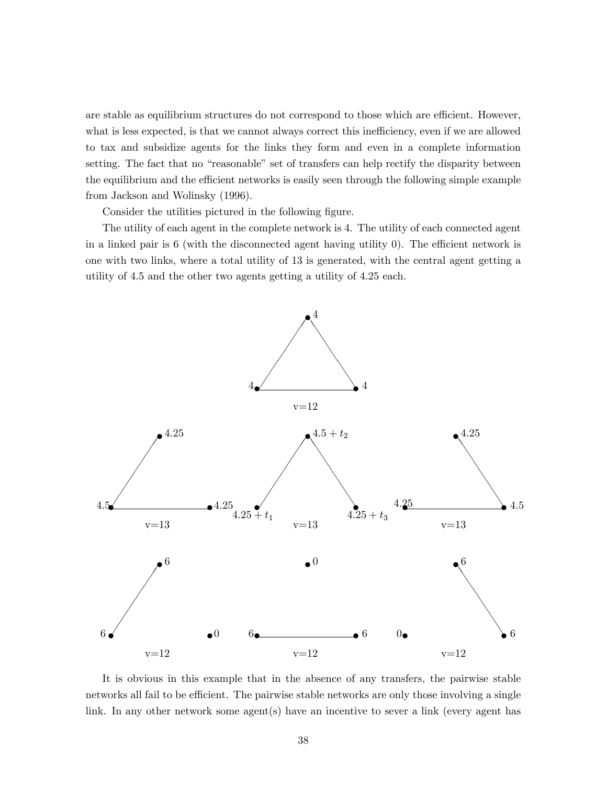are stable as equilibrium structures do not correspond to those which are efficient. However, what is less expected, is that we cannot always correct this inefficiency, even if we are allowed to tax and subsidize agents for the links they form and even in a complete information setting. The fact that no "reasonable" set of transfers can help rectify the disparity between the equilibrium and the efficient networks is easily seen through the following simple example from Jackson and Wolinsky (1996).

Consider the utilities pictured in the following figure.

The utility of each agent in the complete network is 4. The utility of each connected agent in a linked pair is  $6$  (with the disconnected agent having utility 0). The efficient network is one with two links, where a total utility of 13 is generated, with the central agent getting a utility of 4.5 and the other two agents getting a utility of 4.25 each.



It is obvious in this example that in the absence of any transfers, the pairwise stable networks all fail to be efficient. The pairwise stable networks are only those involving a single link. In any other network some agent(s) have an incentive to sever a link (every agent has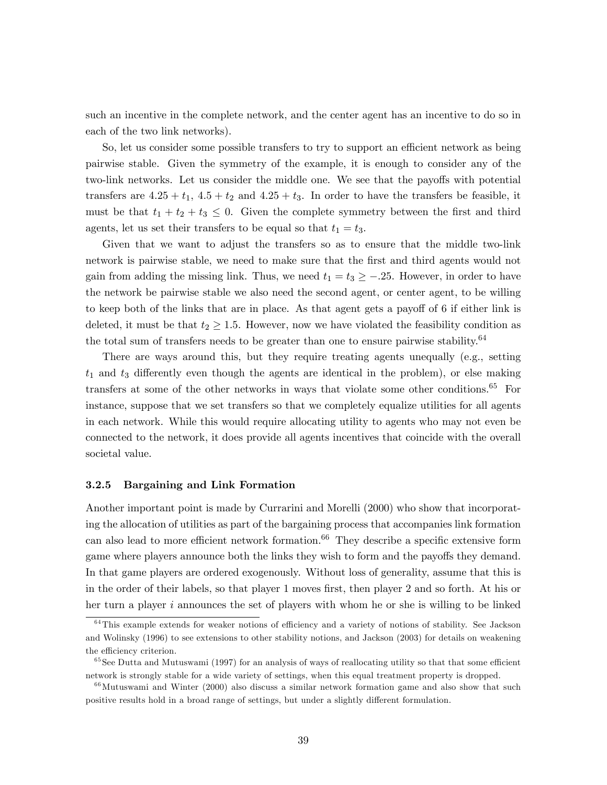such an incentive in the complete network, and the center agent has an incentive to do so in each of the two link networks).

So, let us consider some possible transfers to try to support an efficient network as being pairwise stable. Given the symmetry of the example, it is enough to consider any of the two-link networks. Let us consider the middle one. We see that the payoffs with potential transfers are  $4.25 + t_1$ ,  $4.5 + t_2$  and  $4.25 + t_3$ . In order to have the transfers be feasible, it must be that  $t_1 + t_2 + t_3 \leq 0$ . Given the complete symmetry between the first and third agents, let us set their transfers to be equal so that  $t_1 = t_3$ .

Given that we want to adjust the transfers so as to ensure that the middle two-link network is pairwise stable, we need to make sure that the first and third agents would not gain from adding the missing link. Thus, we need  $t_1 = t_3 \geq -0.25$ . However, in order to have the network be pairwise stable we also need the second agent, or center agent, to be willing to keep both of the links that are in place. As that agent gets a payoff of 6 if either link is deleted, it must be that  $t_2 \geq 1.5$ . However, now we have violated the feasibility condition as the total sum of transfers needs to be greater than one to ensure pairwise stability. $64$ 

There are ways around this, but they require treating agents unequally (e.g., setting  $t_1$  and  $t_3$  differently even though the agents are identical in the problem), or else making transfers at some of the other networks in ways that violate some other conditions.<sup>65</sup> For instance, suppose that we set transfers so that we completely equalize utilities for all agents in each network. While this would require allocating utility to agents who may not even be connected to the network, it does provide all agents incentives that coincide with the overall societal value.

#### 3.2.5 Bargaining and Link Formation

Another important point is made by Currarini and Morelli (2000) who show that incorporating the allocation of utilities as part of the bargaining process that accompanies link formation can also lead to more efficient network formation.<sup>66</sup> They describe a specific extensive form game where players announce both the links they wish to form and the payoffs they demand. In that game players are ordered exogenously. Without loss of generality, assume that this is in the order of their labels, so that player 1 moves first, then player 2 and so forth. At his or her turn a player i announces the set of players with whom he or she is willing to be linked

 $64$ This example extends for weaker notions of efficiency and a variety of notions of stability. See Jackson and Wolinsky (1996) to see extensions to other stability notions, and Jackson (2003) for details on weakening the efficiency criterion.

 $65$ See Dutta and Mutuswami (1997) for an analysis of ways of reallocating utility so that that some efficient network is strongly stable for a wide variety of settings, when this equal treatment property is dropped.

 $66$ Mutuswami and Winter (2000) also discuss a similar network formation game and also show that such positive results hold in a broad range of settings, but under a slightly different formulation.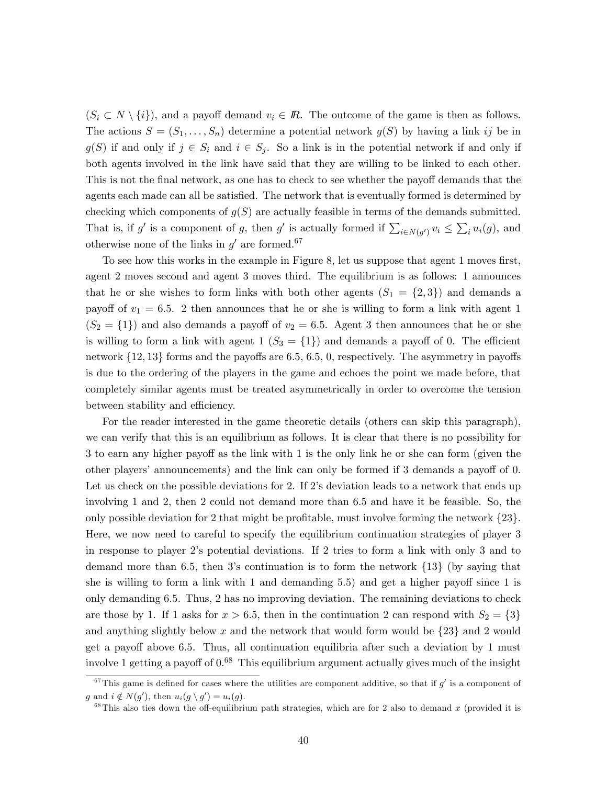$(S_i \subset N \setminus \{i\})$ , and a payoff demand  $v_i \in \mathbb{R}$ . The outcome of the game is then as follows. The actions  $S = (S_1, \ldots, S_n)$  determine a potential network  $g(S)$  by having a link ij be in  $g(S)$  if and only if  $j \in S_i$  and  $i \in S_j$ . So a link is in the potential network if and only if both agents involved in the link have said that they are willing to be linked to each other. This is not the final network, as one has to check to see whether the payoff demands that the agents each made can all be satisfied. The network that is eventually formed is determined by checking which components of  $g(S)$  are actually feasible in terms of the demands submitted. That is, if g' is a component of g, then g' is actually formed if  $\sum_{i\in N(g')} v_i \leq \sum_i u_i(g)$ , and otherwise none of the links in  $g'$  are formed.<sup>67</sup>

To see how this works in the example in Figure 8, let us suppose that agent 1 moves first, agent 2 moves second and agent 3 moves third. The equilibrium is as follows: 1 announces that he or she wishes to form links with both other agents  $(S_1 = \{2,3\})$  and demands a payoff of  $v_1 = 6.5$ . 2 then announces that he or she is willing to form a link with agent 1  $(S_2 = \{1\})$  and also demands a payoff of  $v_2 = 6.5$ . Agent 3 then announces that he or she is willing to form a link with agent  $1 (S_3 = \{1\})$  and demands a payoff of 0. The efficient network  $\{12, 13\}$  forms and the payoffs are 6.5, 6.5, 0, respectively. The asymmetry in payoffs is due to the ordering of the players in the game and echoes the point we made before, that completely similar agents must be treated asymmetrically in order to overcome the tension between stability and efficiency.

For the reader interested in the game theoretic details (others can skip this paragraph), we can verify that this is an equilibrium as follows. It is clear that there is no possibility for  $3$  to earn any higher payoff as the link with 1 is the only link he or she can form (given the other players' announcements) and the link can only be formed if 3 demands a payoff of 0. Let us check on the possible deviations for 2. If 2's deviation leads to a network that ends up involving 1 and 2, then 2 could not demand more than 6.5 and have it be feasible. So, the only possible deviation for 2 that might be profitable, must involve forming the network  $\{23\}$ . Here, we now need to careful to specify the equilibrium continuation strategies of player 3 in response to player 2ís potential deviations. If 2 tries to form a link with only 3 and to demand more than 6.5, then 3's continuation is to form the network  $\{13\}$  (by saying that she is willing to form a link with 1 and demanding  $5.5$ ) and get a higher payoff since 1 is only demanding 6.5. Thus, 2 has no improving deviation. The remaining deviations to check are those by 1. If 1 asks for  $x > 6.5$ , then in the continuation 2 can respond with  $S_2 = \{3\}$ and anything slightly below x and the network that would form would be  $\{23\}$  and 2 would get a payoff above 6.5. Thus, all continuation equilibria after such a deviation by  $1 \text{ must}$ involve 1 getting a payoff of  $0.68$  This equilibrium argument actually gives much of the insight

<sup>&</sup>lt;sup>67</sup>This game is defined for cases where the utilities are component additive, so that if  $g'$  is a component of g and  $i \notin N(g')$ , then  $u_i(g \setminus g') = u_i(g)$ .

 $68$ This also ties down the off-equilibrium path strategies, which are for 2 also to demand x (provided it is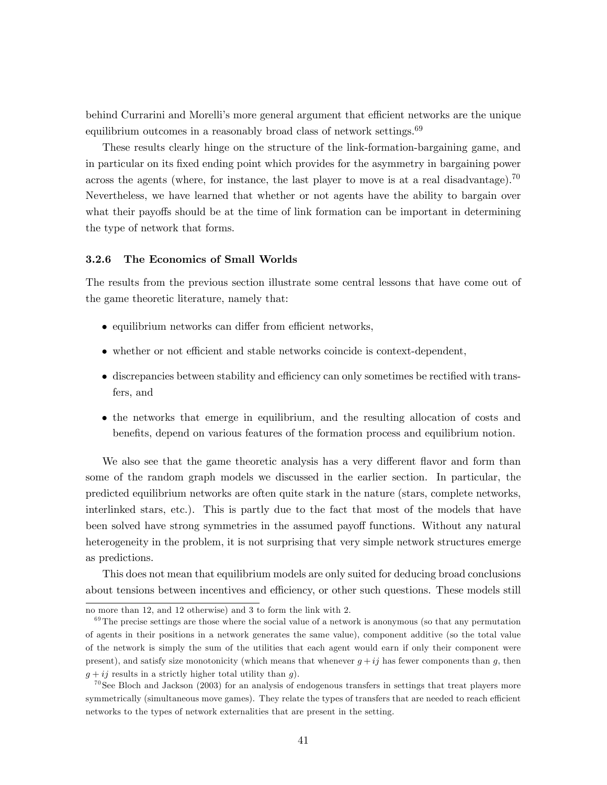behind Currarini and Morelli's more general argument that efficient networks are the unique equilibrium outcomes in a reasonably broad class of network settings.<sup>69</sup>

These results clearly hinge on the structure of the link-formation-bargaining game, and in particular on its Öxed ending point which provides for the asymmetry in bargaining power across the agents (where, for instance, the last player to move is at a real disadvantage).<sup>70</sup> Nevertheless, we have learned that whether or not agents have the ability to bargain over what their payoffs should be at the time of link formation can be important in determining the type of network that forms.

### 3.2.6 The Economics of Small Worlds

The results from the previous section illustrate some central lessons that have come out of the game theoretic literature, namely that:

- equilibrium networks can differ from efficient networks,
- $\bullet$  whether or not efficient and stable networks coincide is context-dependent,
- $\bullet$  discrepancies between stability and efficiency can only sometimes be rectified with transfers, and
- the networks that emerge in equilibrium, and the resulting allocation of costs and benefits, depend on various features of the formation process and equilibrium notion.

We also see that the game theoretic analysis has a very different flavor and form than some of the random graph models we discussed in the earlier section. In particular, the predicted equilibrium networks are often quite stark in the nature (stars, complete networks, interlinked stars, etc.). This is partly due to the fact that most of the models that have been solved have strong symmetries in the assumed payoff functions. Without any natural heterogeneity in the problem, it is not surprising that very simple network structures emerge as predictions.

This does not mean that equilibrium models are only suited for deducing broad conclusions about tensions between incentives and efficiency, or other such questions. These models still

no more than 12, and 12 otherwise) and 3 to form the link with 2.

 $69$ The precise settings are those where the social value of a network is anonymous (so that any permutation of agents in their positions in a network generates the same value), component additive (so the total value of the network is simply the sum of the utilities that each agent would earn if only their component were present), and satisfy size monotonicity (which means that whenever  $q + ij$  has fewer components than q, then  $g + ij$  results in a strictly higher total utility than g).

 $^{70}$ See Bloch and Jackson (2003) for an analysis of endogenous transfers in settings that treat players more symmetrically (simultaneous move games). They relate the types of transfers that are needed to reach efficient networks to the types of network externalities that are present in the setting.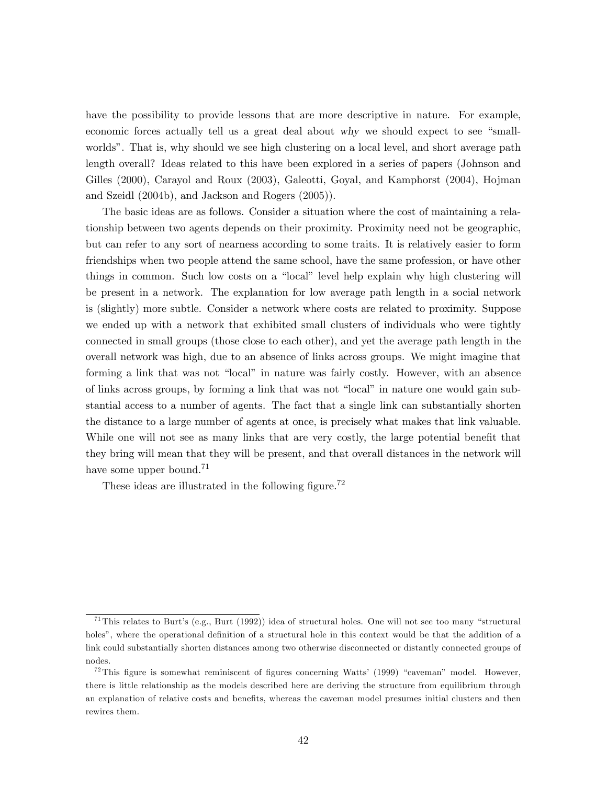have the possibility to provide lessons that are more descriptive in nature. For example, economic forces actually tell us a great deal about  $why$  we should expect to see "smallworlds". That is, why should we see high clustering on a local level, and short average path length overall? Ideas related to this have been explored in a series of papers (Johnson and Gilles (2000), Carayol and Roux (2003), Galeotti, Goyal, and Kamphorst (2004), Hojman and Szeidl (2004b), and Jackson and Rogers (2005)).

The basic ideas are as follows. Consider a situation where the cost of maintaining a relationship between two agents depends on their proximity. Proximity need not be geographic, but can refer to any sort of nearness according to some traits. It is relatively easier to form friendships when two people attend the same school, have the same profession, or have other things in common. Such low costs on a "local" level help explain why high clustering will be present in a network. The explanation for low average path length in a social network is (slightly) more subtle. Consider a network where costs are related to proximity. Suppose we ended up with a network that exhibited small clusters of individuals who were tightly connected in small groups (those close to each other), and yet the average path length in the overall network was high, due to an absence of links across groups. We might imagine that forming a link that was not "local" in nature was fairly costly. However, with an absence of links across groups, by forming a link that was not "local" in nature one would gain substantial access to a number of agents. The fact that a single link can substantially shorten the distance to a large number of agents at once, is precisely what makes that link valuable. While one will not see as many links that are very costly, the large potential benefit that they bring will mean that they will be present, and that overall distances in the network will have some upper bound.<sup>71</sup>

These ideas are illustrated in the following figure.<sup>72</sup>

<sup>&</sup>lt;sup>71</sup>This relates to Burt's (e.g., Burt (1992)) idea of structural holes. One will not see too many "structural" holes", where the operational definition of a structural hole in this context would be that the addition of a link could substantially shorten distances among two otherwise disconnected or distantly connected groups of nodes.

 $^{72}$ This figure is somewhat reminiscent of figures concerning Watts' (1999) "caveman" model. However, there is little relationship as the models described here are deriving the structure from equilibrium through an explanation of relative costs and benefits, whereas the caveman model presumes initial clusters and then rewires them.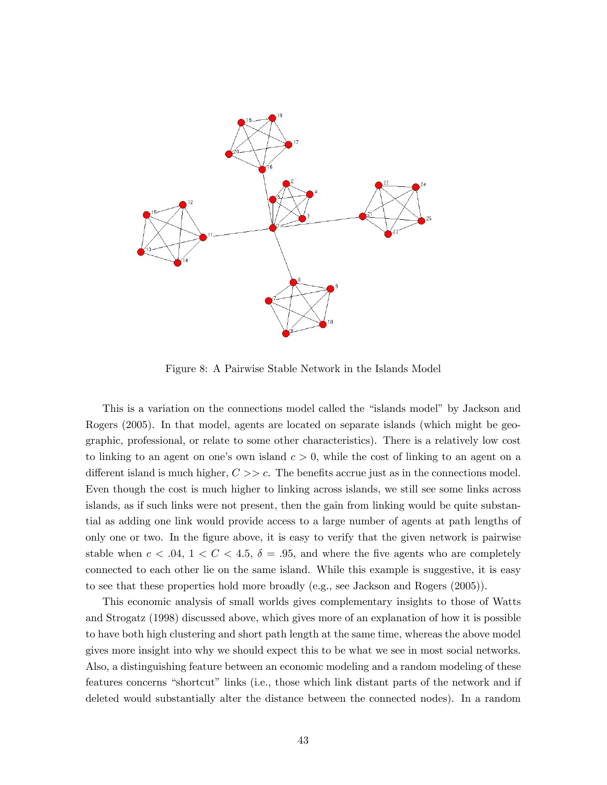

Figure 8: A Pairwise Stable Network in the Islands Model

This is a variation on the connections model called the "islands model" by Jackson and Rogers (2005). In that model, agents are located on separate islands (which might be geographic, professional, or relate to some other characteristics). There is a relatively low cost to linking to an agent on one's own island  $c > 0$ , while the cost of linking to an agent on a different island is much higher,  $C \gg c$ . The benefits accrue just as in the connections model. Even though the cost is much higher to linking across islands, we still see some links across islands, as if such links were not present, then the gain from linking would be quite substantial as adding one link would provide access to a large number of agents at path lengths of only one or two. In the Ögure above, it is easy to verify that the given network is pairwise stable when  $c < .04$ ,  $1 < C < 4.5$ ,  $\delta = .95$ , and where the five agents who are completely connected to each other lie on the same island. While this example is suggestive, it is easy to see that these properties hold more broadly (e.g., see Jackson and Rogers (2005)).

This economic analysis of small worlds gives complementary insights to those of Watts and Strogatz (1998) discussed above, which gives more of an explanation of how it is possible to have both high clustering and short path length at the same time, whereas the above model gives more insight into why we should expect this to be what we see in most social networks. Also, a distinguishing feature between an economic modeling and a random modeling of these features concerns "shortcut" links (i.e., those which link distant parts of the network and if deleted would substantially alter the distance between the connected nodes). In a random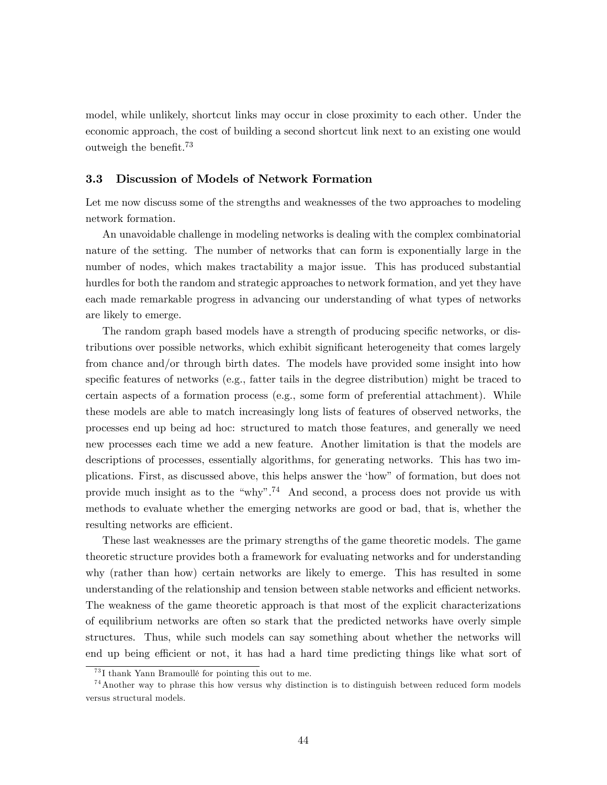model, while unlikely, shortcut links may occur in close proximity to each other. Under the economic approach, the cost of building a second shortcut link next to an existing one would outweigh the benefit.<sup>73</sup>

### 3.3 Discussion of Models of Network Formation

Let me now discuss some of the strengths and weaknesses of the two approaches to modeling network formation.

An unavoidable challenge in modeling networks is dealing with the complex combinatorial nature of the setting. The number of networks that can form is exponentially large in the number of nodes, which makes tractability a major issue. This has produced substantial hurdles for both the random and strategic approaches to network formation, and yet they have each made remarkable progress in advancing our understanding of what types of networks are likely to emerge.

The random graph based models have a strength of producing specific networks, or distributions over possible networks, which exhibit significant heterogeneity that comes largely from chance and/or through birth dates. The models have provided some insight into how specific features of networks (e.g., fatter tails in the degree distribution) might be traced to certain aspects of a formation process (e.g., some form of preferential attachment). While these models are able to match increasingly long lists of features of observed networks, the processes end up being ad hoc: structured to match those features, and generally we need new processes each time we add a new feature. Another limitation is that the models are descriptions of processes, essentially algorithms, for generating networks. This has two implications. First, as discussed above, this helps answer the ëhowî of formation, but does not provide much insight as to the "why".<sup>74</sup> And second, a process does not provide us with methods to evaluate whether the emerging networks are good or bad, that is, whether the resulting networks are efficient.

These last weaknesses are the primary strengths of the game theoretic models. The game theoretic structure provides both a framework for evaluating networks and for understanding why (rather than how) certain networks are likely to emerge. This has resulted in some understanding of the relationship and tension between stable networks and efficient networks. The weakness of the game theoretic approach is that most of the explicit characterizations of equilibrium networks are often so stark that the predicted networks have overly simple structures. Thus, while such models can say something about whether the networks will end up being efficient or not, it has had a hard time predicting things like what sort of

 $^{73}$ I thank Yann Bramoullé for pointing this out to me.

<sup>&</sup>lt;sup>74</sup> Another way to phrase this how versus why distinction is to distinguish between reduced form models versus structural models.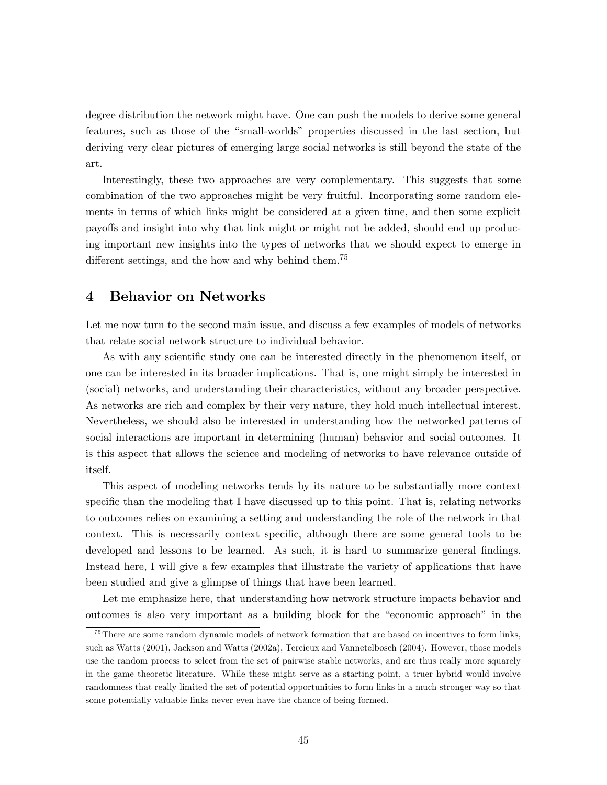degree distribution the network might have. One can push the models to derive some general features, such as those of the "small-worlds" properties discussed in the last section, but deriving very clear pictures of emerging large social networks is still beyond the state of the art.

Interestingly, these two approaches are very complementary. This suggests that some combination of the two approaches might be very fruitful. Incorporating some random elements in terms of which links might be considered at a given time, and then some explicit payoffs and insight into why that link might or might not be added, should end up producing important new insights into the types of networks that we should expect to emerge in different settings, and the how and why behind them.<sup>75</sup>

# 4 Behavior on Networks

Let me now turn to the second main issue, and discuss a few examples of models of networks that relate social network structure to individual behavior.

As with any scientific study one can be interested directly in the phenomenon itself, or one can be interested in its broader implications. That is, one might simply be interested in (social) networks, and understanding their characteristics, without any broader perspective. As networks are rich and complex by their very nature, they hold much intellectual interest. Nevertheless, we should also be interested in understanding how the networked patterns of social interactions are important in determining (human) behavior and social outcomes. It is this aspect that allows the science and modeling of networks to have relevance outside of itself.

This aspect of modeling networks tends by its nature to be substantially more context specific than the modeling that I have discussed up to this point. That is, relating networks to outcomes relies on examining a setting and understanding the role of the network in that context. This is necessarily context specific, although there are some general tools to be developed and lessons to be learned. As such, it is hard to summarize general findings. Instead here, I will give a few examples that illustrate the variety of applications that have been studied and give a glimpse of things that have been learned.

Let me emphasize here, that understanding how network structure impacts behavior and outcomes is also very important as a building block for the "economic approach" in the

<sup>&</sup>lt;sup>75</sup>There are some random dynamic models of network formation that are based on incentives to form links, such as Watts (2001), Jackson and Watts (2002a), Tercieux and Vannetelbosch (2004). However, those models use the random process to select from the set of pairwise stable networks, and are thus really more squarely in the game theoretic literature. While these might serve as a starting point, a truer hybrid would involve randomness that really limited the set of potential opportunities to form links in a much stronger way so that some potentially valuable links never even have the chance of being formed.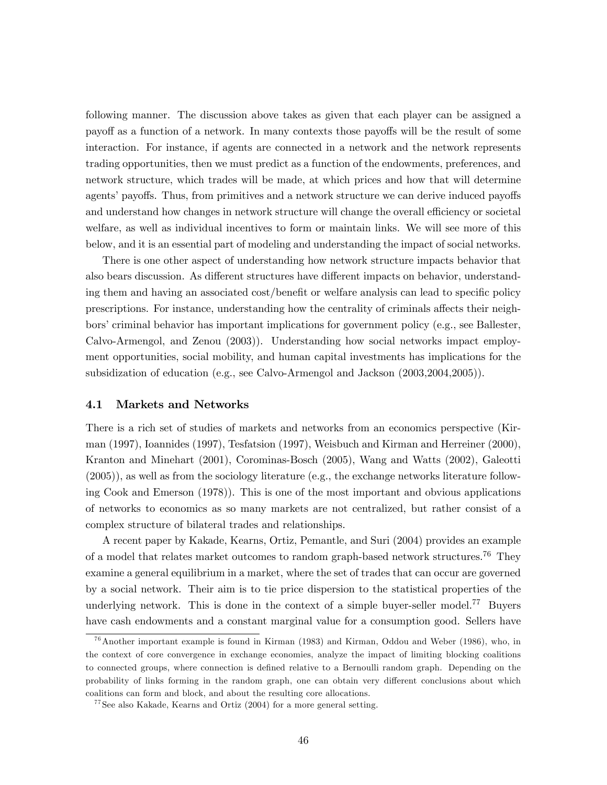following manner. The discussion above takes as given that each player can be assigned a payoff as a function of a network. In many contexts those payoffs will be the result of some interaction. For instance, if agents are connected in a network and the network represents trading opportunities, then we must predict as a function of the endowments, preferences, and network structure, which trades will be made, at which prices and how that will determine agents' payoffs. Thus, from primitives and a network structure we can derive induced payoffs and understand how changes in network structure will change the overall efficiency or societal welfare, as well as individual incentives to form or maintain links. We will see more of this below, and it is an essential part of modeling and understanding the impact of social networks.

There is one other aspect of understanding how network structure impacts behavior that also bears discussion. As different structures have different impacts on behavior, understanding them and having an associated cost/benefit or welfare analysis can lead to specific policy prescriptions. For instance, understanding how the centrality of criminals affects their neighbors' criminal behavior has important implications for government policy (e.g., see Ballester, Calvo-Armengol, and Zenou (2003)). Understanding how social networks impact employment opportunities, social mobility, and human capital investments has implications for the subsidization of education (e.g., see Calvo-Armengol and Jackson (2003,2004,2005)).

#### 4.1 Markets and Networks

There is a rich set of studies of markets and networks from an economics perspective (Kirman (1997), Ioannides (1997), Tesfatsion (1997), Weisbuch and Kirman and Herreiner (2000), Kranton and Minehart (2001), Corominas-Bosch (2005), Wang and Watts (2002), Galeotti (2005)), as well as from the sociology literature (e.g., the exchange networks literature following Cook and Emerson (1978)). This is one of the most important and obvious applications of networks to economics as so many markets are not centralized, but rather consist of a complex structure of bilateral trades and relationships.

A recent paper by Kakade, Kearns, Ortiz, Pemantle, and Suri (2004) provides an example of a model that relates market outcomes to random graph-based network structures.<sup>76</sup> They examine a general equilibrium in a market, where the set of trades that can occur are governed by a social network. Their aim is to tie price dispersion to the statistical properties of the underlying network. This is done in the context of a simple buyer-seller model.<sup>77</sup> Buyers have cash endowments and a constant marginal value for a consumption good. Sellers have

 $^{76}$ Another important example is found in Kirman (1983) and Kirman, Oddou and Weber (1986), who, in the context of core convergence in exchange economies, analyze the impact of limiting blocking coalitions to connected groups, where connection is defined relative to a Bernoulli random graph. Depending on the probability of links forming in the random graph, one can obtain very different conclusions about which coalitions can form and block, and about the resulting core allocations.

 $^{77}$ See also Kakade, Kearns and Ortiz (2004) for a more general setting.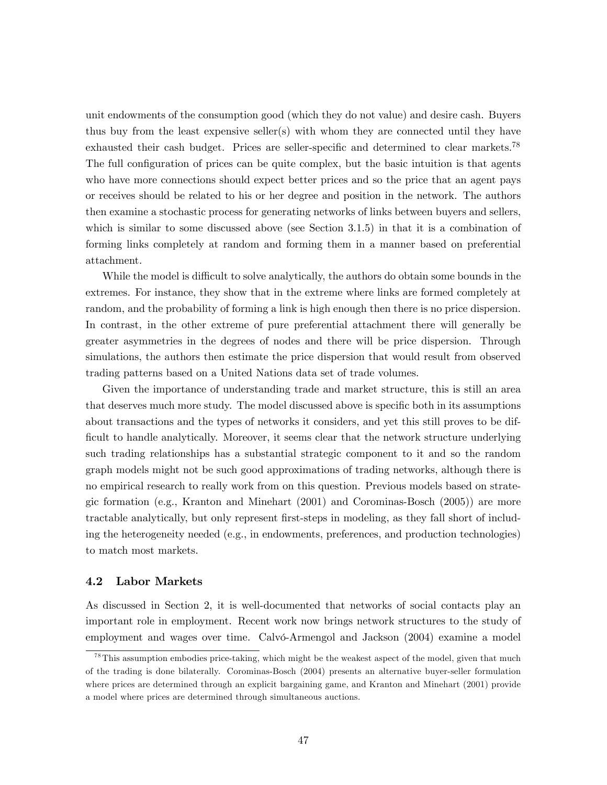unit endowments of the consumption good (which they do not value) and desire cash. Buyers thus buy from the least expensive seller(s) with whom they are connected until they have exhausted their cash budget. Prices are seller-specific and determined to clear markets.<sup>78</sup> The full configuration of prices can be quite complex, but the basic intuition is that agents who have more connections should expect better prices and so the price that an agent pays or receives should be related to his or her degree and position in the network. The authors then examine a stochastic process for generating networks of links between buyers and sellers, which is similar to some discussed above (see Section 3.1.5) in that it is a combination of forming links completely at random and forming them in a manner based on preferential attachment.

While the model is difficult to solve analytically, the authors do obtain some bounds in the extremes. For instance, they show that in the extreme where links are formed completely at random, and the probability of forming a link is high enough then there is no price dispersion. In contrast, in the other extreme of pure preferential attachment there will generally be greater asymmetries in the degrees of nodes and there will be price dispersion. Through simulations, the authors then estimate the price dispersion that would result from observed trading patterns based on a United Nations data set of trade volumes.

Given the importance of understanding trade and market structure, this is still an area that deserves much more study. The model discussed above is specific both in its assumptions about transactions and the types of networks it considers, and yet this still proves to be difficult to handle analytically. Moreover, it seems clear that the network structure underlying such trading relationships has a substantial strategic component to it and so the random graph models might not be such good approximations of trading networks, although there is no empirical research to really work from on this question. Previous models based on strategic formation (e.g., Kranton and Minehart (2001) and Corominas-Bosch (2005)) are more tractable analytically, but only represent first-steps in modeling, as they fall short of including the heterogeneity needed (e.g., in endowments, preferences, and production technologies) to match most markets.

#### 4.2 Labor Markets

As discussed in Section 2, it is well-documented that networks of social contacts play an important role in employment. Recent work now brings network structures to the study of employment and wages over time. Calvó-Armengol and Jackson (2004) examine a model

<sup>&</sup>lt;sup>78</sup>This assumption embodies price-taking, which might be the weakest aspect of the model, given that much of the trading is done bilaterally. Corominas-Bosch (2004) presents an alternative buyer-seller formulation where prices are determined through an explicit bargaining game, and Kranton and Minehart (2001) provide a model where prices are determined through simultaneous auctions.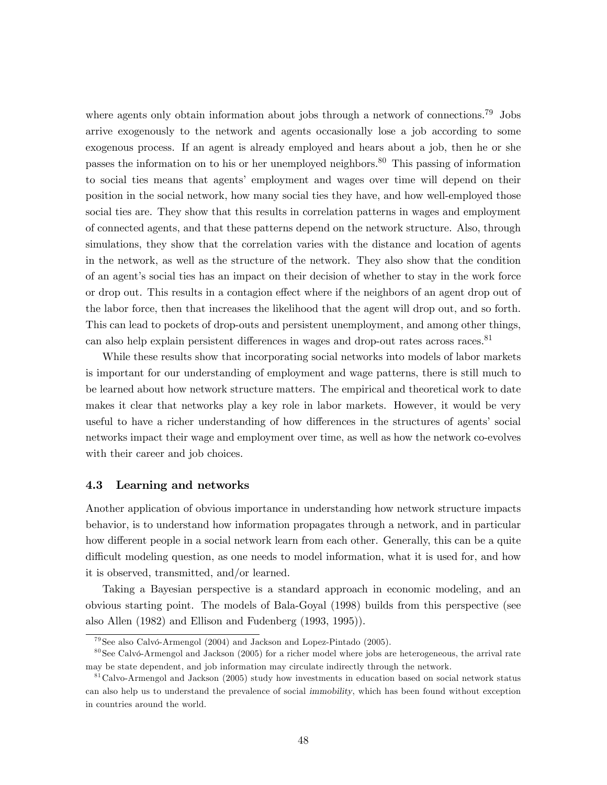where agents only obtain information about jobs through a network of connections.<sup>79</sup> Jobs arrive exogenously to the network and agents occasionally lose a job according to some exogenous process. If an agent is already employed and hears about a job, then he or she passes the information on to his or her unemployed neighbors.<sup>80</sup> This passing of information to social ties means that agentsí employment and wages over time will depend on their position in the social network, how many social ties they have, and how well-employed those social ties are. They show that this results in correlation patterns in wages and employment of connected agents, and that these patterns depend on the network structure. Also, through simulations, they show that the correlation varies with the distance and location of agents in the network, as well as the structure of the network. They also show that the condition of an agent's social ties has an impact on their decision of whether to stay in the work force or drop out. This results in a contagion effect where if the neighbors of an agent drop out of the labor force, then that increases the likelihood that the agent will drop out, and so forth. This can lead to pockets of drop-outs and persistent unemployment, and among other things, can also help explain persistent differences in wages and drop-out rates across races. $81$ 

While these results show that incorporating social networks into models of labor markets is important for our understanding of employment and wage patterns, there is still much to be learned about how network structure matters. The empirical and theoretical work to date makes it clear that networks play a key role in labor markets. However, it would be very useful to have a richer understanding of how differences in the structures of agents' social networks impact their wage and employment over time, as well as how the network co-evolves with their career and job choices.

#### 4.3 Learning and networks

Another application of obvious importance in understanding how network structure impacts behavior, is to understand how information propagates through a network, and in particular how different people in a social network learn from each other. Generally, this can be a quite difficult modeling question, as one needs to model information, what it is used for, and how it is observed, transmitted, and/or learned.

Taking a Bayesian perspective is a standard approach in economic modeling, and an obvious starting point. The models of Bala-Goyal (1998) builds from this perspective (see also Allen (1982) and Ellison and Fudenberg (1993, 1995)).

 $^{79}$ See also Calvó-Armengol (2004) and Jackson and Lopez-Pintado (2005).

 $80$ See Calvó-Armengol and Jackson (2005) for a richer model where jobs are heterogeneous, the arrival rate may be state dependent, and job information may circulate indirectly through the network.

<sup>&</sup>lt;sup>81</sup>Calvo-Armengol and Jackson (2005) study how investments in education based on social network status can also help us to understand the prevalence of social immobility, which has been found without exception in countries around the world.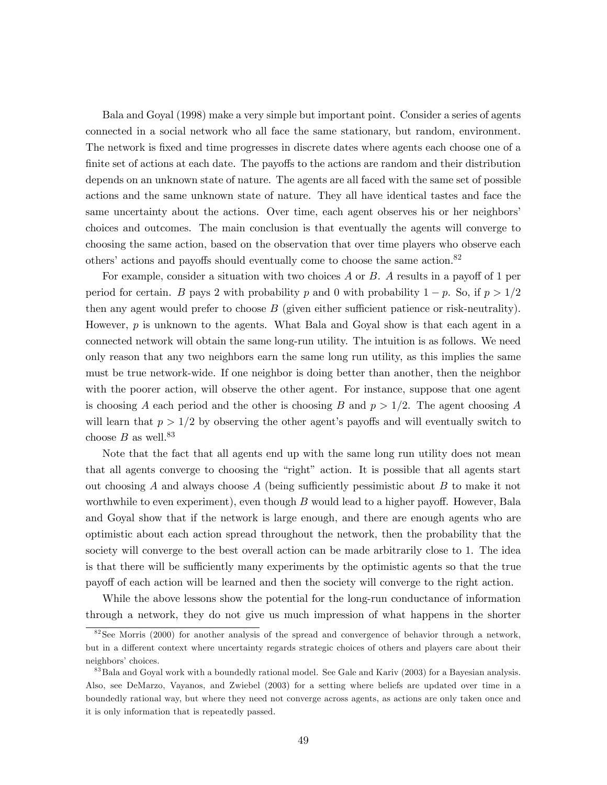Bala and Goyal (1998) make a very simple but important point. Consider a series of agents connected in a social network who all face the same stationary, but random, environment. The network is fixed and time progresses in discrete dates where agents each choose one of a finite set of actions at each date. The payoffs to the actions are random and their distribution depends on an unknown state of nature. The agents are all faced with the same set of possible actions and the same unknown state of nature. They all have identical tastes and face the same uncertainty about the actions. Over time, each agent observes his or her neighbors' choices and outcomes. The main conclusion is that eventually the agents will converge to choosing the same action, based on the observation that over time players who observe each others' actions and payoffs should eventually come to choose the same action. $82$ 

For example, consider a situation with two choices  $A$  or  $B$ . A results in a payoff of 1 per period for certain. B pays 2 with probability p and 0 with probability  $1 - p$ . So, if  $p > 1/2$ then any agent would prefer to choose  $B$  (given either sufficient patience or risk-neutrality). However,  $p$  is unknown to the agents. What Bala and Goyal show is that each agent in a connected network will obtain the same long-run utility. The intuition is as follows. We need only reason that any two neighbors earn the same long run utility, as this implies the same must be true network-wide. If one neighbor is doing better than another, then the neighbor with the poorer action, will observe the other agent. For instance, suppose that one agent is choosing A each period and the other is choosing B and  $p > 1/2$ . The agent choosing A will learn that  $p > 1/2$  by observing the other agent's payoffs and will eventually switch to choose B as well.<sup>83</sup>

Note that the fact that all agents end up with the same long run utility does not mean that all agents converge to choosing the "right" action. It is possible that all agents start out choosing A and always choose A (being sufficiently pessimistic about B to make it not worthwhile to even experiment), even though  $B$  would lead to a higher payoff. However, Bala and Goyal show that if the network is large enough, and there are enough agents who are optimistic about each action spread throughout the network, then the probability that the society will converge to the best overall action can be made arbitrarily close to 1. The idea is that there will be sufficiently many experiments by the optimistic agents so that the true payoff of each action will be learned and then the society will converge to the right action.

While the above lessons show the potential for the long-run conductance of information through a network, they do not give us much impression of what happens in the shorter

 $82$ See Morris (2000) for another analysis of the spread and convergence of behavior through a network, but in a different context where uncertainty regards strategic choices of others and players care about their neighbors' choices.

<sup>&</sup>lt;sup>83</sup> Bala and Goyal work with a boundedly rational model. See Gale and Kariv (2003) for a Bayesian analysis. Also, see DeMarzo, Vayanos, and Zwiebel (2003) for a setting where beliefs are updated over time in a boundedly rational way, but where they need not converge across agents, as actions are only taken once and it is only information that is repeatedly passed.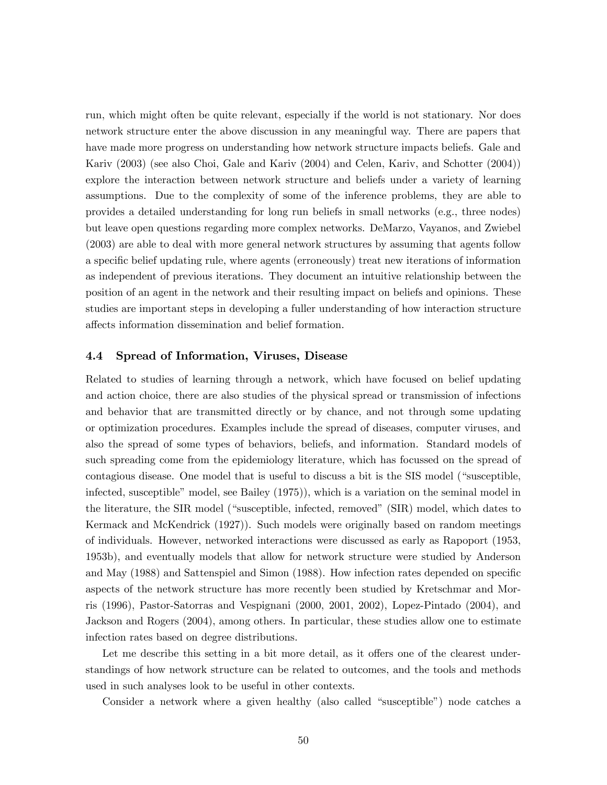run, which might often be quite relevant, especially if the world is not stationary. Nor does network structure enter the above discussion in any meaningful way. There are papers that have made more progress on understanding how network structure impacts beliefs. Gale and Kariv (2003) (see also Choi, Gale and Kariv (2004) and Celen, Kariv, and Schotter (2004)) explore the interaction between network structure and beliefs under a variety of learning assumptions. Due to the complexity of some of the inference problems, they are able to provides a detailed understanding for long run beliefs in small networks (e.g., three nodes) but leave open questions regarding more complex networks. DeMarzo, Vayanos, and Zwiebel (2003) are able to deal with more general network structures by assuming that agents follow a specific belief updating rule, where agents (erroneously) treat new iterations of information as independent of previous iterations. They document an intuitive relationship between the position of an agent in the network and their resulting impact on beliefs and opinions. These studies are important steps in developing a fuller understanding of how interaction structure affects information dissemination and belief formation.

#### 4.4 Spread of Information, Viruses, Disease

Related to studies of learning through a network, which have focused on belief updating and action choice, there are also studies of the physical spread or transmission of infections and behavior that are transmitted directly or by chance, and not through some updating or optimization procedures. Examples include the spread of diseases, computer viruses, and also the spread of some types of behaviors, beliefs, and information. Standard models of such spreading come from the epidemiology literature, which has focussed on the spread of contagious disease. One model that is useful to discuss a bit is the SIS model ("susceptible, infected, susceptible" model, see Bailey  $(1975)$ ), which is a variation on the seminal model in the literature, the SIR model ("susceptible, infected, removed" (SIR) model, which dates to Kermack and McKendrick (1927)). Such models were originally based on random meetings of individuals. However, networked interactions were discussed as early as Rapoport (1953, 1953b), and eventually models that allow for network structure were studied by Anderson and May (1988) and Sattenspiel and Simon (1988). How infection rates depended on specific aspects of the network structure has more recently been studied by Kretschmar and Morris (1996), Pastor-Satorras and Vespignani (2000, 2001, 2002), Lopez-Pintado (2004), and Jackson and Rogers (2004), among others. In particular, these studies allow one to estimate infection rates based on degree distributions.

Let me describe this setting in a bit more detail, as it offers one of the clearest understandings of how network structure can be related to outcomes, and the tools and methods used in such analyses look to be useful in other contexts.

Consider a network where a given healthy (also called "susceptible") node catches a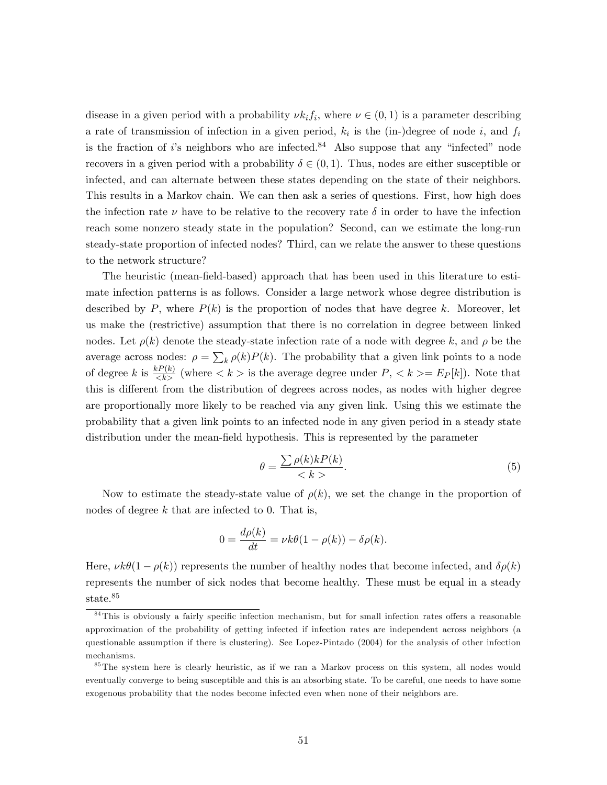disease in a given period with a probability  $\nu k_i f_i$ , where  $\nu \in (0, 1)$  is a parameter describing a rate of transmission of infection in a given period,  $k_i$  is the (in-)degree of node i, and  $f_i$ is the fraction of i's neighbors who are infected.<sup>84</sup> Also suppose that any "infected" node recovers in a given period with a probability  $\delta \in (0, 1)$ . Thus, nodes are either susceptible or infected, and can alternate between these states depending on the state of their neighbors. This results in a Markov chain. We can then ask a series of questions. First, how high does the infection rate  $\nu$  have to be relative to the recovery rate  $\delta$  in order to have the infection reach some nonzero steady state in the population? Second, can we estimate the long-run steady-state proportion of infected nodes? Third, can we relate the answer to these questions to the network structure?

The heuristic (mean-field-based) approach that has been used in this literature to estimate infection patterns is as follows. Consider a large network whose degree distribution is described by P, where  $P(k)$  is the proportion of nodes that have degree k. Moreover, let us make the (restrictive) assumption that there is no correlation in degree between linked nodes. Let  $\rho(k)$  denote the steady-state infection rate of a node with degree k, and  $\rho$  be the average across nodes:  $\rho = \sum_{k} \rho(k) P(k)$ . The probability that a given link points to a node of degree k is  $\frac{kP(k)}{ \langle k \rangle}$  (where  $\langle k \rangle$  is the average degree under  $P, \langle k \rangle = E_P[k]$ ). Note that this is different from the distribution of degrees across nodes, as nodes with higher degree are proportionally more likely to be reached via any given link. Using this we estimate the probability that a given link points to an infected node in any given period in a steady state distribution under the mean-field hypothesis. This is represented by the parameter

$$
\theta = \frac{\sum \rho(k)k P(k)}{< k >}.\tag{5}
$$

Now to estimate the steady-state value of  $\rho(k)$ , we set the change in the proportion of nodes of degree k that are infected to 0. That is,

$$
0 = \frac{d\rho(k)}{dt} = \nu k\theta(1 - \rho(k)) - \delta\rho(k).
$$

Here,  $\nu k\theta(1 - \rho(k))$  represents the number of healthy nodes that become infected, and  $\delta \rho(k)$ represents the number of sick nodes that become healthy. These must be equal in a steady state.<sup>85</sup>

 $84$ This is obviously a fairly specific infection mechanism, but for small infection rates offers a reasonable approximation of the probability of getting infected if infection rates are independent across neighbors (a questionable assumption if there is clustering). See Lopez-Pintado (2004) for the analysis of other infection mechanisms.

<sup>&</sup>lt;sup>85</sup>The system here is clearly heuristic, as if we ran a Markov process on this system, all nodes would eventually converge to being susceptible and this is an absorbing state. To be careful, one needs to have some exogenous probability that the nodes become infected even when none of their neighbors are.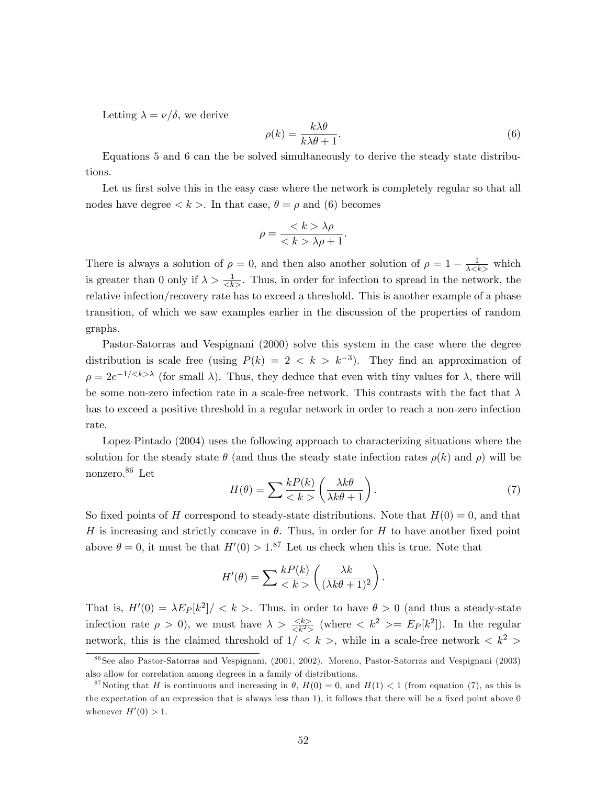Letting  $\lambda = \nu/\delta$ , we derive

$$
\rho(k) = \frac{k\lambda\theta}{k\lambda\theta + 1}.\tag{6}
$$

Equations 5 and 6 can the be solved simultaneously to derive the steady state distributions.

Let us first solve this in the easy case where the network is completely regular so that all nodes have degree  $\langle k \rangle$ . In that case,  $\theta = \rho$  and (6) becomes

$$
\rho = \frac{\lambda\rho}{\lambda\rho+1}.
$$

There is always a solution of  $\rho = 0$ , and then also another solution of  $\rho = 1 - \frac{1}{\lambda \langle k \rangle}$  which is greater than 0 only if  $\lambda > \frac{1}{\langle k \rangle}$ . Thus, in order for infection to spread in the network, the relative infection/recovery rate has to exceed a threshold. This is another example of a phase transition, of which we saw examples earlier in the discussion of the properties of random graphs.

Pastor-Satorras and Vespignani (2000) solve this system in the case where the degree distribution is scale free (using  $P(k) = 2 < k > k^{-3}$ ). They find an approximation of  $\rho = 2e^{-1/\langle k \rangle}$  (for small  $\lambda$ ). Thus, they deduce that even with tiny values for  $\lambda$ , there will be some non-zero infection rate in a scale-free network. This contrasts with the fact that  $\lambda$ has to exceed a positive threshold in a regular network in order to reach a non-zero infection rate.

Lopez-Pintado (2004) uses the following approach to characterizing situations where the solution for the steady state  $\theta$  (and thus the steady state infection rates  $\rho(k)$  and  $\rho$ ) will be nonzero.<sup>86</sup> Let

$$
H(\theta) = \sum \frac{kP(k)}{k} \left( \frac{\lambda k \theta}{\lambda k \theta + 1} \right).
$$
 (7)

So fixed points of H correspond to steady-state distributions. Note that  $H(0) = 0$ , and that H is increasing and strictly concave in  $\theta$ . Thus, in order for H to have another fixed point above  $\theta = 0$ , it must be that  $H'(0) > 1$ .<sup>87</sup> Let us check when this is true. Note that

$$
H'(\theta) = \sum \frac{kP(k)}{} \left( \frac{\lambda k}{(\lambda k \theta + 1)^2} \right).
$$

That is,  $H'(0) = \lambda E_P[k^2]/\langle k \rangle$ . Thus, in order to have  $\theta > 0$  (and thus a steady-state infection rate  $\rho > 0$ , we must have  $\lambda > \frac{\langle k \rangle}{\langle k^2 \rangle}$  (where  $\langle k^2 \rangle = E_P[k^2]$ ). In the regular network, this is the claimed threshold of  $1/ \langle k \rangle$ , while in a scale-free network  $\langle k^2 \rangle$ 

<sup>8 6</sup>See also Pastor-Satorras and Vespignani, (2001, 2002). Moreno, Pastor-Satorras and Vespignani (2003) also allow for correlation among degrees in a family of distributions.

<sup>&</sup>lt;sup>87</sup> Noting that H is continuous and increasing in  $\theta$ ,  $H(0) = 0$ , and  $H(1) < 1$  (from equation (7), as this is the expectation of an expression that is always less than 1), it follows that there will be a fixed point above  $0$ whenever  $H'(0) > 1$ .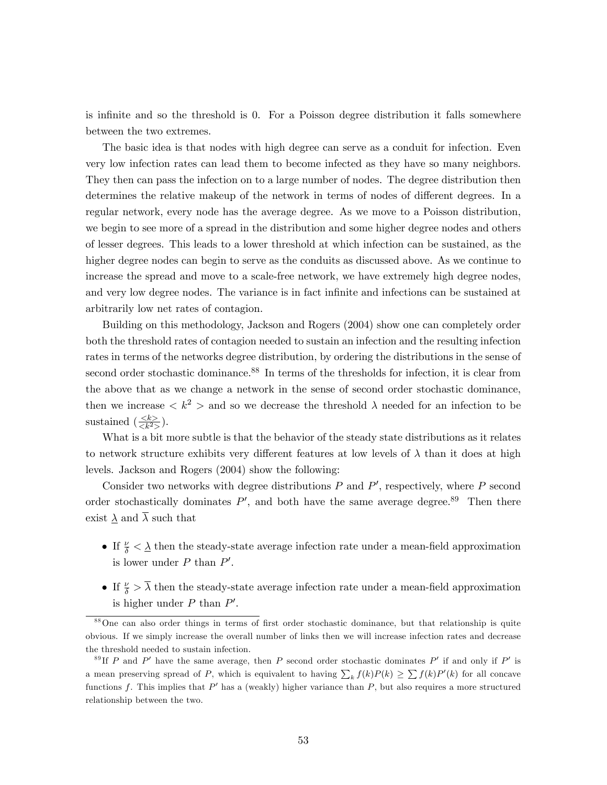is infinite and so the threshold is 0. For a Poisson degree distribution it falls somewhere between the two extremes.

The basic idea is that nodes with high degree can serve as a conduit for infection. Even very low infection rates can lead them to become infected as they have so many neighbors. They then can pass the infection on to a large number of nodes. The degree distribution then determines the relative makeup of the network in terms of nodes of different degrees. In a regular network, every node has the average degree. As we move to a Poisson distribution, we begin to see more of a spread in the distribution and some higher degree nodes and others of lesser degrees. This leads to a lower threshold at which infection can be sustained, as the higher degree nodes can begin to serve as the conduits as discussed above. As we continue to increase the spread and move to a scale-free network, we have extremely high degree nodes, and very low degree nodes. The variance is in fact infinite and infections can be sustained at arbitrarily low net rates of contagion.

Building on this methodology, Jackson and Rogers (2004) show one can completely order both the threshold rates of contagion needed to sustain an infection and the resulting infection rates in terms of the networks degree distribution, by ordering the distributions in the sense of second order stochastic dominance.<sup>88</sup> In terms of the thresholds for infection, it is clear from the above that as we change a network in the sense of second order stochastic dominance, then we increase  $\langle k^2 \rangle$  and so we decrease the threshold  $\lambda$  needed for an infection to be sustained  $\left(\frac{\leq k}{\leq k^2}\right)$ .

What is a bit more subtle is that the behavior of the steady state distributions as it relates to network structure exhibits very different features at low levels of  $\lambda$  than it does at high levels. Jackson and Rogers (2004) show the following:

Consider two networks with degree distributions  $P$  and  $P'$ , respectively, where  $P$  second order stochastically dominates  $P'$ , and both have the same average degree.<sup>89</sup> Then there exist  $\lambda$  and  $\overline{\lambda}$  such that

- $\bullet\,$  If  $\frac{\nu}{\delta}<\underline{\lambda}$  then the steady-state average infection rate under a mean-field approximation is lower under  $P$  than  $P'$ .
- If  $\frac{\nu}{\delta} > \overline{\lambda}$  then the steady-state average infection rate under a mean-field approximation is higher under  $P$  than  $P'$ .

<sup>&</sup>lt;sup>88</sup>One can also order things in terms of first order stochastic dominance, but that relationship is quite obvious. If we simply increase the overall number of links then we will increase infection rates and decrease the threshold needed to sustain infection.

<sup>&</sup>lt;sup>89</sup> If P and P' have the same average, then P second order stochastic dominates P' if and only if P' is a mean preserving spread of P, which is equivalent to having  $\sum_k f(k)P(k) \geq \sum_k f(k)P'(k)$  for all concave functions f. This implies that  $P'$  has a (weakly) higher variance than P, but also requires a more structured relationship between the two.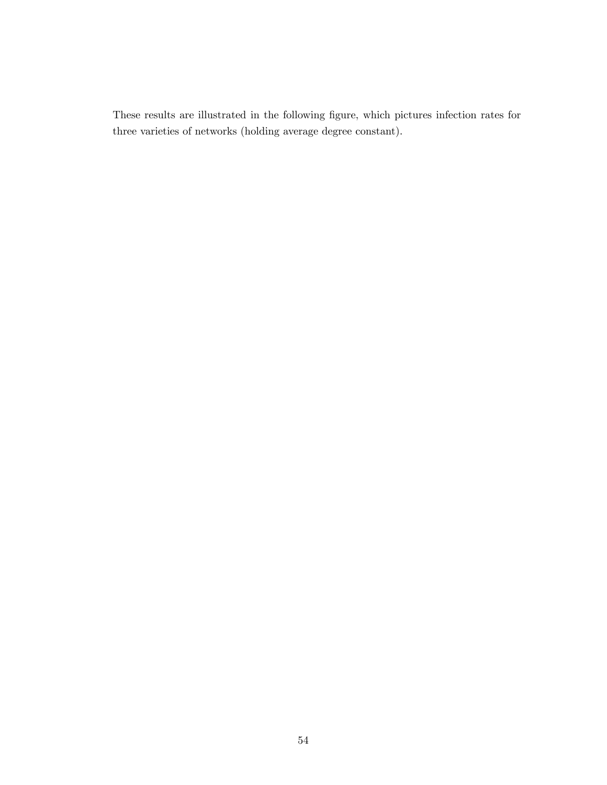These results are illustrated in the following figure, which pictures infection rates for three varieties of networks (holding average degree constant).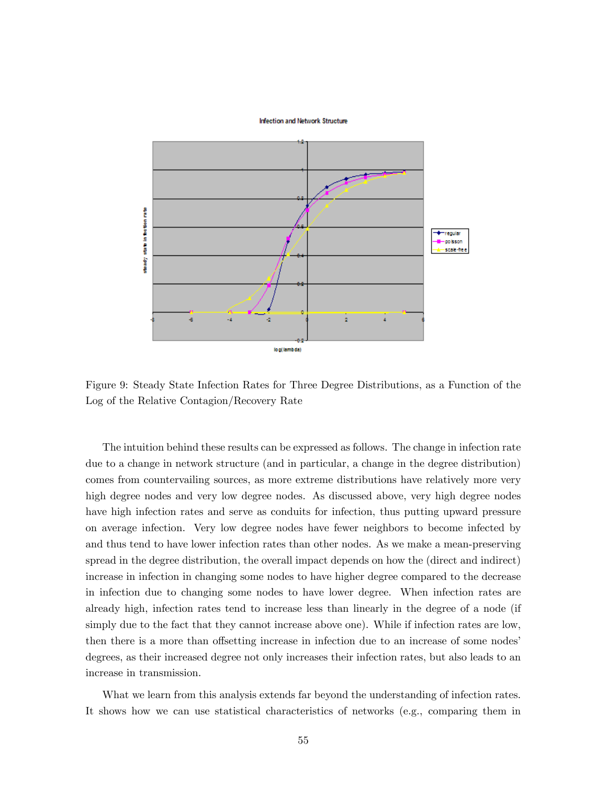

Figure 9: Steady State Infection Rates for Three Degree Distributions, as a Function of the Log of the Relative Contagion/Recovery Rate

The intuition behind these results can be expressed as follows. The change in infection rate due to a change in network structure (and in particular, a change in the degree distribution) comes from countervailing sources, as more extreme distributions have relatively more very high degree nodes and very low degree nodes. As discussed above, very high degree nodes have high infection rates and serve as conduits for infection, thus putting upward pressure on average infection. Very low degree nodes have fewer neighbors to become infected by and thus tend to have lower infection rates than other nodes. As we make a mean-preserving spread in the degree distribution, the overall impact depends on how the (direct and indirect) increase in infection in changing some nodes to have higher degree compared to the decrease in infection due to changing some nodes to have lower degree. When infection rates are already high, infection rates tend to increase less than linearly in the degree of a node (if simply due to the fact that they cannot increase above one). While if infection rates are low, then there is a more than offsetting increase in infection due to an increase of some nodes degrees, as their increased degree not only increases their infection rates, but also leads to an increase in transmission.

What we learn from this analysis extends far beyond the understanding of infection rates. It shows how we can use statistical characteristics of networks (e.g., comparing them in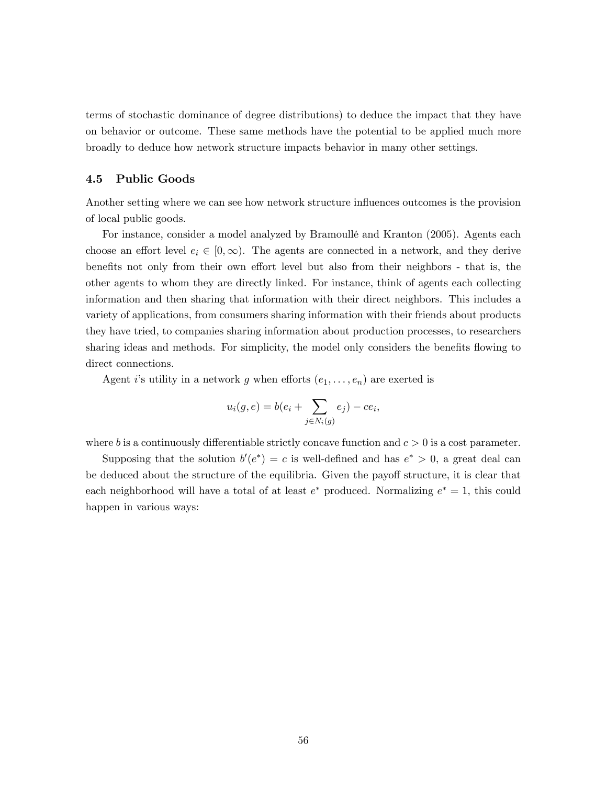terms of stochastic dominance of degree distributions) to deduce the impact that they have on behavior or outcome. These same methods have the potential to be applied much more broadly to deduce how network structure impacts behavior in many other settings.

## 4.5 Public Goods

Another setting where we can see how network structure influences outcomes is the provision of local public goods.

For instance, consider a model analyzed by Bramoullé and Kranton (2005). Agents each choose an effort level  $e_i \in [0,\infty)$ . The agents are connected in a network, and they derive benefits not only from their own effort level but also from their neighbors - that is, the other agents to whom they are directly linked. For instance, think of agents each collecting information and then sharing that information with their direct neighbors. This includes a variety of applications, from consumers sharing information with their friends about products they have tried, to companies sharing information about production processes, to researchers sharing ideas and methods. For simplicity, the model only considers the benefits flowing to direct connections.

Agent i's utility in a network g when efforts  $(e_1, \ldots, e_n)$  are exerted is

$$
u_i(g, e) = b(e_i + \sum_{j \in N_i(g)} e_j) - ce_i,
$$

where b is a continuously differentiable strictly concave function and  $c > 0$  is a cost parameter.

Supposing that the solution  $b'(e^*) = c$  is well-defined and has  $e^* > 0$ , a great deal can be deduced about the structure of the equilibria. Given the payoff structure, it is clear that each neighborhood will have a total of at least  $e^*$  produced. Normalizing  $e^* = 1$ , this could happen in various ways: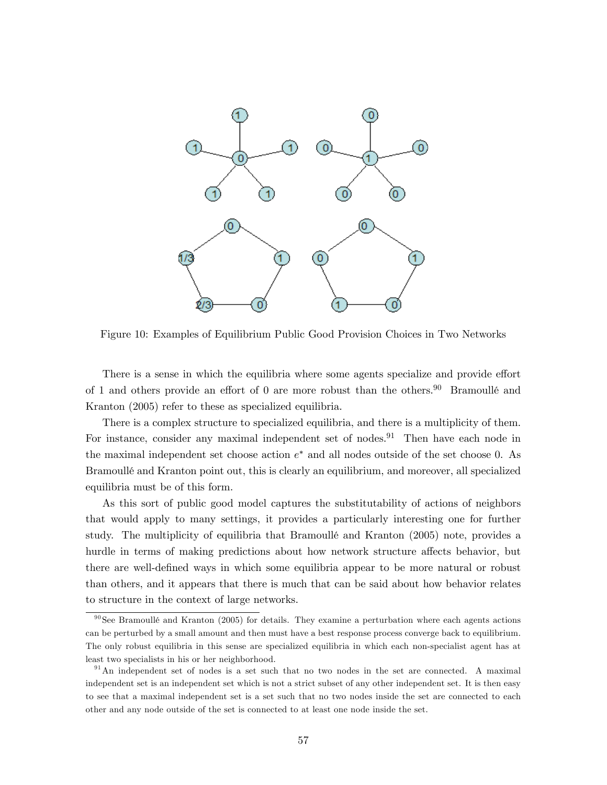

Figure 10: Examples of Equilibrium Public Good Provision Choices in Two Networks

There is a sense in which the equilibria where some agents specialize and provide effort of 1 and others provide an effort of 0 are more robust than the others.<sup>90</sup> Bramoullé and Kranton (2005) refer to these as specialized equilibria.

There is a complex structure to specialized equilibria, and there is a multiplicity of them. For instance, consider any maximal independent set of nodes.<sup>91</sup> Then have each node in the maximal independent set choose action  $e^*$  and all nodes outside of the set choose 0. As Bramoullé and Kranton point out, this is clearly an equilibrium, and moreover, all specialized equilibria must be of this form.

As this sort of public good model captures the substitutability of actions of neighbors that would apply to many settings, it provides a particularly interesting one for further study. The multiplicity of equilibria that Bramoullé and Kranton (2005) note, provides a hurdle in terms of making predictions about how network structure affects behavior, but there are well-deÖned ways in which some equilibria appear to be more natural or robust than others, and it appears that there is much that can be said about how behavior relates to structure in the context of large networks.

 $90$ See Bramoullé and Kranton (2005) for details. They examine a perturbation where each agents actions can be perturbed by a small amount and then must have a best response process converge back to equilibrium. The only robust equilibria in this sense are specialized equilibria in which each non-specialist agent has at least two specialists in his or her neighborhood.

 $91$ An independent set of nodes is a set such that no two nodes in the set are connected. A maximal independent set is an independent set which is not a strict subset of any other independent set. It is then easy to see that a maximal independent set is a set such that no two nodes inside the set are connected to each other and any node outside of the set is connected to at least one node inside the set.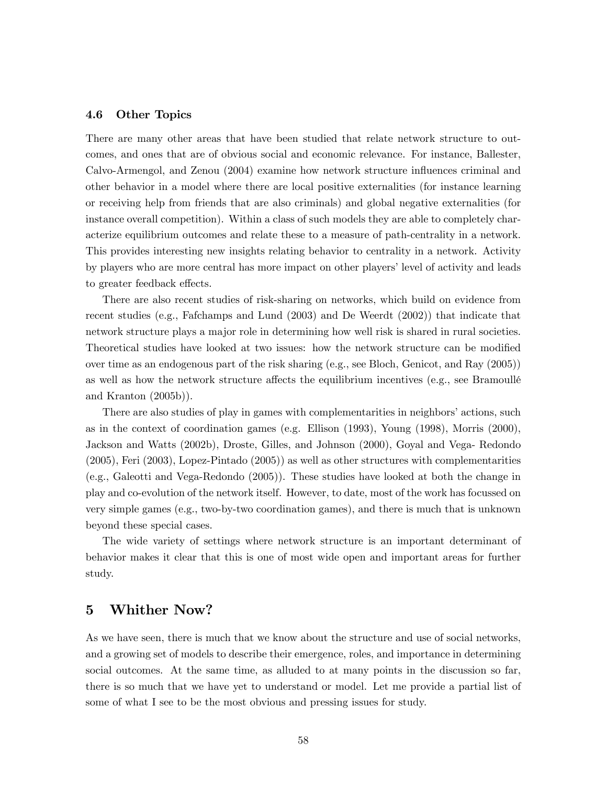### 4.6 Other Topics

There are many other areas that have been studied that relate network structure to outcomes, and ones that are of obvious social and economic relevance. For instance, Ballester, Calvo-Armengol, and Zenou (2004) examine how network structure ináuences criminal and other behavior in a model where there are local positive externalities (for instance learning or receiving help from friends that are also criminals) and global negative externalities (for instance overall competition). Within a class of such models they are able to completely characterize equilibrium outcomes and relate these to a measure of path-centrality in a network. This provides interesting new insights relating behavior to centrality in a network. Activity by players who are more central has more impact on other players' level of activity and leads to greater feedback effects.

There are also recent studies of risk-sharing on networks, which build on evidence from recent studies (e.g., Fafchamps and Lund (2003) and De Weerdt (2002)) that indicate that network structure plays a major role in determining how well risk is shared in rural societies. Theoretical studies have looked at two issues: how the network structure can be modified over time as an endogenous part of the risk sharing (e.g., see Bloch, Genicot, and Ray (2005)) as well as how the network structure affects the equilibrium incentives (e.g., see Bramoullé and Kranton (2005b)).

There are also studies of play in games with complementarities in neighbors' actions, such as in the context of coordination games (e.g. Ellison (1993), Young (1998), Morris (2000), Jackson and Watts (2002b), Droste, Gilles, and Johnson (2000), Goyal and Vega- Redondo (2005), Feri (2003), Lopez-Pintado (2005)) as well as other structures with complementarities (e.g., Galeotti and Vega-Redondo (2005)). These studies have looked at both the change in play and co-evolution of the network itself. However, to date, most of the work has focussed on very simple games (e.g., two-by-two coordination games), and there is much that is unknown beyond these special cases.

The wide variety of settings where network structure is an important determinant of behavior makes it clear that this is one of most wide open and important areas for further study.

# 5 Whither Now?

As we have seen, there is much that we know about the structure and use of social networks, and a growing set of models to describe their emergence, roles, and importance in determining social outcomes. At the same time, as alluded to at many points in the discussion so far, there is so much that we have yet to understand or model. Let me provide a partial list of some of what I see to be the most obvious and pressing issues for study.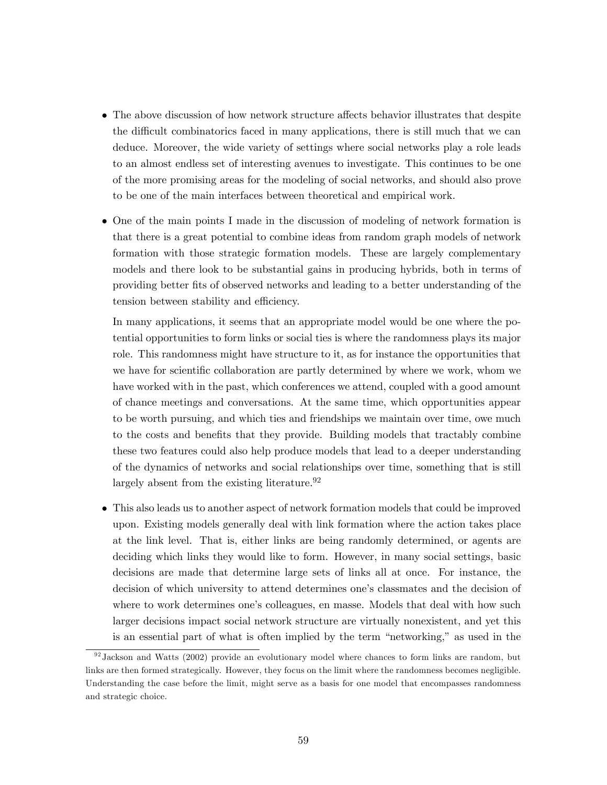- The above discussion of how network structure affects behavior illustrates that despite the difficult combinatorics faced in many applications, there is still much that we can deduce. Moreover, the wide variety of settings where social networks play a role leads to an almost endless set of interesting avenues to investigate. This continues to be one of the more promising areas for the modeling of social networks, and should also prove to be one of the main interfaces between theoretical and empirical work.
- One of the main points I made in the discussion of modeling of network formation is that there is a great potential to combine ideas from random graph models of network formation with those strategic formation models. These are largely complementary models and there look to be substantial gains in producing hybrids, both in terms of providing better Öts of observed networks and leading to a better understanding of the tension between stability and efficiency.

In many applications, it seems that an appropriate model would be one where the potential opportunities to form links or social ties is where the randomness plays its major role. This randomness might have structure to it, as for instance the opportunities that we have for scientific collaboration are partly determined by where we work, whom we have worked with in the past, which conferences we attend, coupled with a good amount of chance meetings and conversations. At the same time, which opportunities appear to be worth pursuing, and which ties and friendships we maintain over time, owe much to the costs and benefits that they provide. Building models that tractably combine these two features could also help produce models that lead to a deeper understanding of the dynamics of networks and social relationships over time, something that is still largely absent from the existing literature.<sup>92</sup>

 This also leads us to another aspect of network formation models that could be improved upon. Existing models generally deal with link formation where the action takes place at the link level. That is, either links are being randomly determined, or agents are deciding which links they would like to form. However, in many social settings, basic decisions are made that determine large sets of links all at once. For instance, the decision of which university to attend determines one's classmates and the decision of where to work determines one's colleagues, en masse. Models that deal with how such larger decisions impact social network structure are virtually nonexistent, and yet this is an essential part of what is often implied by the term "networking," as used in the

 $92$  Jackson and Watts (2002) provide an evolutionary model where chances to form links are random, but links are then formed strategically. However, they focus on the limit where the randomness becomes negligible. Understanding the case before the limit, might serve as a basis for one model that encompasses randomness and strategic choice.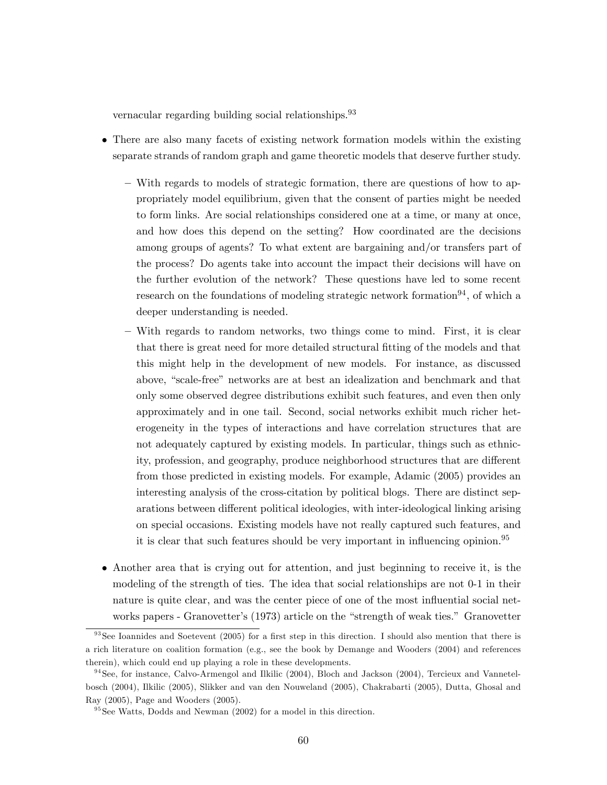vernacular regarding building social relationships.<sup>93</sup>

- There are also many facets of existing network formation models within the existing separate strands of random graph and game theoretic models that deserve further study.
	- With regards to models of strategic formation, there are questions of how to appropriately model equilibrium, given that the consent of parties might be needed to form links. Are social relationships considered one at a time, or many at once, and how does this depend on the setting? How coordinated are the decisions among groups of agents? To what extent are bargaining and/or transfers part of the process? Do agents take into account the impact their decisions will have on the further evolution of the network? These questions have led to some recent research on the foundations of modeling strategic network formation<sup>94</sup>, of which a deeper understanding is needed.
	- With regards to random networks, two things come to mind. First, it is clear that there is great need for more detailed structural fitting of the models and that this might help in the development of new models. For instance, as discussed above, "scale-free" networks are at best an idealization and benchmark and that only some observed degree distributions exhibit such features, and even then only approximately and in one tail. Second, social networks exhibit much richer heterogeneity in the types of interactions and have correlation structures that are not adequately captured by existing models. In particular, things such as ethnicity, profession, and geography, produce neighborhood structures that are different from those predicted in existing models. For example, Adamic (2005) provides an interesting analysis of the cross-citation by political blogs. There are distinct separations between different political ideologies, with inter-ideological linking arising on special occasions. Existing models have not really captured such features, and it is clear that such features should be very important in influencing opinion.<sup>95</sup>
- Another area that is crying out for attention, and just beginning to receive it, is the modeling of the strength of ties. The idea that social relationships are not 0-1 in their nature is quite clear, and was the center piece of one of the most influential social networks papers - Granovetter's (1973) article on the "strength of weak ties." Granovetter

 $93$  See Ioannides and Soetevent (2005) for a first step in this direction. I should also mention that there is a rich literature on coalition formation (e.g., see the book by Demange and Wooders (2004) and references therein), which could end up playing a role in these developments.

 $94$ See, for instance, Calvo-Armengol and Ilkilic (2004), Bloch and Jackson (2004), Tercieux and Vannetelbosch (2004), Ilkilic (2005), Slikker and van den Nouweland (2005), Chakrabarti (2005), Dutta, Ghosal and Ray (2005), Page and Wooders (2005).

 $95$ See Watts, Dodds and Newman (2002) for a model in this direction.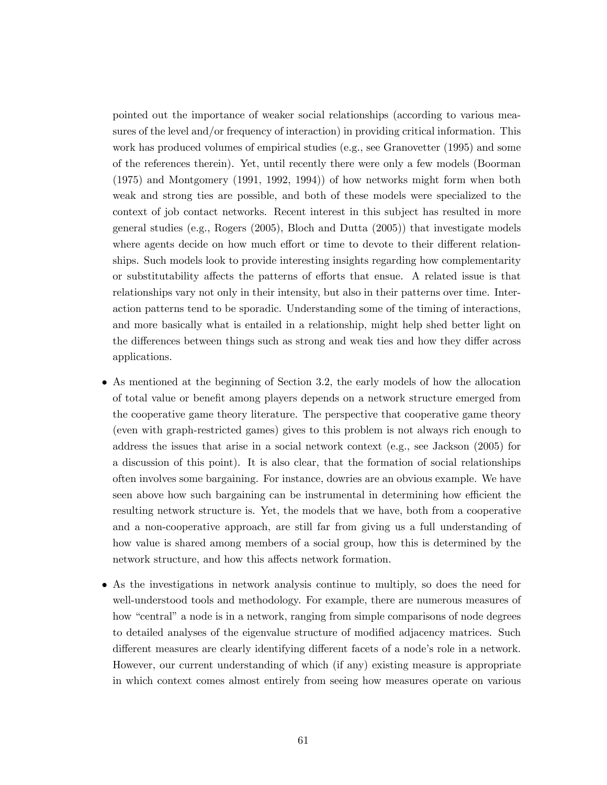pointed out the importance of weaker social relationships (according to various measures of the level and/or frequency of interaction) in providing critical information. This work has produced volumes of empirical studies (e.g., see Granovetter (1995) and some of the references therein). Yet, until recently there were only a few models (Boorman (1975) and Montgomery (1991, 1992, 1994)) of how networks might form when both weak and strong ties are possible, and both of these models were specialized to the context of job contact networks. Recent interest in this subject has resulted in more general studies (e.g., Rogers (2005), Bloch and Dutta (2005)) that investigate models where agents decide on how much effort or time to devote to their different relationships. Such models look to provide interesting insights regarding how complementarity or substitutability affects the patterns of efforts that ensue. A related issue is that relationships vary not only in their intensity, but also in their patterns over time. Interaction patterns tend to be sporadic. Understanding some of the timing of interactions, and more basically what is entailed in a relationship, might help shed better light on the differences between things such as strong and weak ties and how they differ across applications.

- As mentioned at the beginning of Section 3.2, the early models of how the allocation of total value or benefit among players depends on a network structure emerged from the cooperative game theory literature. The perspective that cooperative game theory (even with graph-restricted games) gives to this problem is not always rich enough to address the issues that arise in a social network context (e.g., see Jackson (2005) for a discussion of this point). It is also clear, that the formation of social relationships often involves some bargaining. For instance, dowries are an obvious example. We have seen above how such bargaining can be instrumental in determining how efficient the resulting network structure is. Yet, the models that we have, both from a cooperative and a non-cooperative approach, are still far from giving us a full understanding of how value is shared among members of a social group, how this is determined by the network structure, and how this affects network formation.
- As the investigations in network analysis continue to multiply, so does the need for well-understood tools and methodology. For example, there are numerous measures of how "central" a node is in a network, ranging from simple comparisons of node degrees to detailed analyses of the eigenvalue structure of modified adjacency matrices. Such different measures are clearly identifying different facets of a node's role in a network. However, our current understanding of which (if any) existing measure is appropriate in which context comes almost entirely from seeing how measures operate on various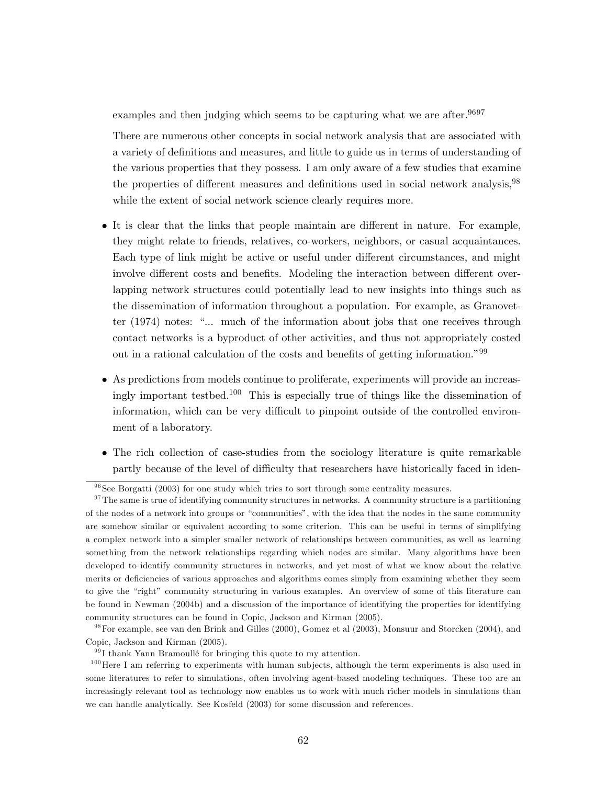examples and then judging which seems to be capturing what we are after.  $9697$ 

There are numerous other concepts in social network analysis that are associated with a variety of definitions and measures, and little to guide us in terms of understanding of the various properties that they possess. I am only aware of a few studies that examine the properties of different measures and definitions used in social network analysis,<sup>98</sup> while the extent of social network science clearly requires more.

- It is clear that the links that people maintain are different in nature. For example, they might relate to friends, relatives, co-workers, neighbors, or casual acquaintances. Each type of link might be active or useful under different circumstances, and might involve different costs and benefits. Modeling the interaction between different overlapping network structures could potentially lead to new insights into things such as the dissemination of information throughout a population. For example, as Granovetter  $(1974)$  notes: "... much of the information about jobs that one receives through contact networks is a byproduct of other activities, and thus not appropriately costed out in a rational calculation of the costs and benefits of getting information.<sup>99</sup>
- As predictions from models continue to proliferate, experiments will provide an increasingly important testbed.<sup>100</sup> This is especially true of things like the dissemination of information, which can be very difficult to pinpoint outside of the controlled environment of a laboratory.
- The rich collection of case-studies from the sociology literature is quite remarkable partly because of the level of difficulty that researchers have historically faced in iden-

 $96$ See Borgatti (2003) for one study which tries to sort through some centrality measures.

 $97$ The same is true of identifying community structures in networks. A community structure is a partitioning of the nodes of a network into groups or "communities", with the idea that the nodes in the same community are somehow similar or equivalent according to some criterion. This can be useful in terms of simplifying a complex network into a simpler smaller network of relationships between communities, as well as learning something from the network relationships regarding which nodes are similar. Many algorithms have been developed to identify community structures in networks, and yet most of what we know about the relative merits or deficiencies of various approaches and algorithms comes simply from examining whether they seem to give the "right" community structuring in various examples. An overview of some of this literature can be found in Newman (2004b) and a discussion of the importance of identifying the properties for identifying community structures can be found in Copic, Jackson and Kirman (2005).

 $98$  For example, see van den Brink and Gilles (2000), Gomez et al (2003), Monsuur and Storcken (2004), and Copic, Jackson and Kirman (2005).

 $99$ <sup>I</sup> thank Yann Bramoullé for bringing this quote to my attention.

 $100$  Here I am referring to experiments with human subjects, although the term experiments is also used in some literatures to refer to simulations, often involving agent-based modeling techniques. These too are an increasingly relevant tool as technology now enables us to work with much richer models in simulations than we can handle analytically. See Kosfeld (2003) for some discussion and references.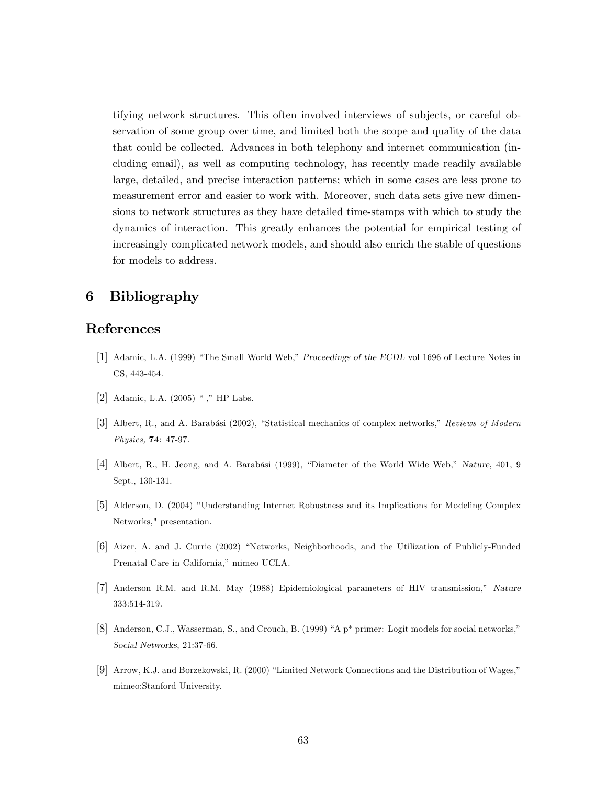tifying network structures. This often involved interviews of subjects, or careful observation of some group over time, and limited both the scope and quality of the data that could be collected. Advances in both telephony and internet communication (including email), as well as computing technology, has recently made readily available large, detailed, and precise interaction patterns; which in some cases are less prone to measurement error and easier to work with. Moreover, such data sets give new dimensions to network structures as they have detailed time-stamps with which to study the dynamics of interaction. This greatly enhances the potential for empirical testing of increasingly complicated network models, and should also enrich the stable of questions for models to address.

#### 6 **Bibliography**

# References

- $|1|$  Adamic, L.A. (1999) "The Small World Web," Proceedings of the ECDL vol 1696 of Lecture Notes in CS, 443-454.
- [2] Adamic, L.A.  $(2005)$  "," HP Labs.
- [3] Albert, R., and A. Barabási (2002), "Statistical mechanics of complex networks," Reviews of Modern Physics, 74: 47-97.
- [4] Albert, R., H. Jeong, and A. Barabási (1999), "Diameter of the World Wide Web," Nature, 401, 9 Sept., 130-131.
- [5] Alderson, D. (2004) "Understanding Internet Robustness and its Implications for Modeling Complex Networks," presentation.
- [6] Aizer, A. and J. Currie (2002) "Networks, Neighborhoods, and the Utilization of Publicly-Funded Prenatal Care in California," mimeo UCLA.
- [7] Anderson R.M. and R.M. May (1988) Epidemiological parameters of HIV transmission," Nature 333:514-319.
- [8] Anderson, C.J., Wasserman, S., and Crouch, B. (1999) "A p\* primer: Logit models for social networks," Social Networks, 21:37-66.
- [9] Arrow, K.J. and Borzekowski, R. (2000) "Limited Network Connections and the Distribution of Wages," mimeo:Stanford University.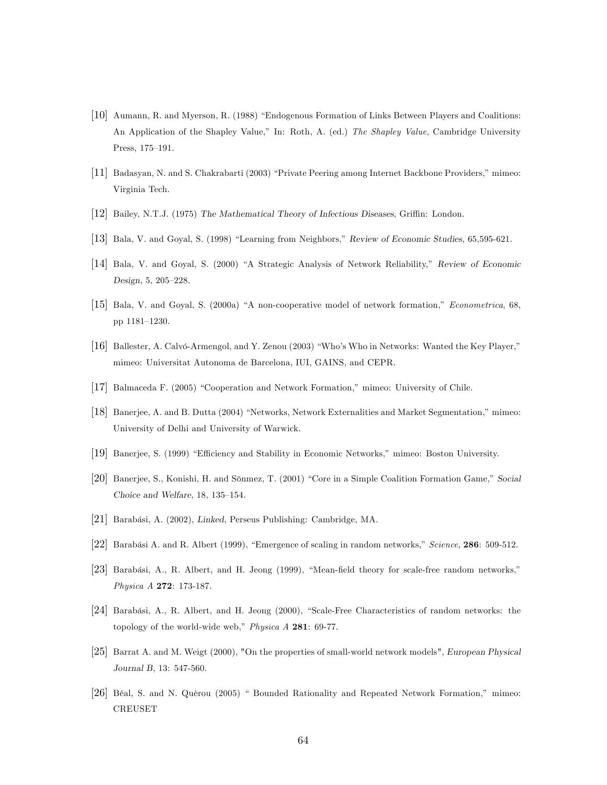- [10] Aumann, R. and Myerson, R. (1988) "Endogenous Formation of Links Between Players and Coalitions: An Application of the Shapley Value," In: Roth, A. (ed.) The Shapley Value, Cambridge University Press, 175-191.
- [11] Badasyan, N. and S. Chakrabarti (2003) "Private Peering among Internet Backbone Providers," mimeo: Virginia Tech.
- $|12|$  Bailey, N.T.J. (1975) The Mathematical Theory of Infectious Diseases, Griffin: London.
- [13] Bala, V. and Goyal, S. (1998) "Learning from Neighbors," Review of Economic Studies, 65,595-621.
- [14] Bala, V. and Goval, S. (2000) "A Strategic Analysis of Network Reliability," Review of Economic Design, 5, 205-228.
- [15] Bala, V. and Goyal, S. (2000a) "A non-cooperative model of network formation," *Econometrica*, 68, pp 1181-1230.
- [16] Ballester, A. Calvó-Armengol, and Y. Zenou (2003) "Who's Who in Networks: Wanted the Key Player," mimeo: Universitat Autonoma de Barcelona, IUI, GAINS, and CEPR.
- [17] Balmaceda F. (2005) "Cooperation and Network Formation," mimeo: University of Chile.
- [18] Banerjee, A. and B. Dutta (2004) "Networks, Network Externalities and Market Segmentation," mimeo: University of Delhi and University of Warwick.
- [19] Banerjee, S. (1999) "Efficiency and Stability in Economic Networks," mimeo: Boston University.
- [20] Banerjee, S., Konishi, H. and Sönmez, T. (2001) "Core in a Simple Coalition Formation Game," Social Choice and Welfare, 18, 135-154.
- [21] Barabási, A. (2002), Linked, Perseus Publishing: Cambridge, MA.
- [22] Barabási A. and R. Albert (1999), "Emergence of scaling in random networks," Science, 286: 509-512.
- [23] Barabási, A., R. Albert, and H. Jeong (1999), "Mean-field theory for scale-free random networks," Physica A 272: 173-187.
- [24] Barabási, A., R. Albert, and H. Jeong (2000), "Scale-Free Characteristics of random networks: the topology of the world-wide web," Physica A 281: 69-77.
- [25] Barrat A. and M. Weigt (2000), "On the properties of small-world network models", European Physical Journal B, 13: 547-560.
- [26] Béal, S. and N. Quérou (2005) " Bounded Rationality and Repeated Network Formation," mimeo: **CREUSET**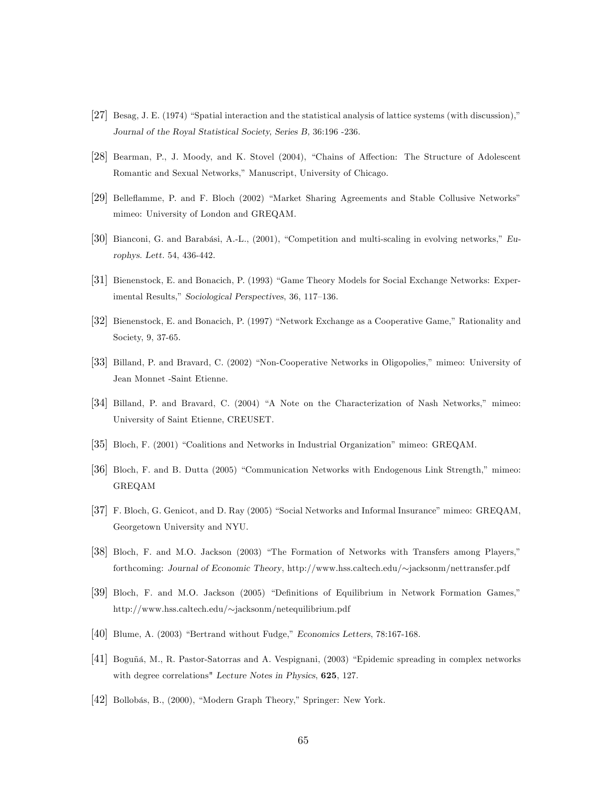- [27] Besag, J. E. (1974) "Spatial interaction and the statistical analysis of lattice systems (with discussion)," Journal of the Royal Statistical Society, Series B, 36:196 -236.
- [28] Bearman, P., J. Moody, and K. Stovel (2004), "Chains of Affection: The Structure of Adolescent Romantic and Sexual Networks," Manuscript, University of Chicago.
- [29] Belleflamme, P. and F. Bloch (2002) "Market Sharing Agreements and Stable Collusive Networks" mimeo: University of London and GREQAM.
- [30] Bianconi, G. and Barabási, A.-L., (2001), "Competition and multi-scaling in evolving networks," Europhys. Lett. 54, 436-442.
- [31] Bienenstock, E. and Bonacich, P. (1993) "Game Theory Models for Social Exchange Networks: Experimental Results," Sociological Perspectives, 36, 117-136.
- [32] Bienenstock, E. and Bonacich, P. (1997) "Network Exchange as a Cooperative Game," Rationality and Society, 9, 37-65.
- [33] Billand, P. and Bravard, C. (2002) "Non-Cooperative Networks in Oligopolies," mimeo: University of Jean Monnet -Saint Etienne.
- [34] Billand, P. and Bravard, C. (2004) "A Note on the Characterization of Nash Networks," mimeo: University of Saint Etienne, CREUSET.
- [35] Bloch, F. (2001) "Coalitions and Networks in Industrial Organization" mimeo: GREQAM.
- [36] Bloch, F. and B. Dutta (2005) "Communication Networks with Endogenous Link Strength," mimeo: GREQAM
- [37] F. Bloch, G. Genicot, and D. Ray (2005) "Social Networks and Informal Insurance" mimeo: GREQAM, Georgetown University and NYU.
- [38] Bloch, F. and M.O. Jackson (2003) "The Formation of Networks with Transfers among Players," forthcoming: Journal of Economic Theory, http://www.hss.caltech.edu/~jacksonm/nettransfer.pdf
- [39] Bloch, F. and M.O. Jackson (2005) "Definitions of Equilibrium in Network Formation Games," http://www.hss.caltech.edu/ $\sim$ jacksonm/netequilibrium.pdf
- [40] Blume, A. (2003) "Bertrand without Fudge," Economics Letters, 78:167-168.
- [41] Boguñá, M., R. Pastor-Satorras and A. Vespignani, (2003) "Epidemic spreading in complex networks with degree correlations" Lecture Notes in Physics, 625, 127.
- [42] Bollobás, B., (2000), "Modern Graph Theory," Springer: New York.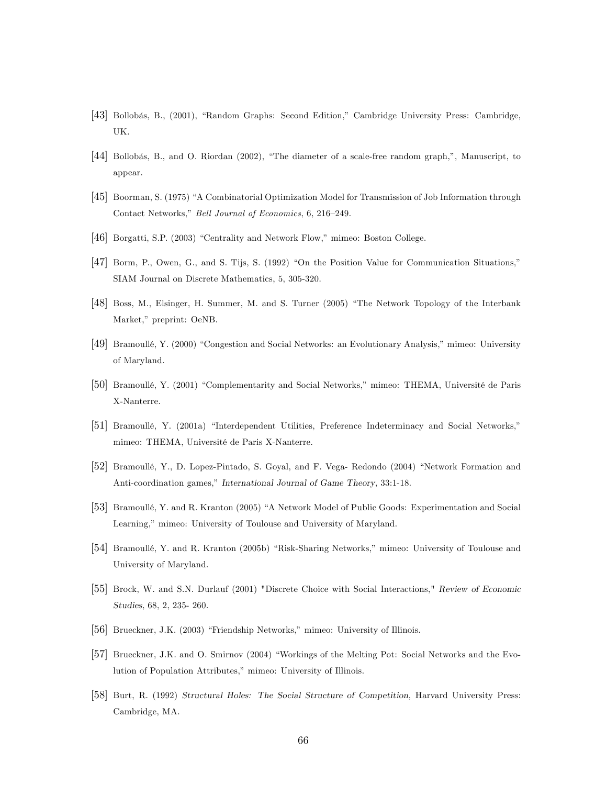- [43] Bollobás, B., (2001), "Random Graphs: Second Edition," Cambridge University Press: Cambridge, UK.
- $[44]$  Bollobás, B., and O. Riordan (2002), "The diameter of a scale-free random graph,", Manuscript, to appear.
- [45] Boorman, S. (1975) "A Combinatorial Optimization Model for Transmission of Job Information through Contact Networks," Bell Journal of Economics, 6, 216-249.
- [46] Borgatti, S.P. (2003) "Centrality and Network Flow," mimeo: Boston College.
- [47] Borm, P., Owen, G., and S. Tijs, S. (1992) "On the Position Value for Communication Situations," SIAM Journal on Discrete Mathematics, 5, 305-320.
- [48] Boss, M., Elsinger, H. Summer, M. and S. Turner (2005) "The Network Topology of the Interbank Market," preprint: OeNB.
- [49] Bramoullé, Y. (2000) "Congestion and Social Networks: an Evolutionary Analysis," mimeo: University of Maryland.
- [50] Bramoullé, Y. (2001) "Complementarity and Social Networks," mimeo: THEMA, Université de Paris X-Nanterre.
- [51] Bramoullé, Y. (2001a) "Interdependent Utilities, Preference Indeterminacy and Social Networks," mimeo: THEMA, Université de Paris X-Nanterre.
- [52] Bramoullé, Y., D. Lopez-Pintado, S. Goyal, and F. Vega- Redondo (2004) "Network Formation and Anti-coordination games," International Journal of Game Theory, 33:1-18.
- [53] Bramoullé, Y. and R. Kranton (2005) "A Network Model of Public Goods: Experimentation and Social Learning," mimeo: University of Toulouse and University of Maryland.
- [54] Bramoullé, Y. and R. Kranton (2005b) "Risk-Sharing Networks," mimeo: University of Toulouse and University of Maryland.
- [55] Brock, W. and S.N. Durlauf (2001) "Discrete Choice with Social Interactions," Review of Economic Studies, 68, 2, 235- 260.
- [56] Brueckner, J.K. (2003) "Friendship Networks," mimeo: University of Illinois.
- [57] Brueckner, J.K. and O. Smirnov (2004) "Workings of the Melting Pot: Social Networks and the Evolution of Population Attributes," mimeo: University of Illinois.
- [58] Burt, R. (1992) Structural Holes: The Social Structure of Competition, Harvard University Press: Cambridge, MA.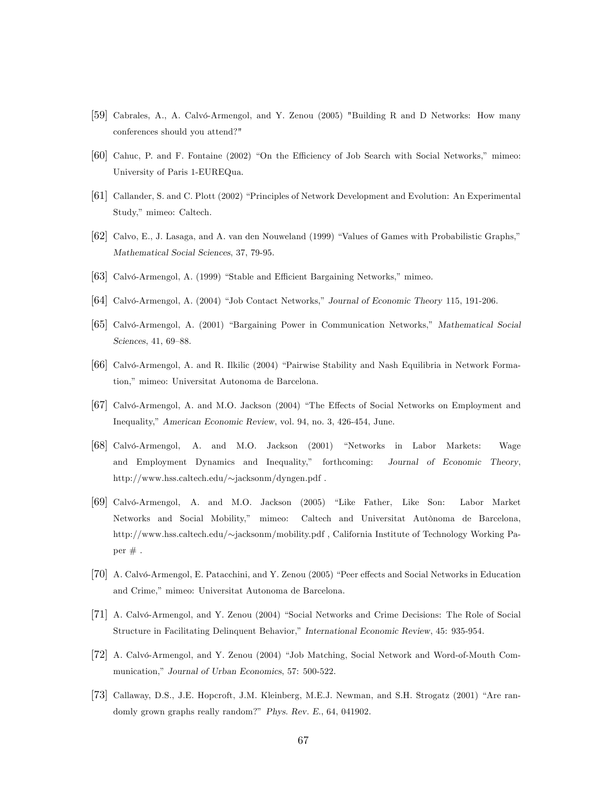- [59] Cabrales, A., A. Calvó-Armengol, and Y. Zenou (2005) "Building R and D Networks: How many conferences should you attend?"
- $|60|$  Cahuc, P. and F. Fontaine (2002) "On the Efficiency of Job Search with Social Networks," mimeo: University of Paris 1-EUREQua.
- [61] Callander, S. and C. Plott (2002) "Principles of Network Development and Evolution: An Experimental Study," mimeo: Caltech.
- [62] Calvo, E., J. Lasaga, and A. van den Nouweland (1999) "Values of Games with Probabilistic Graphs," Mathematical Social Sciences, 37, 79-95.
- [63] Calvó-Armengol, A. (1999) "Stable and Efficient Bargaining Networks," mimeo.
- [64] Calvó-Armengol, A. (2004) "Job Contact Networks," Journal of Economic Theory 115, 191-206.
- [65] Calvó-Armengol, A. (2001) "Bargaining Power in Communication Networks," Mathematical Social Sciences, 41, 69-88.
- [66] Calvó-Armengol, A. and R. Ilkilic (2004) "Pairwise Stability and Nash Equilibria in Network Formation," mimeo: Universitat Autonoma de Barcelona.
- [67] Calvó-Armengol, A. and M.O. Jackson (2004) "The Effects of Social Networks on Employment and Inequality," American Economic Review, vol. 94, no. 3, 426-454, June.
- $[68]$  Calvó-Armengol, A. and M.O. Jackson (2001) "Networks in Labor Wage Markets: and Employment Dynamics and Inequality," forthcoming: Journal of Economic Theory, http://www.hss.caltech.edu/ $\sim$ jacksonm/dyngen.pdf.
- [69] Calvó-Armengol, A. and M.O. Jackson "Like Father, Like  $(2005)$ Son: Labor Market Networks and Social Mobility," mimeo: Caltech and Universitat Autònoma de Barcelona, http://www.hss.caltech.edu/~jacksonm/mobility.pdf, California Institute of Technology Working Paper  $#$ .
- [70] A. Calvó-Armengol, E. Patacchini, and Y. Zenou (2005) "Peer effects and Social Networks in Education and Crime," mimeo: Universitat Autonoma de Barcelona.
- [71] A. Calvó-Armengol, and Y. Zenou (2004) "Social Networks and Crime Decisions: The Role of Social Structure in Facilitating Delinquent Behavior," International Economic Review, 45: 935-954.
- [72] A. Calvó-Armengol, and Y. Zenou (2004) "Job Matching, Social Network and Word-of-Mouth Communication," Journal of Urban Economics, 57: 500-522.
- [73] Callaway, D.S., J.E. Hopcroft, J.M. Kleinberg, M.E.J. Newman, and S.H. Strogatz (2001) "Are randomly grown graphs really random?" Phys. Rev. E., 64, 041902.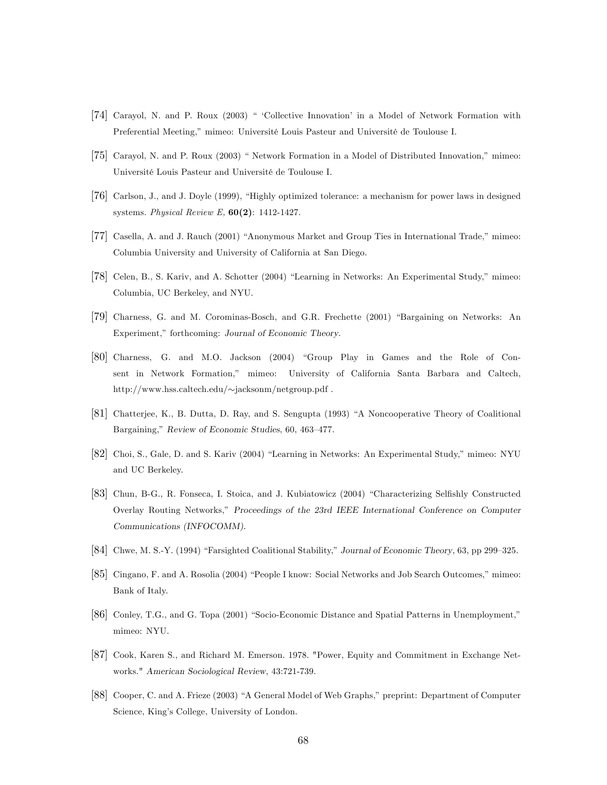- [74] Carayol, N. and P. Roux (2003) " 'Collective Innovation' in a Model of Network Formation with Preferential Meeting," mimeo: Université Louis Pasteur and Université de Toulouse I.
- [75] Carayol, N. and P. Roux (2003) " Network Formation in a Model of Distributed Innovation," mimeo: Université Louis Pasteur and Université de Toulouse I.
- [76] Carlson, J., and J. Doyle (1999), "Highly optimized tolerance: a mechanism for power laws in designed systems. Physical Review E,  $60(2)$ : 1412-1427.
- [77] Casella, A. and J. Rauch (2001) "Anonymous Market and Group Ties in International Trade," mimeo: Columbia University and University of California at San Diego.
- [78] Celen, B., S. Kariv, and A. Schotter (2004) "Learning in Networks: An Experimental Study," mimeo: Columbia, UC Berkeley, and NYU.
- [79] Charness, G. and M. Corominas-Bosch, and G.R. Frechette (2001) "Bargaining on Networks: An Experiment," forthcoming: Journal of Economic Theory.
- [80] Charness, G. and M.O. Jackson (2004) "Group Play in Games and the Role of Consent in Network Formation," mimeo: University of California Santa Barbara and Caltech, http://www.hss.caltech.edu/ $\sim$ jacksonm/netgroup.pdf.
- [81] Chatterjee, K., B. Dutta, D. Ray, and S. Sengupta (1993) "A Noncooperative Theory of Coalitional Bargaining," Review of Economic Studies, 60, 463-477.
- [82] Choi, S., Gale, D. and S. Kariv (2004) "Learning in Networks: An Experimental Study," mimeo: NYU and UC Berkeley.
- [83] Chun, B-G., R. Fonseca, I. Stoica, and J. Kubiatowicz (2004) "Characterizing Selfishly Constructed Overlay Routing Networks," Proceedings of the 23rd IEEE International Conference on Computer Communications (INFOCOMM).
- [84] Chwe, M. S.-Y. (1994) "Farsighted Coalitional Stability," Journal of Economic Theory, 63, pp 299–325.
- [85] Cingano, F. and A. Rosolia (2004) "People I know: Social Networks and Job Search Outcomes," mimeo: Bank of Italy.
- [86] Conley, T.G., and G. Topa (2001) "Socio-Economic Distance and Spatial Patterns in Unemployment," mimeo: NYU.
- [87] Cook, Karen S., and Richard M. Emerson. 1978. "Power, Equity and Commitment in Exchange Networks." American Sociological Review, 43:721-739.
- [88] Cooper, C. and A. Frieze (2003) "A General Model of Web Graphs," preprint: Department of Computer Science, King's College, University of London.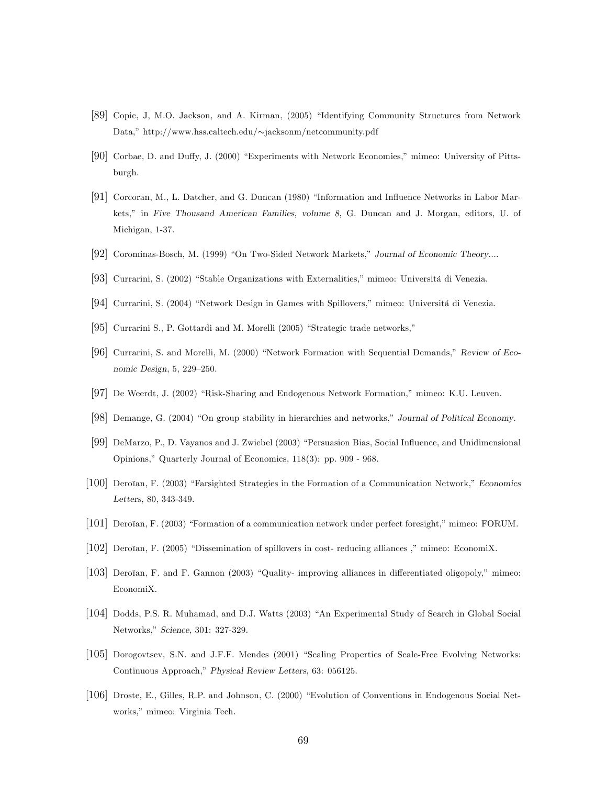- [89] Copic, J, M.O. Jackson, and A. Kirman, (2005) "Identifying Community Structures from Network Data," http://www.hss.caltech.edu/ $\sim$ jacksonm/netcommunity.pdf
- [90] Corbae, D. and Duffy, J. (2000) "Experiments with Network Economies," mimeo: University of Pittsburgh.
- [91] Corcoran, M., L. Datcher, and G. Duncan (1980) "Information and Influence Networks in Labor Markets," in Five Thousand American Families, volume 8, G. Duncan and J. Morgan, editors, U. of Michigan, 1-37.
- [92] Corominas-Bosch, M. (1999) "On Two-Sided Network Markets," Journal of Economic Theory....
- [93] Currarini, S. (2002) "Stable Organizations with Externalities," mimeo: Universitá di Venezia.
- [94] Currarini, S. (2004) "Network Design in Games with Spillovers," mimeo: Università di Venezia.
- [95] Currarini S., P. Gottardi and M. Morelli (2005) "Strategic trade networks,"
- [96] Currarini, S. and Morelli, M. (2000) "Network Formation with Sequential Demands," Review of Economic Design, 5, 229-250.
- [97] De Weerdt, J. (2002) "Risk-Sharing and Endogenous Network Formation," mimeo: K.U. Leuven.
- [98] Demange, G. (2004) "On group stability in hierarchies and networks," Journal of Political Economy.
- [99] DeMarzo, P., D. Vayanos and J. Zwiebel (2003) "Persuasion Bias, Social Influence, and Unidimensional Opinions," Quarterly Journal of Economics, 118(3): pp. 909 - 968.
- [100] Deroïan, F. (2003) "Farsighted Strategies in the Formation of a Communication Network," Economics Letters, 80, 343-349.
- [101] Deroïan, F. (2003) "Formation of a communication network under perfect foresight," mimeo: FORUM.
- $|102|$  Deroïan, F. (2005) "Dissemination of spillovers in cost-reducing alliances," mimeo: EconomiX.
- [103] Deroïan, F. and F. Gannon (2003) "Quality-improving alliances in differentiated oligopoly," mimeo: EconomiX.
- [104] Dodds, P.S. R. Muhamad, and D.J. Watts (2003) "An Experimental Study of Search in Global Social Networks," Science, 301: 327-329.
- [105] Dorogovtsev, S.N. and J.F.F. Mendes (2001) "Scaling Properties of Scale-Free Evolving Networks: Continuous Approach," Physical Review Letters, 63: 056125.
- [ $106$ ] Droste, E., Gilles, R.P. and Johnson, C. (2000) "Evolution of Conventions in Endogenous Social Networks," mimeo: Virginia Tech.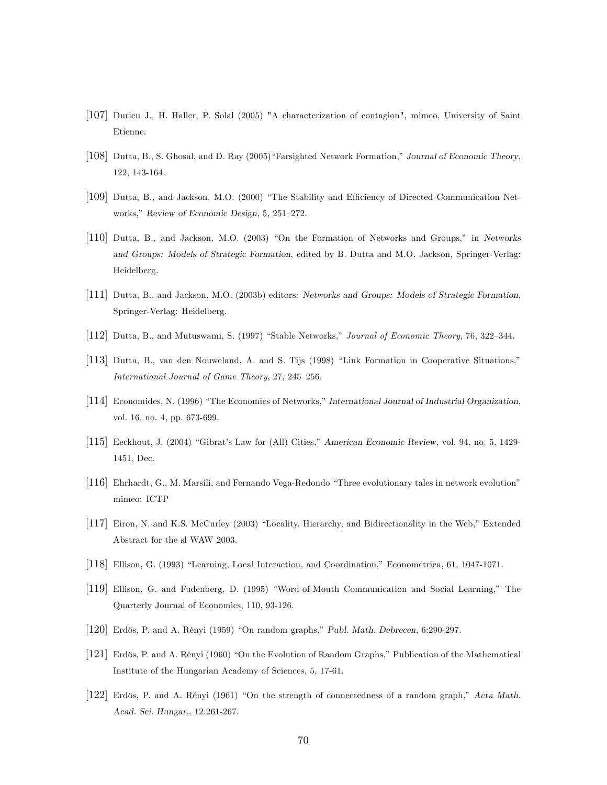- [107] Durieu J., H. Haller, P. Solal (2005) "A characterization of contagion", mimeo, University of Saint Etienne.
- [108] Dutta, B., S. Ghosal, and D. Ray (2005) "Farsighted Network Formation," Journal of Economic Theory, 122, 143-164.
- [109] Dutta, B., and Jackson, M.O. (2000) "The Stability and Efficiency of Directed Communication Networks," Review of Economic Design, 5, 251-272.
- [110] Dutta, B., and Jackson, M.O. (2003) "On the Formation of Networks and Groups," in Networks and Groups: Models of Strategic Formation, edited by B. Dutta and M.O. Jackson, Springer-Verlag: Heidelberg.
- [111] Dutta, B., and Jackson, M.O. (2003b) editors: Networks and Groups: Models of Strategic Formation, Springer-Verlag: Heidelberg.
- [112] Dutta, B., and Mutuswami, S. (1997) "Stable Networks," Journal of Economic Theory, 76, 322–344.
- [113] Dutta, B., van den Nouweland, A. and S. Tijs (1998) "Link Formation in Cooperative Situations," International Journal of Game Theory, 27, 245-256.
- [114] Economides, N. (1996) "The Economics of Networks," International Journal of Industrial Organization, vol. 16, no. 4, pp. 673-699.
- [115] Eeckhout, J. (2004) "Gibrat's Law for (All) Cities," American Economic Review, vol. 94, no. 5, 1429-1451, Dec.
- [116] Ehrhardt, G., M. Marsili, and Fernando Vega-Redondo "Three evolutionary tales in network evolution" mimeo: ICTP
- [117] Eiron, N. and K.S. McCurley (2003) "Locality, Hierarchy, and Bidirectionality in the Web," Extended Abstract for the sl WAW 2003.
- [118] Ellison, G. (1993) "Learning, Local Interaction, and Coordination," Econometrica, 61, 1047-1071.
- [119] Ellison, G. and Fudenberg, D. (1995) "Word-of-Mouth Communication and Social Learning," The Quarterly Journal of Economics, 110, 93-126.
- [120] Erdös, P. and A. Rényi (1959) "On random graphs," Publ. Math. Debrecen, 6:290-297.
- [121] Erdös, P. and A. Rényi (1960) "On the Evolution of Random Graphs," Publication of the Mathematical Institute of the Hungarian Academy of Sciences, 5, 17-61.
- [122] Erdös, P. and A. Rényi (1961) "On the strength of connectedness of a random graph," Acta Math. Acad. Sci. Hungar., 12:261-267.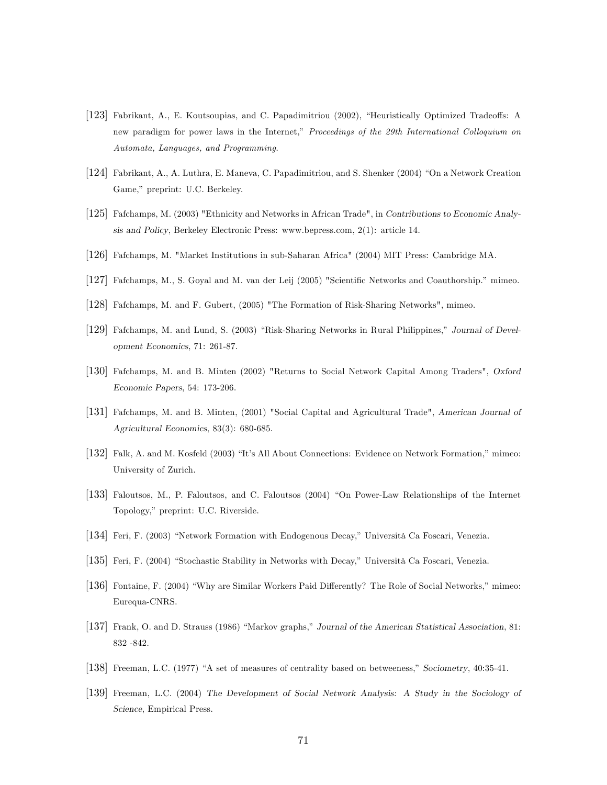- [123] Fabrikant, A., E. Koutsoupias, and C. Papadimitriou (2002), "Heuristically Optimized Tradeoffs: A new paradigm for power laws in the Internet," Proceedings of the 29th International Colloquium on Automata, Languages, and Programming.
- [124] Fabrikant, A., A. Luthra, E. Maneva, C. Papadimitriou, and S. Shenker (2004) "On a Network Creation Game," preprint: U.C. Berkeley.
- [125] Fafchamps, M. (2003) "Ethnicity and Networks in African Trade", in Contributions to Economic Analysis and Policy, Berkeley Electronic Press: www.bepress.com, 2(1): article 14.
- [126] Fafchamps, M. "Market Institutions in sub-Saharan Africa" (2004) MIT Press: Cambridge MA.
- [127] Fafchamps, M., S. Goyal and M. van der Leij (2005) "Scientific Networks and Coauthorship." mimeo.
- [128] Fafchamps, M. and F. Gubert, (2005) "The Formation of Risk-Sharing Networks", mimeo.
- [129] Fafchamps, M. and Lund, S. (2003) "Risk-Sharing Networks in Rural Philippines," Journal of Development Economics, 71: 261-87.
- [130] Fafchamps, M. and B. Minten (2002) "Returns to Social Network Capital Among Traders", Oxford Economic Papers, 54: 173-206.
- [131] Fafchamps, M. and B. Minten, (2001) "Social Capital and Agricultural Trade", American Journal of Agricultural Economics, 83(3): 680-685.
- [132] Falk, A. and M. Kosfeld (2003) "It's All About Connections: Evidence on Network Formation," mimeo: University of Zurich.
- [133] Faloutsos, M., P. Faloutsos, and C. Faloutsos (2004) "On Power-Law Relationships of the Internet Topology,î preprint: U.C. Riverside.
- [134] Feri, F. (2003) "Network Formation with Endogenous Decay," Università Ca Foscari, Venezia.
- [135] Feri, F. (2004) "Stochastic Stability in Networks with Decay," Università Ca Foscari, Venezia.
- [136] Fontaine, F. (2004) "Why are Similar Workers Paid Differently? The Role of Social Networks," mimeo: Eurequa-CNRS.
- [137] Frank, O. and D. Strauss (1986) "Markov graphs," Journal of the American Statistical Association, 81: 832 -842.
- [138] Freeman, L.C. (1977) "A set of measures of centrality based on betweeness," Sociometry, 40:35-41.
- [139] Freeman, L.C. (2004) The Development of Social Network Analysis: A Study in the Sociology of Science, Empirical Press.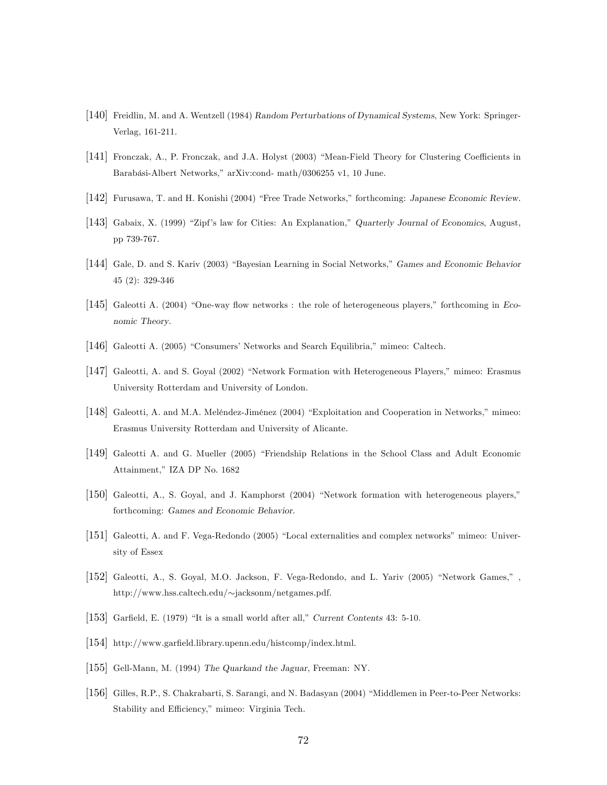- [140] Freidlin, M. and A. Wentzell (1984) Random Perturbations of Dynamical Systems, New York: Springer-Verlag, 161-211.
- [141] Fronczak, A., P. Fronczak, and J.A. Holyst (2003) "Mean-Field Theory for Clustering Coefficients in Barabási-Albert Networks," arXiv:cond- math/0306255 v1, 10 June.
- [142] Furusawa, T. and H. Konishi (2004) "Free Trade Networks," forthcoming: Japanese Economic Review.
- [143] Gabaix, X. (1999) "Zipf's law for Cities: An Explanation," Quarterly Journal of Economics, August, pp 739-767.
- [144] Gale, D. and S. Kariv (2003) "Bayesian Learning in Social Networks," Games and Economic Behavior 45 (2): 329-346
- $|145|$  Galeotti A. (2004) "One-way flow networks: the role of heterogeneous players," forthcoming in Economic Theory.
- [146] Galeotti A. (2005) "Consumers' Networks and Search Equilibria," mimeo: Caltech.
- [147] Galeotti, A. and S. Goyal (2002) "Network Formation with Heterogeneous Players," mimeo: Erasmus University Rotterdam and University of London.
- [148] Galeotti, A. and M.A. Meléndez-Jiménez (2004) "Exploitation and Cooperation in Networks," mimeo: Erasmus University Rotterdam and University of Alicante.
- [149] Galeotti A. and G. Mueller (2005) "Friendship Relations in the School Class and Adult Economic Attainment," IZA DP No. 1682
- [150] Galeotti, A., S. Goyal, and J. Kamphorst (2004) "Network formation with heterogeneous players," forthcoming: Games and Economic Behavior.
- [151] Galeotti, A. and F. Vega-Redondo (2005) "Local externalities and complex networks" mimeo: University of Essex
- [152] Galeotti, A., S. Goyal, M.O. Jackson, F. Vega-Redondo, and L. Yariv (2005) "Network Games,", http://www.hss.caltech.edu/~jacksonm/netgames.pdf.
- [153] Garfield, E. (1979) "It is a small world after all," Current Contents 43: 5-10.
- [154] http://www.garfield.library.upenn.edu/histcomp/index.html.
- [155] Gell-Mann, M. (1994) The Quarkand the Jaguar, Freeman: NY.
- [156] Gilles, R.P., S. Chakrabarti, S. Sarangi, and N. Badasyan (2004) "Middlemen in Peer-to-Peer Networks: Stability and Efficiency," mimeo: Virginia Tech.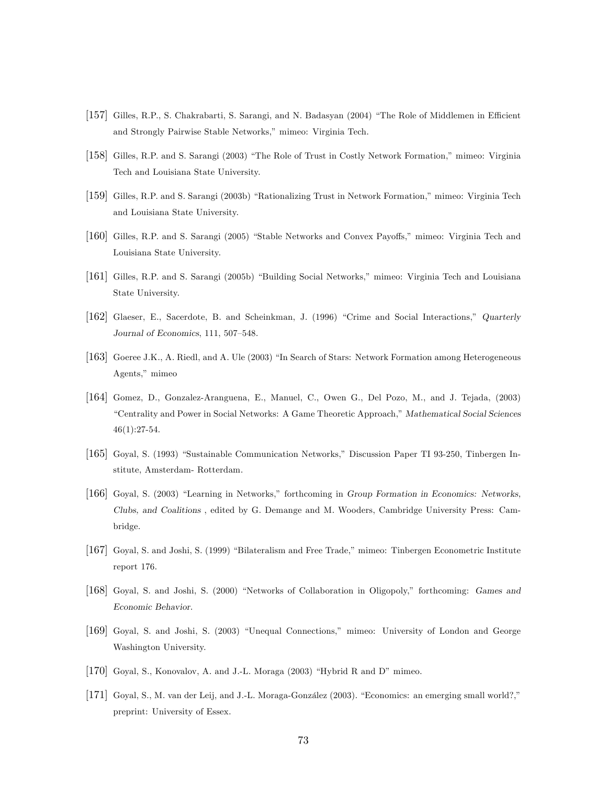- [157] Gilles, R.P., S. Chakrabarti, S. Sarangi, and N. Badasyan (2004) "The Role of Middlemen in Efficient and Strongly Pairwise Stable Networks," mimeo: Virginia Tech.
- [158] Gilles, R.P. and S. Sarangi (2003) "The Role of Trust in Costly Network Formation," mimeo: Virginia Tech and Louisiana State University.
- [159] Gilles, R.P. and S. Sarangi (2003b) "Rationalizing Trust in Network Formation," mimeo: Virginia Tech and Louisiana State University.
- [160] Gilles, R.P. and S. Sarangi (2005) "Stable Networks and Convex Payoffs," mimeo: Virginia Tech and Louisiana State University.
- [161] Gilles, R.P. and S. Sarangi (2005b) "Building Social Networks," mimeo: Virginia Tech and Louisiana State University.
- [162] Glaeser, E., Sacerdote, B. and Scheinkman, J. (1996) "Crime and Social Interactions," Quarterly Journal of Economics, 111, 507-548.
- [163] Goeree J.K., A. Riedl, and A. Ule (2003) "In Search of Stars: Network Formation among Heterogeneous Agents," mimeo
- [164] Gomez, D., Gonzalez-Aranguena, E., Manuel, C., Owen G., Del Pozo, M., and J. Tejada, (2003) "Centrality and Power in Social Networks: A Game Theoretic Approach," Mathematical Social Sciences 46(1):27-54.
- [165] Goyal, S. (1993) "Sustainable Communication Networks," Discussion Paper TI 93-250, Tinbergen Institute, Amsterdam- Rotterdam.
- [166] Goyal, S. (2003) "Learning in Networks," forthcoming in Group Formation in Economics: Networks, Clubs, and Coalitions , edited by G. Demange and M. Wooders, Cambridge University Press: Cambridge.
- [167] Goyal, S. and Joshi, S. (1999) "Bilateralism and Free Trade," mimeo: Tinbergen Econometric Institute report 176.
- [168] Goyal, S. and Joshi, S. (2000) "Networks of Collaboration in Oligopoly," forthcoming: Games and Economic Behavior.
- [169] Goyal, S. and Joshi, S. (2003) "Unequal Connections," mimeo: University of London and George Washington University.
- [170] Goyal, S., Konovalov, A. and J.-L. Moraga  $(2003)$  "Hybrid R and D" mimeo.
- [171] Goyal, S., M. van der Leij, and J.-L. Moraga-González (2003). "Economics: an emerging small world?," preprint: University of Essex.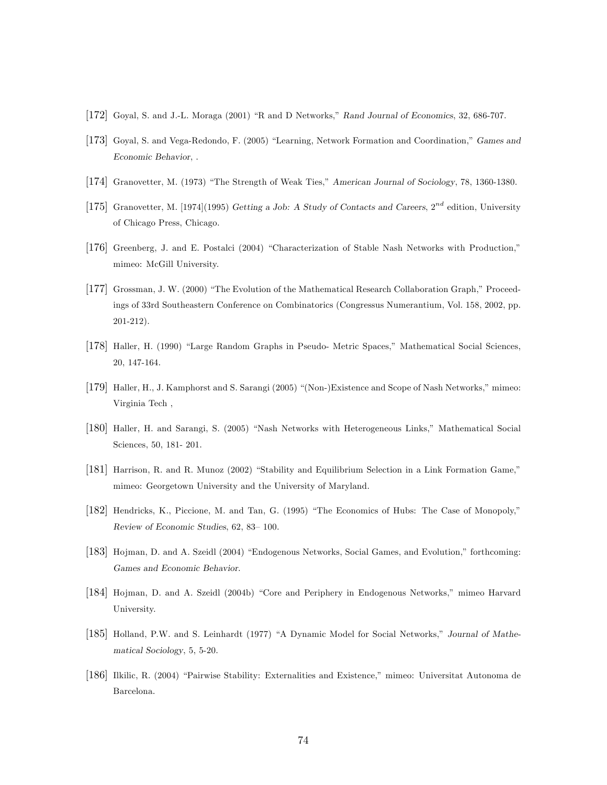- [172] Goyal, S. and J.-L. Moraga (2001) "R and D Networks," Rand Journal of Economics, 32, 686-707.
- [173] Goyal, S. and Vega-Redondo, F. (2005) "Learning, Network Formation and Coordination," Games and Economic Behavior, .
- [174] Granovetter, M. (1973) "The Strength of Weak Ties," American Journal of Sociology, 78, 1360-1380.
- [175] Granovetter, M. [1974](1995) Getting a Job: A Study of Contacts and Careers,  $2^{nd}$  edition, University of Chicago Press, Chicago.
- $[176]$  Greenberg, J. and E. Postalci (2004) "Characterization of Stable Nash Networks with Production," mimeo: McGill University.
- [177] Grossman, J. W. (2000) "The Evolution of the Mathematical Research Collaboration Graph," Proceedings of 33rd Southeastern Conference on Combinatorics (Congressus Numerantium, Vol. 158, 2002, pp. 201-212).
- [178] Haller, H. (1990) "Large Random Graphs in Pseudo- Metric Spaces," Mathematical Social Sciences, 20, 147-164.
- [179] Haller, H., J. Kamphorst and S. Sarangi (2005) "(Non-)Existence and Scope of Nash Networks," mimeo: Virginia Tech ,
- [180] Haller, H. and Sarangi, S. (2005) "Nash Networks with Heterogeneous Links," Mathematical Social Sciences, 50, 181- 201.
- [181] Harrison, R. and R. Munoz (2002) "Stability and Equilibrium Selection in a Link Formation Game," mimeo: Georgetown University and the University of Maryland.
- [182] Hendricks, K., Piccione, M. and Tan, G. (1995) "The Economics of Hubs: The Case of Monopoly," Review of Economic Studies, 62, 83-100.
- [183] Hojman, D. and A. Szeidl (2004) "Endogenous Networks, Social Games, and Evolution," forthcoming: Games and Economic Behavior.
- [184] Hojman, D. and A. Szeidl (2004b) "Core and Periphery in Endogenous Networks," mimeo Harvard University.
- [185] Holland, P.W. and S. Leinhardt (1977) "A Dynamic Model for Social Networks," Journal of Mathematical Sociology, 5, 5-20.
- [186] Ilkilic, R. (2004) "Pairwise Stability: Externalities and Existence," mimeo: Universitat Autonoma de Barcelona.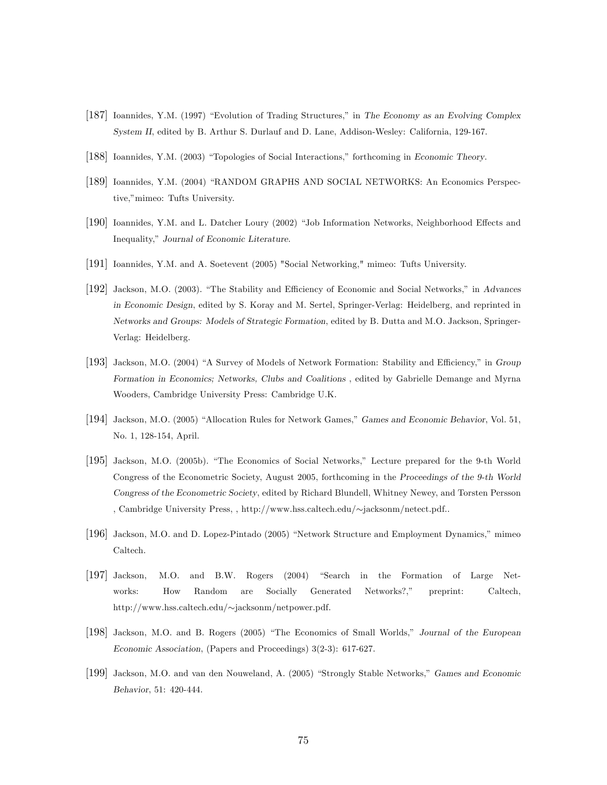- [187] Ioannides, Y.M. (1997) "Evolution of Trading Structures," in The Economy as an Evolving Complex System II, edited by B. Arthur S. Durlauf and D. Lane, Addison-Wesley: California, 129-167.
- [188] Ioannides, Y.M. (2003) "Topologies of Social Interactions," forthcoming in Economic Theory.
- [189] Ioannides, Y.M. (2004) "RANDOM GRAPHS AND SOCIAL NETWORKS: An Economics Perspective," mimeo: Tufts University.
- [190] Ioannides, Y.M. and L. Datcher Loury (2002) "Job Information Networks, Neighborhood Effects and Inequality," Journal of Economic Literature.
- [191] Ioannides, Y.M. and A. Soetevent (2005) "Social Networking," mimeo: Tufts University.
- [192] Jackson, M.O. (2003). "The Stability and Efficiency of Economic and Social Networks," in Advances in Economic Design, edited by S. Koray and M. Sertel, Springer-Verlag: Heidelberg, and reprinted in Networks and Groups: Models of Strategic Formation, edited by B. Dutta and M.O. Jackson, Springer-Verlag: Heidelberg.
- [193] Jackson, M.O. (2004) "A Survey of Models of Network Formation: Stability and Efficiency," in Group Formation in Economics: Networks, Clubs and Coalitions, edited by Gabrielle Demange and Myrna Wooders, Cambridge University Press: Cambridge U.K.
- [194] Jackson, M.O. (2005) "Allocation Rules for Network Games," Games and Economic Behavior, Vol. 51, No. 1, 128-154, April.
- [195] Jackson, M.O. (2005b). "The Economics of Social Networks," Lecture prepared for the 9-th World Congress of the Econometric Society, August 2005, forthcoming in the Proceedings of the 9-th World Congress of the Econometric Society, edited by Richard Blundell, Whitney Newey, and Torsten Persson , Cambridge University Press, , http://www.hss.caltech.edu/ $\sim$ jacksonm/netect.pdf..
- [196] Jackson, M.O. and D. Lopez-Pintado (2005) "Network Structure and Employment Dynamics," mimeo Caltech.
- $|197|$  Jackson,  $M.O.$ and B.W.  $(2004)$ "Search Formation Large Net-Rogers in the of works: How Random are Socially Generated Networks?." Caltech, preprint: http://www.hss.caltech.edu/ $\sim$ jacksonm/netpower.pdf.
- [198] Jackson, M.O. and B. Rogers (2005) "The Economics of Small Worlds," Journal of the European Economic Association, (Papers and Proceedings) 3(2-3): 617-627.
- [199] Jackson, M.O. and van den Nouweland, A. (2005) "Strongly Stable Networks," Games and Economic Behavior, 51: 420-444.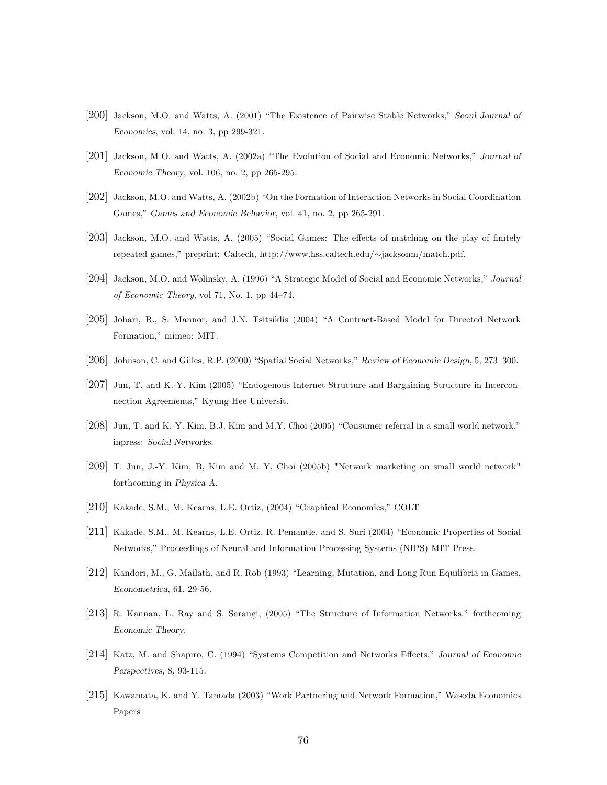- [200] Jackson, M.O. and Watts, A. (2001) "The Existence of Pairwise Stable Networks," Seoul Journal of Economics, vol. 14, no. 3, pp 299-321.
- [201] Jackson, M.O. and Watts, A. (2002a) "The Evolution of Social and Economic Networks," Journal of Economic Theory, vol. 106, no. 2, pp  $265-295$ .
- [202] Jackson, M.O. and Watts, A. (2002b) "On the Formation of Interaction Networks in Social Coordination Games," Games and Economic Behavior, vol. 41, no. 2, pp 265-291.
- [203] Jackson, M.O. and Watts, A. (2005) "Social Games: The effects of matching on the play of finitely repeated games," preprint: Caltech, http://www.hss.caltech.edu/ $\sim$ jacksonm/match.pdf.
- [204] Jackson, M.O. and Wolinsky, A. (1996) "A Strategic Model of Social and Economic Networks," Journal of Economic Theory, vol 71, No. 1, pp  $44-74$ .
- [205] Johari, R., S. Mannor, and J.N. Tsitsiklis (2004) "A Contract-Based Model for Directed Network Formation," mimeo: MIT.
- [206] Johnson, C. and Gilles, R.P. (2000) "Spatial Social Networks," Review of Economic Design, 5, 273–300.
- [207] Jun, T. and K.-Y. Kim (2005) "Endogenous Internet Structure and Bargaining Structure in Interconnection Agreements," Kyung-Hee Universit.
- [208] Jun, T. and K.-Y. Kim, B.J. Kim and M.Y. Choi (2005) "Consumer referral in a small world network," inpress: Social Networks.
- [209] T. Jun, J.-Y. Kim, B, Kim and M. Y. Choi (2005b) "Network marketing on small world network" forthcoming in Physica A.
- [210] Kakade, S.M., M. Kearns, L.E. Ortiz, (2004) "Graphical Economics," COLT
- [211] Kakade, S.M., M. Kearns, L.E. Ortiz, R. Pemantle, and S. Suri (2004) "Economic Properties of Social Networks," Proceedings of Neural and Information Processing Systems (NIPS) MIT Press.
- [212] Kandori, M., G. Mailath, and R. Rob (1993) "Learning, Mutation, and Long Run Equilibria in Games, Econometrica, 61, 29-56.
- [213] R. Kannan, L. Ray and S. Sarangi, (2005) "The Structure of Information Networks." forthcoming Economic Theory.
- [214] Katz, M. and Shapiro, C. (1994) "Systems Competition and Networks Effects," Journal of Economic Perspectives, 8, 93-115.
- [215] Kawamata, K. and Y. Tamada (2003) "Work Partnering and Network Formation," Waseda Economics Papers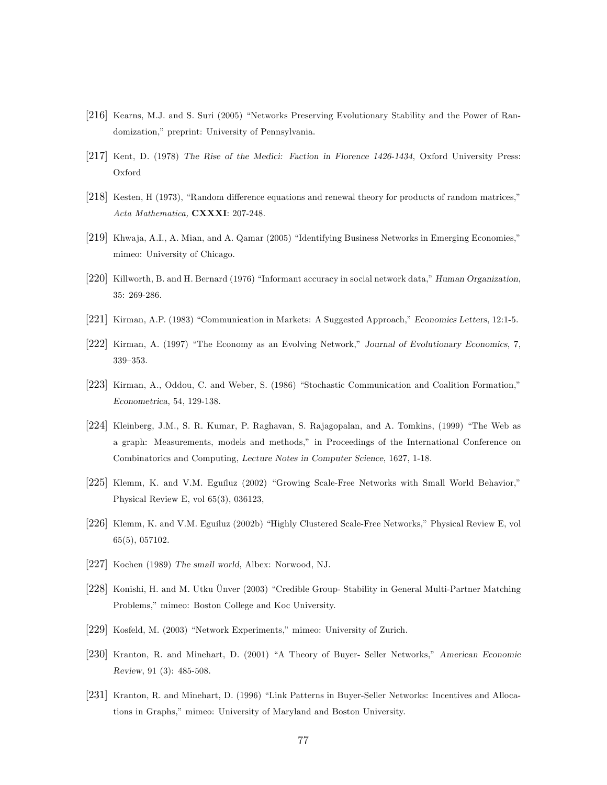- [216] Kearns, M.J. and S. Suri (2005) "Networks Preserving Evolutionary Stability and the Power of Randomization," preprint: University of Pennsylvania.
- [217] Kent, D. (1978) The Rise of the Medici: Faction in Florence 1426-1434, Oxford University Press: Oxford
- [218] Kesten, H (1973), "Random difference equations and renewal theory for products of random matrices," Acta Mathematica, CXXXI: 207-248.
- [219] Khwaja, A.I., A. Mian, and A. Qamar (2005) "Identifying Business Networks in Emerging Economies," mimeo: University of Chicago.
- [220] Killworth, B. and H. Bernard (1976) "Informant accuracy in social network data," Human Organization, 35: 269-286.
- [221] Kirman, A.P. (1983) "Communication in Markets: A Suggested Approach," Economics Letters, 12:1-5.
- [222] Kirman, A. (1997) "The Economy as an Evolving Network," Journal of Evolutionary Economics, 7,  $339 - 353.$
- [223] Kirman, A., Oddou, C. and Weber, S. (1986) "Stochastic Communication and Coalition Formation," Econometrica, 54, 129-138.
- [224] Kleinberg, J.M., S. R. Kumar, P. Raghavan, S. Rajagopalan, and A. Tomkins, (1999) "The Web as a graph: Measurements, models and methods," in Proceedings of the International Conference on Combinatorics and Computing, Lecture Notes in Computer Science, 1627, 1-18.
- [225] Klemm, K. and V.M. Eguiluz (2002) "Growing Scale-Free Networks with Small World Behavior," Physical Review E, vol  $65(3)$ , 036123.
- [226] Klemm, K. and V.M. Eguíluz (2002b) "Highly Clustered Scale-Free Networks," Physical Review E, vol  $65(5), 057102.$
- [227] Kochen (1989) The small world, Albex: Norwood, NJ.
- [228] Konishi, H. and M. Utku Ünver (2003) "Credible Group-Stability in General Multi-Partner Matching Problems," mimeo: Boston College and Koc University.
- [229] Kosfeld, M. (2003) "Network Experiments," mimeo: University of Zurich.
- [230] Kranton, R. and Minehart, D. (2001) "A Theory of Buyer- Seller Networks," American Economic Review, 91 (3): 485-508.
- [231] Kranton, R. and Minehart, D. (1996) "Link Patterns in Buyer-Seller Networks: Incentives and Allocations in Graphs," mimeo: University of Maryland and Boston University.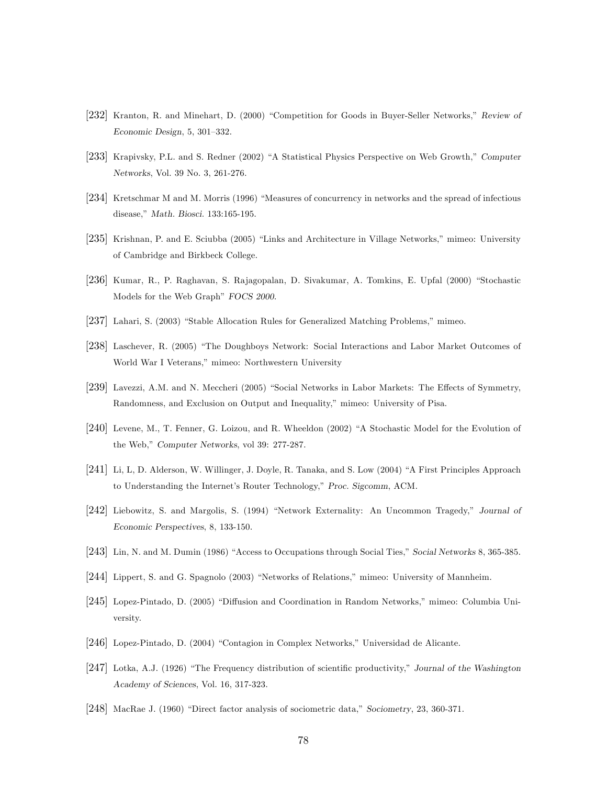- [232] Kranton, R. and Minehart, D. (2000) "Competition for Goods in Buyer-Seller Networks," Review of Economic Design, 5, 301-332.
- [233] Krapivsky, P.L. and S. Redner (2002) "A Statistical Physics Perspective on Web Growth," Computer Networks, Vol. 39 No. 3, 261-276.
- [234] Kretschmar M and M. Morris (1996) "Measures of concurrency in networks and the spread of infectious disease," Math. Biosci. 133:165-195.
- [235] Krishnan, P. and E. Sciubba (2005) "Links and Architecture in Village Networks," mimeo: University of Cambridge and Birkbeck College.
- [236] Kumar, R., P. Raghavan, S. Rajagopalan, D. Sivakumar, A. Tomkins, E. Upfal (2000) "Stochastic Models for the Web Graph" FOCS 2000.
- [237] Lahari, S. (2003) "Stable Allocation Rules for Generalized Matching Problems," mimeo.
- [238] Laschever, R. (2005) "The Doughboys Network: Social Interactions and Labor Market Outcomes of World War I Veterans," mimeo: Northwestern University
- [239] Lavezzi, A.M. and N. Meccheri (2005) "Social Networks in Labor Markets: The Effects of Symmetry, Randomness, and Exclusion on Output and Inequality," mimeo: University of Pisa.
- [240] Levene, M., T. Fenner, G. Loizou, and R. Wheeldon (2002) "A Stochastic Model for the Evolution of the Web," Computer Networks, vol 39: 277-287.
- [241] Li, L, D. Alderson, W. Willinger, J. Doyle, R. Tanaka, and S. Low (2004) "A First Principles Approach to Understanding the Internet's Router Technology," Proc. Sigcomm, ACM.
- [242] Liebowitz, S. and Margolis, S. (1994) "Network Externality: An Uncommon Tragedy," Journal of Economic Perspectives, 8, 133-150.
- [243] Lin, N. and M. Dumin (1986) "Access to Occupations through Social Ties," Social Networks 8, 365-385.
- [244] Lippert, S. and G. Spagnolo (2003) "Networks of Relations," mimeo: University of Mannheim.
- [245] Lopez-Pintado, D. (2005) "Diffusion and Coordination in Random Networks," mimeo: Columbia University.
- [246] Lopez-Pintado, D. (2004) "Contagion in Complex Networks," Universidad de Alicante.
- [247] Lotka, A.J. (1926) "The Frequency distribution of scientific productivity," Journal of the Washington Academy of Sciences, Vol. 16, 317-323.
- [248] MacRae J. (1960) "Direct factor analysis of sociometric data," Sociometry, 23, 360-371.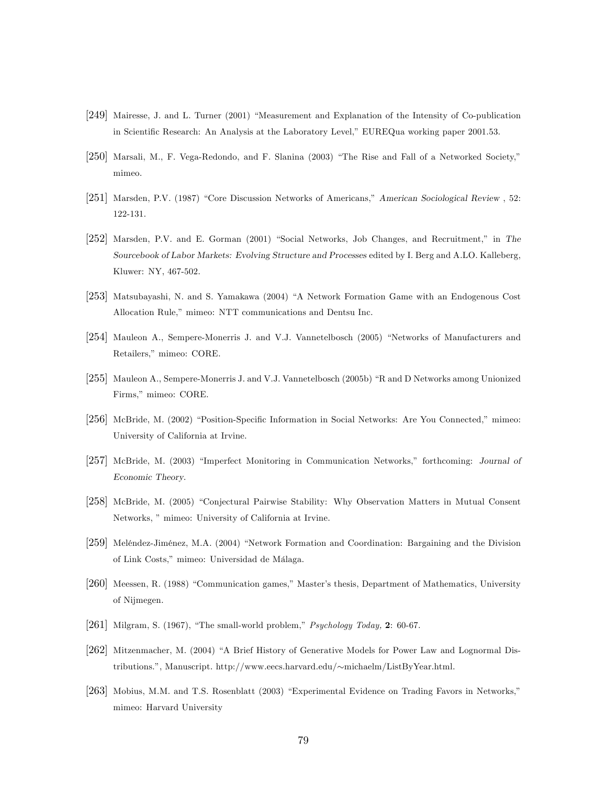- [249] Mairesse, J. and L. Turner (2001) "Measurement and Explanation of the Intensity of Co-publication in Scientific Research: An Analysis at the Laboratory Level," EUREQua working paper 2001.53.
- [250] Marsali, M., F. Vega-Redondo, and F. Slanina (2003) "The Rise and Fall of a Networked Society," mimeo.
- [251] Marsden, P.V. (1987) "Core Discussion Networks of Americans," American Sociological Review, 52: 122-131.
- [252] Marsden, P.V. and E. Gorman (2001) "Social Networks, Job Changes, and Recruitment," in The Sourcebook of Labor Markets: Evolving Structure and Processes edited by I. Berg and A.LO. Kalleberg, Kluwer: NY, 467-502.
- [253] Matsubayashi, N. and S. Yamakawa (2004) "A Network Formation Game with an Endogenous Cost Allocation Rule," mimeo: NTT communications and Dentsu Inc.
- [254] Mauleon A., Sempere-Monerris J. and V.J. Vannetelbosch (2005) "Networks of Manufacturers and Retailers," mimeo: CORE.
- [255] Mauleon A., Sempere-Monerris J. and V.J. Vannetelbosch (2005b) "R and D Networks among Unionized Firms," mimeo: CORE.
- [256] McBride, M. (2002) "Position-Specific Information in Social Networks: Are You Connected," mimeo: University of California at Irvine.
- [257] McBride, M. (2003) "Imperfect Monitoring in Communication Networks," forthcoming: Journal of Economic Theory.
- [258] McBride, M. (2005) "Conjectural Pairwise Stability: Why Observation Matters in Mutual Consent Networks, " mimeo: University of California at Irvine.
- [259] Meléndez-Jiménez, M.A. (2004) "Network Formation and Coordination: Bargaining and the Division of Link Costs," mimeo: Universidad de Málaga.
- [260] Meessen, R. (1988) "Communication games," Master's thesis, Department of Mathematics, University of Nijmegen.
- [261] Milgram, S. (1967), "The small-world problem," *Psychology Today*, 2: 60-67.
- [262] Mitzenmacher, M. (2004) "A Brief History of Generative Models for Power Law and Lognormal Distributions.", Manuscript. http://www.eecs.harvard.edu/ $\sim$ michaelm/ListByYear.html.
- [263] Mobius, M.M. and T.S. Rosenblatt (2003) "Experimental Evidence on Trading Favors in Networks," mimeo: Harvard University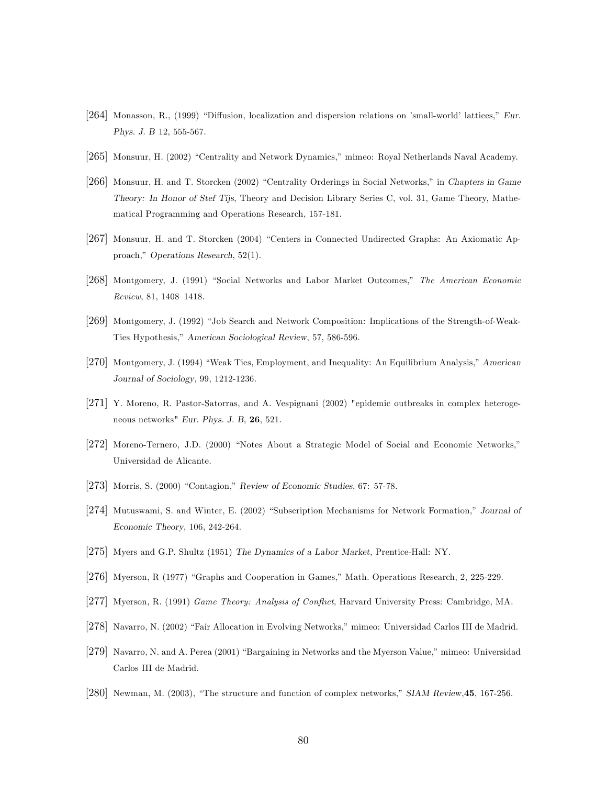- [264] Monasson, R., (1999) "Diffusion, localization and dispersion relations on 'small-world' lattices," Eur. Phys. J. B 12, 555-567.
- [265] Monsuur, H. (2002) "Centrality and Network Dynamics," mimeo: Royal Netherlands Naval Academy.
- [266] Monsuur, H. and T. Storcken (2002) "Centrality Orderings in Social Networks," in Chapters in Game Theory: In Honor of Stef Tijs, Theory and Decision Library Series C, vol. 31, Game Theory, Mathematical Programming and Operations Research, 157-181.
- [267] Monsuur, H. and T. Storcken (2004) "Centers in Connected Undirected Graphs: An Axiomatic Approach," Operations Research,  $52(1)$ .
- [268] Montgomery, J. (1991) "Social Networks and Labor Market Outcomes," The American Economic  $\it Review, \, 81, \, 1408\hbox{--}1418.$
- [269] Montgomery, J. (1992) "Job Search and Network Composition: Implications of the Strength-of-Weak-Ties Hypothesis," American Sociological Review, 57, 586-596.
- [270] Montgomery, J. (1994) "Weak Ties, Employment, and Inequality: An Equilibrium Analysis," American Journal of Sociology, 99, 1212-1236.
- [271] Y. Moreno, R. Pastor-Satorras, and A. Vespignani (2002) "epidemic outbreaks in complex heterogeneous networks" Eur. Phys. J. B, 26, 521.
- [272] Moreno-Ternero, J.D. (2000) "Notes About a Strategic Model of Social and Economic Networks," Universidad de Alicante.
- [273] Morris, S. (2000) "Contagion," Review of Economic Studies, 67: 57-78.
- [274] Mutuswami, S. and Winter, E. (2002) "Subscription Mechanisms for Network Formation," Journal of Economic Theory, 106, 242-264.
- [275] Myers and G.P. Shultz (1951) The Dynamics of a Labor Market, Prentice-Hall: NY.
- [276] Myerson, R (1977) "Graphs and Cooperation in Games," Math. Operations Research, 2, 225-229.
- [277] Myerson, R. (1991) Game Theory: Analysis of Conflict, Harvard University Press: Cambridge, MA.
- [278] Navarro, N. (2002) "Fair Allocation in Evolving Networks," mimeo: Universidad Carlos III de Madrid.
- [279] Navarro, N. and A. Perea (2001) "Bargaining in Networks and the Myerson Value," mimeo: Universidad Carlos III de Madrid.
- [280] Newman, M. (2003), "The structure and function of complex networks," SIAM Review, 45, 167-256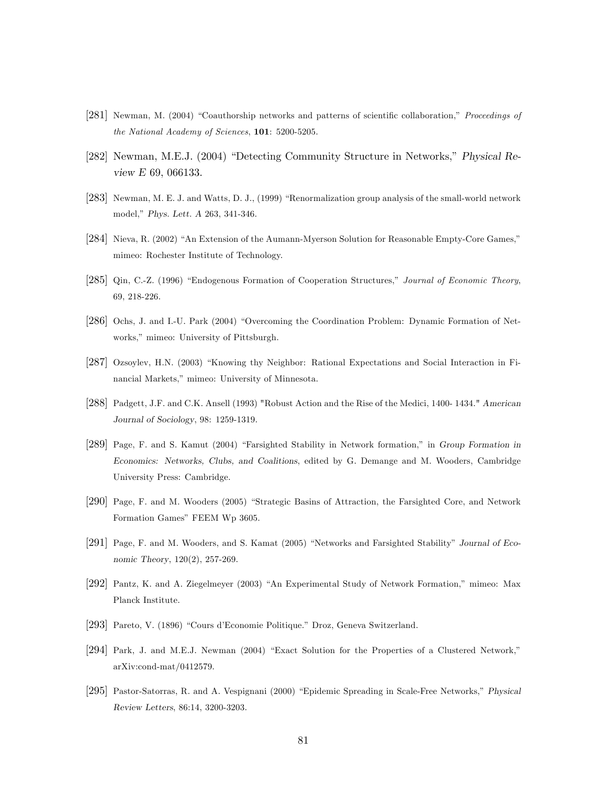- [281] Newman, M. (2004) "Coauthorship networks and patterns of scientific collaboration," Proceedings of the National Academy of Sciences, 101: 5200-5205.
- [282] Newman, M.E.J. (2004) "Detecting Community Structure in Networks," Physical Review  $E$  69, 066133.
- [283] Newman, M. E. J. and Watts, D. J., (1999) "Renormalization group analysis of the small-world network model," Phys. Lett. A 263, 341-346.
- [284] Nieva, R. (2002) "An Extension of the Aumann-Myerson Solution for Reasonable Empty-Core Games," mimeo: Rochester Institute of Technology.
- [285] Qin, C.-Z. (1996) "Endogenous Formation of Cooperation Structures," Journal of Economic Theory, 69, 218-226.
- [286] Ochs, J. and I.-U. Park (2004) "Overcoming the Coordination Problem: Dynamic Formation of Networks," mimeo: University of Pittsburgh.
- [287] Ozsoylev, H.N. (2003) "Knowing thy Neighbor: Rational Expectations and Social Interaction in Financial Markets," mimeo: University of Minnesota.
- [288] Padgett, J.F. and C.K. Ansell (1993) "Robust Action and the Rise of the Medici, 1400-1434." American Journal of Sociology, 98: 1259-1319.
- [289] Page, F. and S. Kamut (2004) "Farsighted Stability in Network formation," in Group Formation in Economics: Networks, Clubs, and Coalitions, edited by G. Demange and M. Wooders, Cambridge University Press: Cambridge.
- [290] Page, F. and M. Wooders (2005) "Strategic Basins of Attraction, the Farsighted Core, and Network Formation Games" FEEM Wp 3605.
- [291] Page, F. and M. Wooders, and S. Kamat (2005) "Networks and Farsighted Stability" Journal of Economic Theory, 120(2), 257-269.
- [292] Pantz, K. and A. Ziegelmeyer (2003) "An Experimental Study of Network Formation," mimeo: Max Planck Institute.
- [293] Pareto, V. (1896) "Cours d'Economie Politique." Droz, Geneva Switzerland.
- [294] Park, J. and M.E.J. Newman (2004) "Exact Solution for the Properties of a Clustered Network,"  $arXiv:cond-mat/0412579.$
- [295] Pastor-Satorras, R. and A. Vespignani (2000) "Epidemic Spreading in Scale-Free Networks," Physical Review Letters, 86:14, 3200-3203.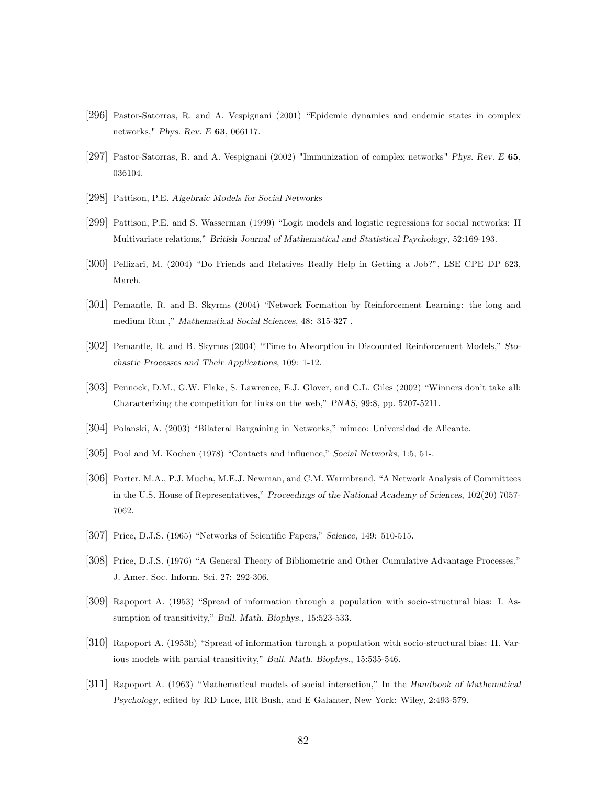- [296] Pastor-Satorras, R. and A. Vespignani (2001) "Epidemic dynamics and endemic states in complex networks," Phys. Rev. E 63, 066117.
- [297] Pastor-Satorras, R. and A. Vespignani (2002) "Immunization of complex networks" Phys. Rev. E 65, 036104.
- [298] Pattison, P.E. Algebraic Models for Social Networks
- [299] Pattison, P.E. and S. Wasserman (1999) "Logit models and logistic regressions for social networks: II Multivariate relations," British Journal of Mathematical and Statistical Psychology, 52:169-193.
- [300] Pellizari, M. (2004) "Do Friends and Relatives Really Help in Getting a Job?", LSE CPE DP 623, March.
- [301] Pemantle, R. and B. Skyrms (2004) "Network Formation by Reinforcement Learning: the long and medium Run," Mathematical Social Sciences, 48: 315-327.
- [302] Pemantle, R. and B. Skyrms (2004) "Time to Absorption in Discounted Reinforcement Models," Stochastic Processes and Their Applications, 109: 1-12.
- [303] Pennock, D.M., G.W. Flake, S. Lawrence, E.J. Glover, and C.L. Giles (2002) "Winners don't take all: Characterizing the competition for links on the web," PNAS, 99:8, pp. 5207-5211.
- [304] Polanski, A. (2003) "Bilateral Bargaining in Networks," mimeo: Universidad de Alicante.
- [305] Pool and M. Kochen  $(1978)$  "Contacts and influence," Social Networks, 1:5, 51-.
- [306] Porter, M.A., P.J. Mucha, M.E.J. Newman, and C.M. Warmbrand, "A Network Analysis of Committees in the U.S. House of Representatives," Proceedings of the National Academy of Sciences, 102(20) 7057-7062.
- $|307|$  Price, D.J.S. (1965) "Networks of Scientific Papers," Science, 149: 510-515.
- [308] Price, D.J.S. (1976) "A General Theory of Bibliometric and Other Cumulative Advantage Processes," J. Amer. Soc. Inform. Sci. 27: 292-306.
- [309] Rapoport A. (1953) "Spread of information through a population with socio-structural bias: I. Assumption of transitivity," Bull. Math. Biophys., 15:523-533.
- [310] Rapoport A. (1953b) "Spread of information through a population with socio-structural bias: II. Various models with partial transitivity," Bull. Math. Biophys., 15:535-546.
- [311] Rapoport A. (1963) "Mathematical models of social interaction," In the Handbook of Mathematical Psychology, edited by RD Luce, RR Bush, and E Galanter, New York: Wiley, 2:493-579.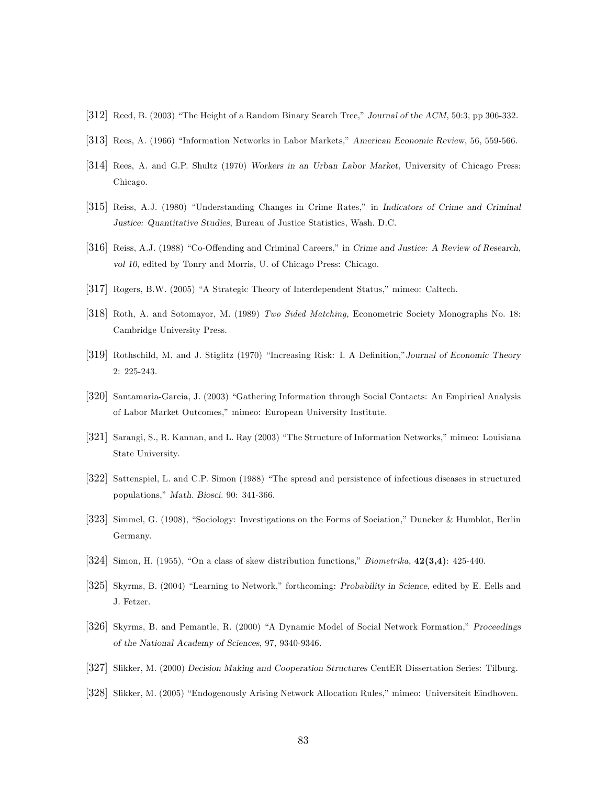- [312] Reed, B. (2003) "The Height of a Random Binary Search Tree," Journal of the ACM, 50:3, pp 306-332.
- [313] Rees, A. (1966) "Information Networks in Labor Markets," American Economic Review, 56, 559-566.
- [314] Rees, A. and G.P. Shultz (1970) Workers in an Urban Labor Market, University of Chicago Press: Chicago.
- [315] Reiss, A.J. (1980) "Understanding Changes in Crime Rates," in Indicators of Crime and Criminal Justice: Quantitative Studies, Bureau of Justice Statistics, Wash. D.C.
- [316] Reiss, A.J. (1988) "Co-Offending and Criminal Careers," in Crime and Justice: A Review of Research, vol 10, edited by Tonry and Morris, U. of Chicago Press: Chicago.
- [317] Rogers, B.W. (2005) "A Strategic Theory of Interdependent Status," mimeo: Caltech.
- [318] Roth, A. and Sotomayor, M. (1989) Two Sided Matching, Econometric Society Monographs No. 18: Cambridge University Press.
- [319] Rothschild, M. and J. Stiglitz (1970) "Increasing Risk: I. A Definition," Journal of Economic Theory  $2: 225 - 243.$
- [320] Santamaria-Garcia, J. (2003) "Gathering Information through Social Contacts: An Empirical Analysis of Labor Market Outcomes," mimeo: European University Institute.
- [321] Sarangi, S., R. Kannan, and L. Ray (2003) "The Structure of Information Networks," mimeo: Louisiana State University.
- [322] Sattenspiel, L. and C.P. Simon (1988) "The spread and persistence of infectious diseases in structured populations," Math. Biosci. 90: 341-366.
- [323] Simmel, G. (1908), "Sociology: Investigations on the Forms of Sociation," Duncker & Humblot, Berlin Germany.
- [324] Simon, H. (1955), "On a class of skew distribution functions," *Biometrika*, **42(3,4)**: 425-440.
- [325] Skyrms, B. (2004) "Learning to Network," forthcoming: Probability in Science, edited by E. Eells and J. Fetzer.
- [326] Skyrms, B. and Pemantle, R. (2000) "A Dynamic Model of Social Network Formation," Proceedings of the National Academy of Sciences, 97, 9340-9346.
- [327] Slikker, M. (2000) Decision Making and Cooperation Structures CentER Dissertation Series: Tilburg.
- [328] Slikker, M. (2005) "Endogenously Arising Network Allocation Rules," mimeo: Universiteit Eindhoven.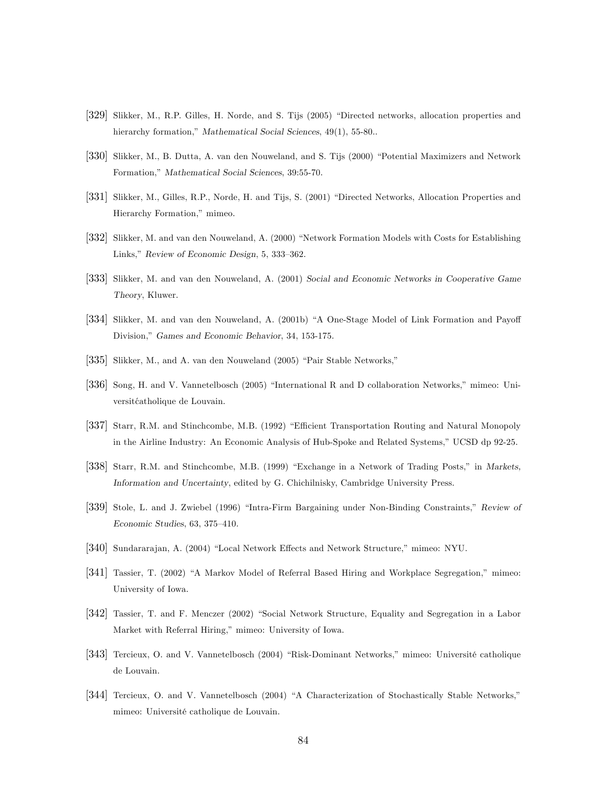- [329] Slikker, M., R.P. Gilles, H. Norde, and S. Tijs (2005) "Directed networks, allocation properties and hierarchy formation," Mathematical Social Sciences, 49(1), 55-80..
- [330] Slikker, M., B. Dutta, A. van den Nouweland, and S. Tijs (2000) "Potential Maximizers and Network Formation," Mathematical Social Sciences, 39:55-70.
- [331] Slikker, M., Gilles, R.P., Norde, H. and Tijs, S. (2001) "Directed Networks, Allocation Properties and Hierarchy Formation," mimeo.
- [332] Slikker, M. and van den Nouweland, A. (2000) "Network Formation Models with Costs for Establishing Links," Review of Economic Design, 5, 333-362.
- [333] Slikker, M. and van den Nouweland, A. (2001) Social and Economic Networks in Cooperative Game Theory, Kluwer.
- [334] Slikker, M. and van den Nouweland, A. (2001b) "A One-Stage Model of Link Formation and Payoff Division," Games and Economic Behavior, 34, 153-175.
- [335] Slikker, M., and A. van den Nouweland (2005) "Pair Stable Networks,"
- [336] Song, H. and V. Vannetelbosch (2005) "International R and D collaboration Networks," mimeo: Universitéatholique de Louvain.
- [337] Starr, R.M. and Stinchcombe, M.B. (1992) "Efficient Transportation Routing and Natural Monopoly in the Airline Industry: An Economic Analysis of Hub-Spoke and Related Systems," UCSD dp 92-25.
- [338] Starr, R.M. and Stinchcombe, M.B. (1999) "Exchange in a Network of Trading Posts," in Markets, Information and Uncertainty, edited by G. Chichilnisky, Cambridge University Press.
- [339] Stole, L. and J. Zwiebel (1996) "Intra-Firm Bargaining under Non-Binding Constraints," Review of Economic Studies, 63, 375-410.
- [340] Sundararajan, A. (2004) "Local Network Effects and Network Structure," mimeo: NYU.
- [341] Tassier, T. (2002) "A Markov Model of Referral Based Hiring and Workplace Segregation," mimeo: University of Iowa.
- [342] Tassier, T. and F. Menczer (2002) "Social Network Structure, Equality and Segregation in a Labor Market with Referral Hiring," mimeo: University of Iowa.
- [343] Tercieux, O. and V. Vannetelbosch (2004) "Risk-Dominant Networks," mimeo: Université catholique de Louvain.
- [344] Tercieux, O. and V. Vannetelbosch (2004) "A Characterization of Stochastically Stable Networks," mimeo: Université catholique de Louvain.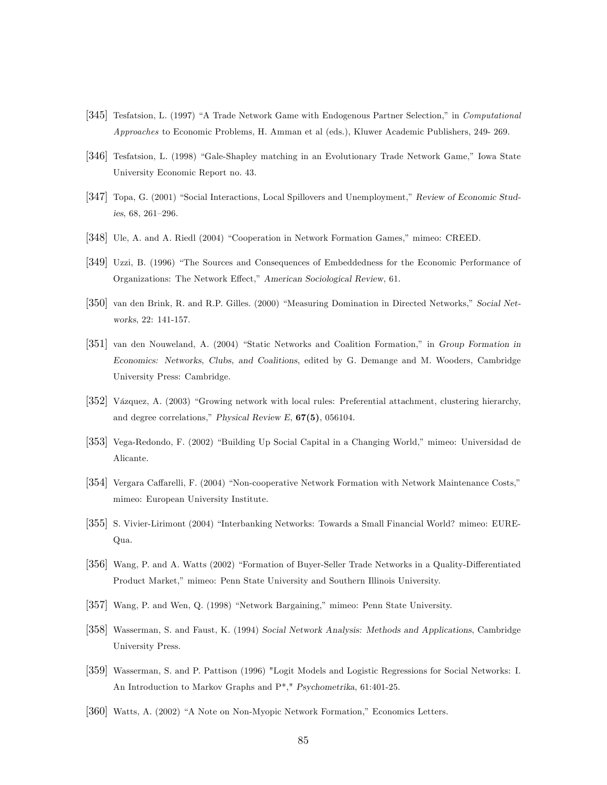- [345] Tesfatsion, L. (1997) "A Trade Network Game with Endogenous Partner Selection," in Computational Approaches to Economic Problems, H. Amman et al (eds.), Kluwer Academic Publishers, 249-269.
- [346] Tesfatsion, L. (1998) "Gale-Shapley matching in an Evolutionary Trade Network Game," Iowa State University Economic Report no. 43.
- [347] Topa, G. (2001) "Social Interactions, Local Spillovers and Unemployment," Review of Economic Studies, 68, 261-296.
- [348] Ule, A. and A. Riedl (2004) "Cooperation in Network Formation Games," mimeo: CREED.
- [349] Uzzi, B. (1996) "The Sources and Consequences of Embeddedness for the Economic Performance of Organizations: The Network Effect," American Sociological Review, 61.
- [350] van den Brink, R. and R.P. Gilles. (2000) "Measuring Domination in Directed Networks," Social Networks, 22: 141-157.
- [351] van den Nouweland, A. (2004) "Static Networks and Coalition Formation," in Group Formation in Economics: Networks, Clubs, and Coalitions, edited by G. Demange and M. Wooders, Cambridge University Press: Cambridge.
- [352] Vázquez, A. (2003) "Growing network with local rules: Preferential attachment, clustering hierarchy, and degree correlations," Physical Review E,  $67(5)$ , 056104.
- [353] Vega-Redondo, F. (2002) "Building Up Social Capital in a Changing World," mimeo: Universidad de Alicante.
- [354] Vergara Caffarelli, F. (2004) "Non-cooperative Network Formation with Network Maintenance Costs," mimeo: European University Institute.
- [355] S. Vivier-Lirimont (2004) "Interbanking Networks: Towards a Small Financial World? mimeo: EURE-Qua.
- [356] Wang, P. and A. Watts (2002) "Formation of Buyer-Seller Trade Networks in a Quality-Differentiated Product Market," mimeo: Penn State University and Southern Illinois University.
- [357] Wang, P. and Wen, Q. (1998) "Network Bargaining," mimeo: Penn State University.
- [358] Wasserman, S. and Faust, K. (1994) Social Network Analysis: Methods and Applications, Cambridge University Press.
- [359] Wasserman, S. and P. Pattison (1996) "Logit Models and Logistic Regressions for Social Networks: I. An Introduction to Markov Graphs and P<sup>\*</sup>," Psychometrika, 61:401-25.
- [360] Watts, A. (2002) "A Note on Non-Myopic Network Formation," Economics Letters.